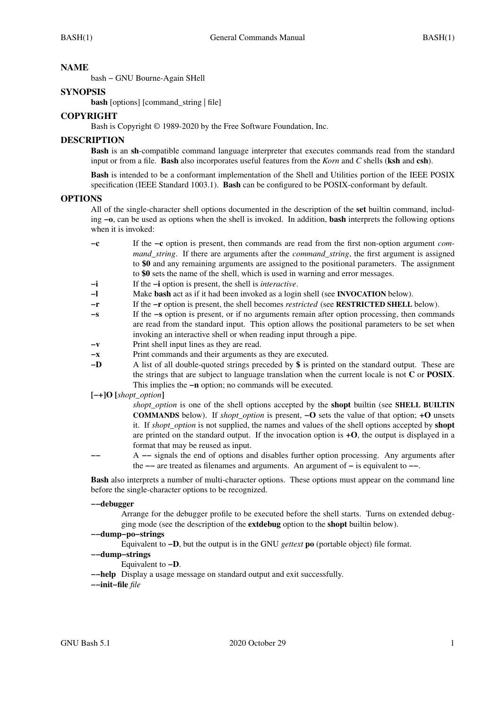## **NAME**

bash − GNU Bourne-Again SHell

## **SYNOPSIS**

**bash** [options] [command\_string | file]

## **COPYRIGHT**

Bash is Copyright © 1989-2020 by the Free Software Foundation, Inc.

# **DESCRIPTION**

**Bash** is an **sh**-compatible command language interpreter that executes commands read from the standard input or from a file. **Bash** also incorporates useful features from the *Korn* and *C* shells (**ksh** and **csh**).

**Bash** is intended to be a conformant implementation of the Shell and Utilities portion of the IEEE POSIX specification (IEEE Standard 1003.1). **Bash** can be configured to be POSIX-conformant by default.

## **OPTIONS**

All of the single-character shell options documented in the description of the **set** builtin command, including **−o**, can be used as options when the shell is invoked. In addition, **bash** interprets the following options when it is invoked:

- **−c** If the **−c** option is present, then commands are read from the first non-option argument *command string*. If there are arguments after the *command string*, the first argument is assigned to **\$0** and any remaining arguments are assigned to the positional parameters. The assignment to **\$0** sets the name of the shell, which is used in warning and error messages.
- **−i** If the **−i** option is present, the shell is *interactive*.
- **−l** Make **bash** act as if it had been invoked as a login shell (see **INVOCATION** below).
- **−r** If the **−r** option is present, the shell becomes *restricted* (see **RESTRICTED SHELL** below).
- $−s$  If the  $−s$  option is present, or if no arguments remain after option processing, then commands are read from the standard input. This option allows the positional parameters to be set when invoking an interactive shell or when reading input through a pipe.
- **−v** Print shell input lines as they are read.
- **−x** Print commands and their arguments as they are executed.
- **−D** A list of all double-quoted strings preceded by **\$** is printed on the standard output. These are the strings that are subject to language translation when the current locale is not **C** or **POSIX**. This implies the **−n** option; no commands will be executed.
- **[−+]O [***shopt\_option***]**

*shopt\_option* is one of the shell options accepted by the **shopt** builtin (see **SHELL BUILTIN COMMANDS** below). If *shopt\_option* is present, **−O** sets the value of that option; **+O** unsets it. If *shopt\_option* is not supplied, the names and values of the shell options accepted by **shopt** are printed on the standard output. If the invocation option is **+O**, the output is displayed in a format that may be reused as input.

**−−** A **−−** signals the end of options and disables further option processing. Any arguments after the **−−** are treated as filenames and arguments. An argument of **−** is equivalent to **−−**.

**Bash** also interprets a number of multi-character options. These options must appear on the command line before the single-character options to be recognized.

#### **−−debugger**

Arrange for the debugger profile to be executed before the shell starts. Turns on extended debugging mode (see the description of the **extdebug** option to the **shopt** builtin below).

## **−−dump−po−strings**

Equivalent to **−D**, but the output is in the GNU *gettext* **po** (portable object) file format.

#### **−−dump−strings**

Equivalent to **−D**.

**−−help** Display a usage message on standard output and exit successfully.

**−−init−file** *file*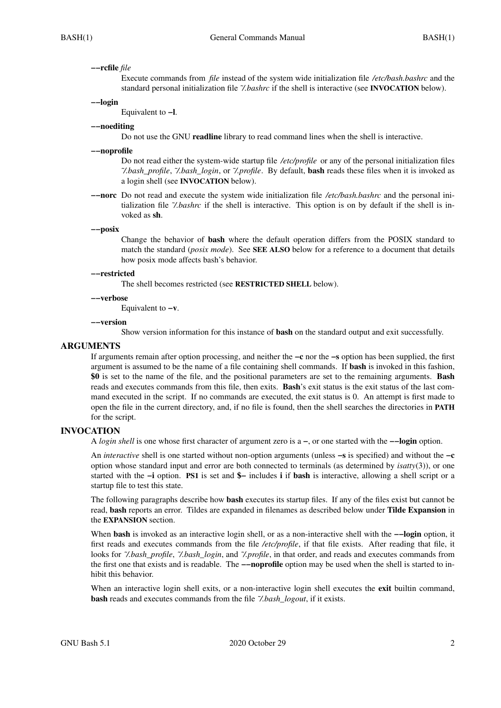#### **−−rcfile** *file*

Execute commands from *file* instead of the system wide initialization file */etc/bash.bashrc* and the standard personal initialization file *˜/.bashrc* if the shell is interactive (see **INVOCATION** below).

#### **−−login**

Equivalent to **−l**.

#### **−−noediting**

Do not use the GNU **readline** library to read command lines when the shell is interactive.

#### **−−noprofile**

Do not read either the system-wide startup file */etc/profile* or any of the personal initialization files *˜/.bash\_profile*, *˜/.bash\_login*, or *˜/.profile*. By default, **bash** reads these files when it is invoked as a login shell (see **INVOCATION** below).

**−−norc** Do not read and execute the system wide initialization file */etc/bash.bashrc* and the personal initialization file *˜/.bashrc* if the shell is interactive. This option is on by default if the shell is invoked as **sh**.

#### **−−posix**

Change the behavior of **bash** where the default operation differs from the POSIX standard to match the standard (*posix mode*). See **SEE ALSO** below for a reference to a document that details how posix mode affects bash's behavior.

#### **−−restricted**

The shell becomes restricted (see **RESTRICTED SHELL** below).

## **−−verbose**

Equivalent to **−v**.

## **−−version**

Show version information for this instance of **bash** on the standard output and exit successfully.

#### **ARGUMENTS**

If arguments remain after option processing, and neither the **−c** nor the **−s** option has been supplied, the first argument is assumed to be the name of a file containing shell commands. If **bash** is invoked in this fashion, **\$0** is set to the name of the file, and the positional parameters are set to the remaining arguments. **Bash** reads and executes commands from this file, then exits. **Bash**'s exit status is the exit status of the last command executed in the script. If no commands are executed, the exit status is 0. An attempt is first made to open the file in the current directory, and, if no file is found, then the shell searches the directories in **PATH** for the script.

# **INVOCATION**

A *login shell* is one whose first character of argument zero is a **−**, or one started with the **−−login** option.

An *interactive* shell is one started without non-option arguments (unless **−s** is specified) and without the **−c** option whose standard input and error are both connected to terminals (as determined by *isatty*(3)), or one started with the **−i** option. **PS1** is set and **\$−** includes **i** if **bash** is interactive, allowing a shell script or a startup file to test this state.

The following paragraphs describe how **bash** executes its startup files. If any of the files exist but cannot be read, **bash** reports an error. Tildes are expanded in filenames as described below under **Tilde Expansion** in the **EXPANSION** section.

When **bash** is invoked as an interactive login shell, or as a non-interactive shell with the **−−login** option, it first reads and executes commands from the file */etc/profile*, if that file exists. After reading that file, it looks for *˜/.bash\_profile*, *˜/.bash\_login*, and *˜/.profile*, in that order, and reads and executes commands from the first one that exists and is readable. The **−−noprofile** option may be used when the shell is started to inhibit this behavior.

When an interactive login shell exits, or a non-interactive login shell executes the **exit** builtin command, **bash** reads and executes commands from the file *˜/.bash\_logout*, if it exists.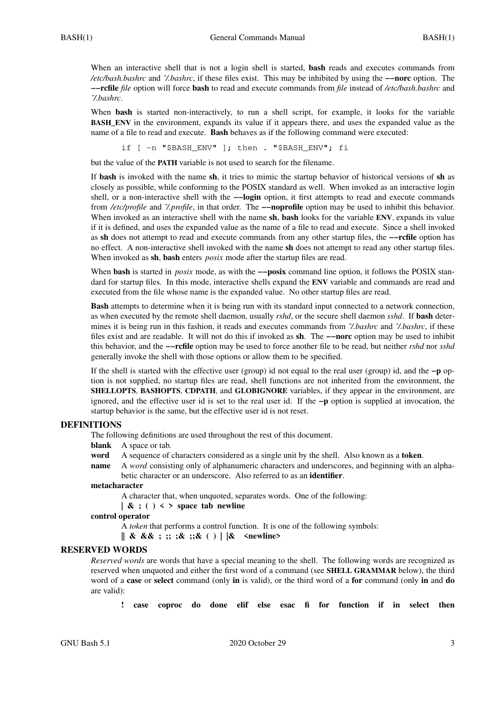When an interactive shell that is not a login shell is started, **bash** reads and executes commands from */etc/bash.bashrc* and *˜/.bashrc*, if these files exist. This may be inhibited by using the **−−norc** option. The **−−rcfile** *file* option will force **bash** to read and execute commands from *file* instead of */etc/bash.bashrc* and *˜/.bashrc*.

When **bash** is started non-interactively, to run a shell script, for example, it looks for the variable **BASH\_ENV** in the environment, expands its value if it appears there, and uses the expanded value as the name of a file to read and execute. **Bash** behaves as if the following command were executed:

if [ −n "\$BASH\_ENV" ]; then . "\$BASH\_ENV"; fi

but the value of the **PATH** variable is not used to search for the filename.

If **bash** is invoked with the name **sh**, it tries to mimic the startup behavior of historical versions of **sh** as closely as possible, while conforming to the POSIX standard as well. When invoked as an interactive login shell, or a non-interactive shell with the **−−login** option, it first attempts to read and execute commands from */etc/profile* and *˜/.profile*, in that order. The **−−noprofile** option may be used to inhibit this behavior. When invoked as an interactive shell with the name **sh**, **bash** looks for the variable **ENV**, expands its value if it is defined, and uses the expanded value as the name of a file to read and execute. Since a shell invoked as **sh** does not attempt to read and execute commands from any other startup files, the **−−rcfile** option has no effect. A non-interactive shell invoked with the name **sh** does not attempt to read any other startup files. When invoked as **sh**, **bash** enters *posix* mode after the startup files are read.

When **bash** is started in *posix* mode, as with the **−−posix** command line option, it follows the POSIX standard for startup files. In this mode, interactive shells expand the **ENV** variable and commands are read and executed from the file whose name is the expanded value. No other startup files are read.

**Bash** attempts to determine when it is being run with its standard input connected to a network connection, as when executed by the remote shell daemon, usually *rshd*, or the secure shell daemon *sshd*. If **bash** determines it is being run in this fashion, it reads and executes commands from *˜/.bashrc* and *˜/.bashrc*, if these files exist and are readable. It will not do this if invoked as **sh**. The **−−norc** option may be used to inhibit this behavior, and the **−−rcfile** option may be used to force another file to be read, but neither *rshd* nor *sshd* generally invoke the shell with those options or allow them to be specified.

If the shell is started with the effective user (group) id not equal to the real user (group) id, and the **−p** option is not supplied, no startup files are read, shell functions are not inherited from the environment, the **SHELLOPTS**, **BASHOPTS**, **CDPATH**, and **GLOBIGNORE** variables, if they appear in the environment, are ignored, and the effective user id is set to the real user id. If the **−p** option is supplied at invocation, the startup behavior is the same, but the effective user id is not reset.

# **DEFINITIONS**

The following definitions are used throughout the rest of this document.

**blank** A space or tab.

- **word** A sequence of characters considered as a single unit by the shell. Also known as a **token**.
- **name** A *word* consisting only of alphanumeric characters and underscores, and beginning with an alphabetic character or an underscore. Also referred to as an **identifier**.

#### **metacharacter**

A character that, when unquoted, separates words. One of the following:

#### $\vert \&$  ; () < > space tab newline

**control operator**

A *token* that performs a control function. It is one of the following symbols:

**|| & && ; ;; ;& ;;& ( ) | |& <newline>**

## **RESERVED WORDS**

*Reserved words* are words that have a special meaning to the shell. The following words are recognized as reserved when unquoted and either the first word of a command (see **SHELL GRAMMAR** below), the third word of a **case** or **select** command (only **in** is valid), or the third word of a **for** command (only **in** and **do** are valid):

**! case coproc do done elif else esac fi for function if in select then**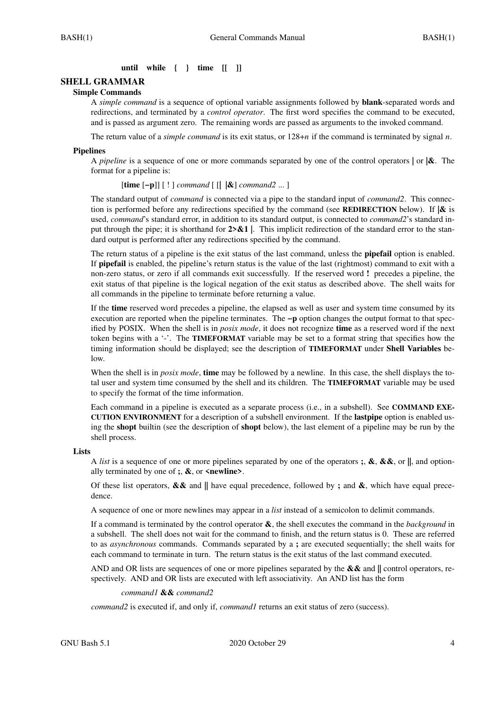# **until while { } time [[ ]]**

### **SHELL GRAMMAR**

#### **Simple Commands**

A *simple command* is a sequence of optional variable assignments followed by **blank**-separated words and redirections, and terminated by a *control operator*. The first word specifies the command to be executed, and is passed as argument zero. The remaining words are passed as arguments to the invoked command.

The return value of a *simple command* is its exit status, or 128+*n* if the command is terminated by signal *n*.

#### **Pipelines**

A *pipeline* is a sequence of one or more commands separated by one of the control operators **|** or **|&**. The format for a pipeline is:

[**time** [**−p**]] [ ! ] *command* [ [**||&**] *command2* ... ]

The standard output of *command* is connected via a pipe to the standard input of *command2*. This connection is performed before any redirections specified by the command (see **REDIRECTION** below). If **|&** is used, *command*'s standard error, in addition to its standard output, is connected to *command2*'s standard input through the pipe; it is shorthand for **2>&1 |**. This implicit redirection of the standard error to the standard output is performed after any redirections specified by the command.

The return status of a pipeline is the exit status of the last command, unless the **pipefail** option is enabled. If **pipefail** is enabled, the pipeline's return status is the value of the last (rightmost) command to exit with a non-zero status, or zero if all commands exit successfully. If the reserved word **!** precedes a pipeline, the exit status of that pipeline is the logical negation of the exit status as described above. The shell waits for all commands in the pipeline to terminate before returning a value.

If the **time** reserved word precedes a pipeline, the elapsed as well as user and system time consumed by its execution are reported when the pipeline terminates. The **−p** option changes the output format to that specified by POSIX. When the shell is in *posix mode*, it does not recognize **time** as a reserved word if the next token begins with a '-'. The **TIMEFORMAT** variable may be set to a format string that specifies how the timing information should be displayed; see the description of **TIMEFORMAT** under **Shell Variables** below.

When the shell is in *posix mode*, **time** may be followed by a newline. In this case, the shell displays the total user and system time consumed by the shell and its children. The **TIMEFORMAT** variable may be used to specify the format of the time information.

Each command in a pipeline is executed as a separate process (i.e., in a subshell). See **COMMAND EXE-CUTION ENVIRONMENT** for a description of a subshell environment. If the **lastpipe** option is enabled using the **shopt** builtin (see the description of **shopt** below), the last element of a pipeline may be run by the shell process.

#### **Lists**

A *list* is a sequence of one or more pipelines separated by one of the operators **;**, **&**, **&&**, or **||**, and optionally terminated by one of **;**, **&**, or **<newline>**.

Of these list operators, **&&** and **||** have equal precedence, followed by **;** and **&**, which have equal precedence.

A sequence of one or more newlines may appear in a *list* instead of a semicolon to delimit commands.

If a command is terminated by the control operator **&**, the shell executes the command in the *background* in a subshell. The shell does not wait for the command to finish, and the return status is 0. These are referred to as *asynchronous* commands. Commands separated by a **;** are executed sequentially; the shell waits for each command to terminate in turn. The return status is the exit status of the last command executed.

AND and OR lists are sequences of one or more pipelines separated by the **&&** and **||** control operators, respectively. AND and OR lists are executed with left associativity. An AND list has the form

*command1* **&&** *command2*

*command2* is executed if, and only if, *command1* returns an exit status of zero (success).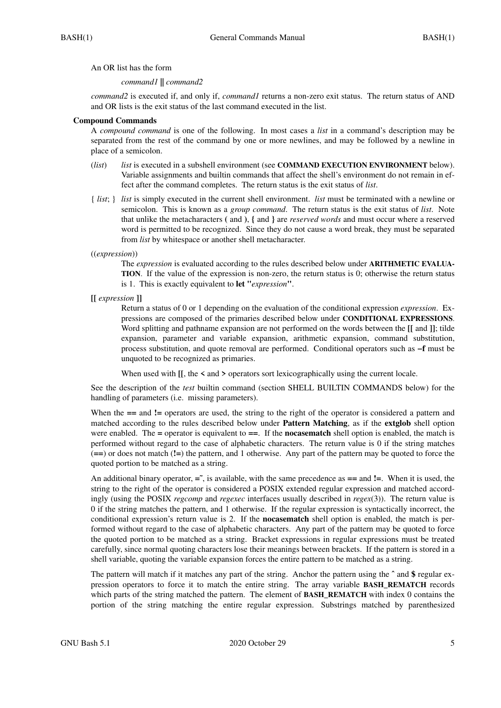An OR list has the form

*command1* **||** *command2*

*command2* is executed if, and only if, *command1* returns a non-zero exit status. The return status of AND and OR lists is the exit status of the last command executed in the list.

## **Compound Commands**

A *compound command* is one of the following. In most cases a *list* in a command's description may be separated from the rest of the command by one or more newlines, and may be followed by a newline in place of a semicolon.

- (*list*) *list* is executed in a subshell environment (see **COMMAND EXECUTION ENVIRONMENT** below). Variable assignments and builtin commands that affect the shell's environment do not remain in effect after the command completes. The return status is the exit status of *list*.
- { *list*; } *list* is simply executed in the current shell environment. *list* must be terminated with a newline or semicolon. This is known as a *group command*. The return status is the exit status of *list*. Note that unlike the metacharacters **(** and **)**, **{** and **}** are *reserved words* and must occur where a reserved word is permitted to be recognized. Since they do not cause a word break, they must be separated from *list* by whitespace or another shell metacharacter.
- ((*expression*))

The *expression* is evaluated according to the rules described below under **ARITHMETIC EVALUA-TION**. If the value of the expression is non-zero, the return status is 0; otherwise the return status is 1. This is exactly equivalent to **let "***expression***"**.

**[[** *expression* **]]**

Return a status of 0 or 1 depending on the evaluation of the conditional expression *expression*. Expressions are composed of the primaries described below under **CONDITIONAL EXPRESSIONS**. Word splitting and pathname expansion are not performed on the words between the **[[** and **]]**; tilde expansion, parameter and variable expansion, arithmetic expansion, command substitution, process substitution, and quote removal are performed. Conditional operators such as **−f** must be unquoted to be recognized as primaries.

When used with [[, the  $\leq$  and  $\geq$  operators sort lexicographically using the current locale.

See the description of the *test* builtin command (section SHELL BUILTIN COMMANDS below) for the handling of parameters (i.e. missing parameters).

When the  $==$  and **!** = operators are used, the string to the right of the operator is considered a pattern and matched according to the rules described below under **Pattern Matching**, as if the **extglob** shell option were enabled. The **=** operator is equivalent to **==**. If the **nocasematch** shell option is enabled, the match is performed without regard to the case of alphabetic characters. The return value is 0 if the string matches (**==**) or does not match (**!=**) the pattern, and 1 otherwise. Any part of the pattern may be quoted to force the quoted portion to be matched as a string.

An additional binary operator, **=˜**, is available, with the same precedence as **==** and **!=**. When it is used, the string to the right of the operator is considered a POSIX extended regular expression and matched accordingly (using the POSIX *regcomp* and *regexec* interfaces usually described in *regex*(3)). The return value is 0 if the string matches the pattern, and 1 otherwise. If the regular expression is syntactically incorrect, the conditional expression's return value is 2. If the **nocasematch** shell option is enabled, the match is performed without regard to the case of alphabetic characters. Any part of the pattern may be quoted to force the quoted portion to be matched as a string. Bracket expressions in regular expressions must be treated carefully, since normal quoting characters lose their meanings between brackets. If the pattern is stored in a shell variable, quoting the variable expansion forces the entire pattern to be matched as a string.

The pattern will match if it matches any part of the string. Anchor the pattern using the **ˆ** and **\$** regular expression operators to force it to match the entire string. The array variable **BASH\_REMATCH** records which parts of the string matched the pattern. The element of **BASH\_REMATCH** with index 0 contains the portion of the string matching the entire regular expression. Substrings matched by parenthesized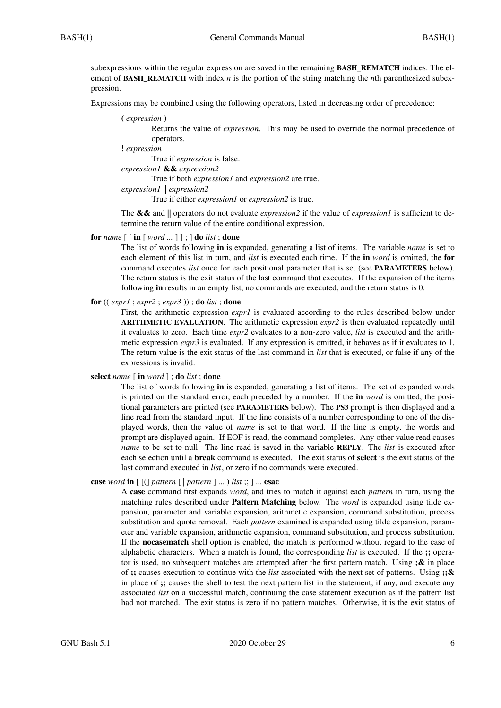subexpressions within the regular expression are saved in the remaining **BASH\_REMATCH** indices. The element of **BASH\_REMATCH** with index *n* is the portion of the string matching the *n*th parenthesized subexpression.

Expressions may be combined using the following operators, listed in decreasing order of precedence:

**(** *expression* **)**

Returns the value of *expression*. This may be used to override the normal precedence of operators.

**!** *expression*

True if *expression* is false.

*expression1* **&&** *expression2*

True if both *expression1* and *expression2* are true.

*expression1* **||** *expression2*

True if either *expression1* or *expression2* is true.

The **&&** and **||** operators do not evaluate *expression2* if the value of *expression1* is sufficient to determine the return value of the entire conditional expression.

### **for** *name* [ [ **in** [ *word ...* ]];] **do** *list* ; **done**

The list of words following **in** is expanded, generating a list of items. The variable *name* is set to each element of this list in turn, and *list* is executed each time. If the **in** *word* is omitted, the **for** command executes *list* once for each positional parameter that is set (see **PARAMETERS** below). The return status is the exit status of the last command that executes. If the expansion of the items following **in** results in an empty list, no commands are executed, and the return status is 0.

#### **for** (( *expr1* ; *expr2* ; *expr3* )) ; **do** *list* ; **done**

First, the arithmetic expression *expr1* is evaluated according to the rules described below under **ARITHMETIC EVALUATION**. The arithmetic expression *expr2* is then evaluated repeatedly until it evaluates to zero. Each time *expr2* evaluates to a non-zero value, *list* is executed and the arithmetic expression *expr3* is evaluated. If any expression is omitted, it behaves as if it evaluates to 1. The return value is the exit status of the last command in *list* that is executed, or false if any of the expressions is invalid.

**select** *name* [ **in** *word* ] ; **do** *list* ; **done**

The list of words following **in** is expanded, generating a list of items. The set of expanded words is printed on the standard error, each preceded by a number. If the **in** *word* is omitted, the positional parameters are printed (see **PARAMETERS** below). The **PS3** prompt is then displayed and a line read from the standard input. If the line consists of a number corresponding to one of the displayed words, then the value of *name* is set to that word. If the line is empty, the words and prompt are displayed again. If EOF is read, the command completes. Any other value read causes *name* to be set to null. The line read is saved in the variable **REPLY**. The *list* is executed after each selection until a **break** command is executed. The exit status of **select** is the exit status of the last command executed in *list*, or zero if no commands were executed.

## **case** *word* **in** [ [(] *pattern* [ **|** *pattern* ] ... ) *list* ;; ] ... **esac**

A **case** command first expands *word*, and tries to match it against each *pattern* in turn, using the matching rules described under **Pattern Matching** below. The *word* is expanded using tilde expansion, parameter and variable expansion, arithmetic expansion, command substitution, process substitution and quote removal. Each *pattern* examined is expanded using tilde expansion, parameter and variable expansion, arithmetic expansion, command substitution, and process substitution. If the **nocasematch** shell option is enabled, the match is performed without regard to the case of alphabetic characters. When a match is found, the corresponding *list* is executed. If the **;;** operator is used, no subsequent matches are attempted after the first pattern match. Using **;&** in place of **;;** causes execution to continue with the *list* associated with the next set of patterns. Using **;;&** in place of **;;** causes the shell to test the next pattern list in the statement, if any, and execute any associated *list* on a successful match, continuing the case statement execution as if the pattern list had not matched. The exit status is zero if no pattern matches. Otherwise, it is the exit status of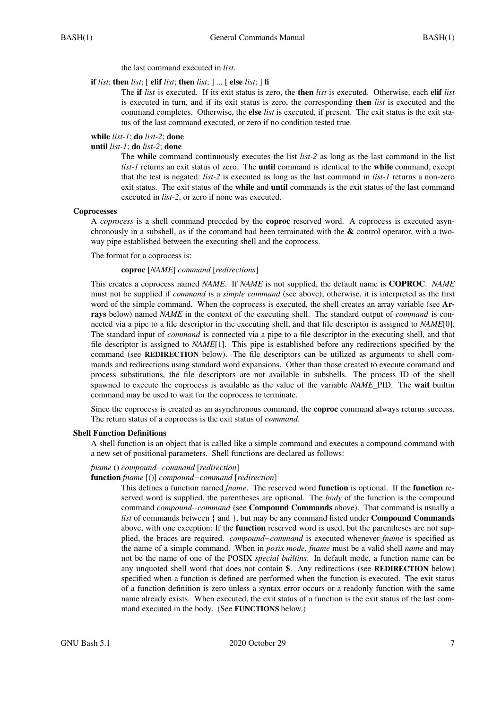the last command executed in *list*.

#### **if** *list*; **then** *list*; [ **elif** *list*; **then** *list*;]... [ **else** *list*; ] **fi**

The **if** *list* is executed. If its exit status is zero, the **then** *list* is executed. Otherwise, each **elif** *list* is executed in turn, and if its exit status is zero, the corresponding **then** *list* is executed and the command completes. Otherwise, the **else** *list* is executed, if present. The exit status is the exit status of the last command executed, or zero if no condition tested true.

## **while** *list-1*; **do** *list-2*; **done**

#### **until** *list-1*; **do** *list-2*; **done**

The **while** command continuously executes the list *list-2* as long as the last command in the list *list-1* returns an exit status of zero. The **until** command is identical to the **while** command, except that the test is negated: *list-2* is executed as long as the last command in *list-1* returns a non-zero exit status. The exit status of the **while** and **until** commands is the exit status of the last command executed in *list-2*, or zero if none was executed.

#### **Coprocesses**

A *coprocess* is a shell command preceded by the **coproc** reserved word. A coprocess is executed asynchronously in a subshell, as if the command had been terminated with the **&** control operator, with a twoway pipe established between the executing shell and the coprocess.

The format for a coprocess is:

#### **coproc** [*NAME*] *command* [*redirections*]

This creates a coprocess named *NAME*. If *NAME* is not supplied, the default name is **COPROC**. *NAME* must not be supplied if *command* is a *simple command* (see above); otherwise, it is interpreted as the first word of the simple command. When the coprocess is executed, the shell creates an array variable (see **Arrays** below) named *NAME* in the context of the executing shell. The standard output of *command* is connected via a pipe to a file descriptor in the executing shell, and that file descriptor is assigned to *NAME*[0]. The standard input of *command* is connected via a pipe to a file descriptor in the executing shell, and that file descriptor is assigned to *NAME*[1]. This pipe is established before any redirections specified by the command (see **REDIRECTION** below). The file descriptors can be utilized as arguments to shell commands and redirections using standard word expansions. Other than those created to execute command and process substitutions, the file descriptors are not available in subshells. The process ID of the shell spawned to execute the coprocess is available as the value of the variable *NAME*\_PID. The **wait** builtin command may be used to wait for the coprocess to terminate.

Since the coprocess is created as an asynchronous command, the **coproc** command always returns success. The return status of a coprocess is the exit status of *command*.

#### **Shell Function Definitions**

A shell function is an object that is called like a simple command and executes a compound command with a new set of positional parameters. Shell functions are declared as follows:

#### *fname* () *compound−command* [*redirection*]

#### **function** *fname* [()] *compound−command* [*redirection*]

This defines a function named *fname*. The reserved word **function** is optional. If the **function** reserved word is supplied, the parentheses are optional. The *body* of the function is the compound command *compound−command* (see **Compound Commands** above). That command is usually a *list* of commands between { and }, but may be any command listed under **Compound Commands** above, with one exception: If the **function** reserved word is used, but the parentheses are not supplied, the braces are required. *compound−command* is executed whenever *fname* is specified as the name of a simple command. When in *posix mode*, *fname* must be a valid shell *name* and may not be the name of one of the POSIX *special builtins*. In default mode, a function name can be any unquoted shell word that does not contain **\$**. Any redirections (see **REDIRECTION** below) specified when a function is defined are performed when the function is executed. The exit status of a function definition is zero unless a syntax error occurs or a readonly function with the same name already exists. When executed, the exit status of a function is the exit status of the last command executed in the body. (See **FUNCTIONS** below.)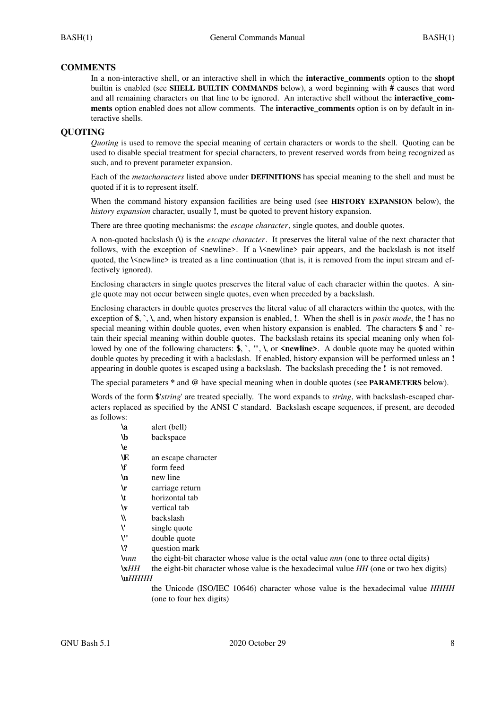# **COMMENTS**

In a non-interactive shell, or an interactive shell in which the **interactive\_comments** option to the **shopt** builtin is enabled (see **SHELL BUILTIN COMMANDS** below), a word beginning with **#** causes that word and all remaining characters on that line to be ignored. An interactive shell without the **interactive comments** option enabled does not allow comments. The **interactive comments** option is on by default in interactive shells.

## **QUOTING**

*Quoting* is used to remove the special meaning of certain characters or words to the shell. Quoting can be used to disable special treatment for special characters, to prevent reserved words from being recognized as such, and to prevent parameter expansion.

Each of the *metacharacters* listed above under **DEFINITIONS** has special meaning to the shell and must be quoted if it is to represent itself.

When the command history expansion facilities are being used (see **HISTORY EXPANSION** below), the *history expansion* character, usually **!**, must be quoted to prevent history expansion.

There are three quoting mechanisms: the *escape character*, single quotes, and double quotes.

A non-quoted backslash (**\**) is the *escape character*. It preserves the literal value of the next character that follows, with the exception of  $\triangle$ newline>. If a  $\triangle$ newline> pair appears, and the backslash is not itself quoted, the **\**<newline> is treated as a line continuation (that is, it is removed from the input stream and effectively ignored).

Enclosing characters in single quotes preserves the literal value of each character within the quotes. A single quote may not occur between single quotes, even when preceded by a backslash.

Enclosing characters in double quotes preserves the literal value of all characters within the quotes, with the exception of **\$**, **`**, **\**, and, when history expansion is enabled, **!**. When the shell is in *posix mode*, the **!** has no special meaning within double quotes, even when history expansion is enabled. The characters **\$** and **`** retain their special meaning within double quotes. The backslash retains its special meaning only when followed by one of the following characters: **\$**, **`**, **"**, **\**, or **<newline>**. A double quote may be quoted within double quotes by preceding it with a backslash. If enabled, history expansion will be performed unless an **!** appearing in double quotes is escaped using a backslash. The backslash preceding the **!** is not removed.

The special parameters **\*** and **@** have special meaning when in double quotes (see **PARAMETERS** below).

Words of the form **\$**'*string*' are treated specially. The word expands to *string*, with backslash-escaped characters replaced as specified by the ANSI C standard. Backslash escape sequences, if present, are decoded as follows:

| \a                | alert (bell)                                                                                                                                                                                                                                       |  |
|-------------------|----------------------------------------------------------------------------------------------------------------------------------------------------------------------------------------------------------------------------------------------------|--|
| $\mathbf{b}$      | backspace                                                                                                                                                                                                                                          |  |
| \e                |                                                                                                                                                                                                                                                    |  |
| ١E                | an escape character                                                                                                                                                                                                                                |  |
| <b>\f</b>         | form feed                                                                                                                                                                                                                                          |  |
| $\ln$             | new line                                                                                                                                                                                                                                           |  |
| $\mathbf{r}$      | carriage return                                                                                                                                                                                                                                    |  |
| $\lambda$ t       | horizontal tab                                                                                                                                                                                                                                     |  |
| $\mathbf{\nabla}$ | vertical tab                                                                                                                                                                                                                                       |  |
| Л                 | backslash                                                                                                                                                                                                                                          |  |
| ١'                | single quote                                                                                                                                                                                                                                       |  |
| $\mathsf{L}$      | double quote                                                                                                                                                                                                                                       |  |
| $\mathcal{V}$     | question mark                                                                                                                                                                                                                                      |  |
| \nnn              | the eight-bit character whose value is the octal value <i>nnn</i> (one to three octal digits)                                                                                                                                                      |  |
| $\chi H H$        | the eight-bit character whose value is the hexadecimal value $HH$ (one or two hex digits)                                                                                                                                                          |  |
| \u <i>HHHH</i>    |                                                                                                                                                                                                                                                    |  |
|                   | $\mathbf{a}$ . The contract of the contract of the contract of the contract of the contract of the contract of the contract of the contract of the contract of the contract of the contract of the contract of the contract of th<br><b>******</b> |  |

the Unicode (ISO/IEC 10646) character whose value is the hexadecimal value *HHHH* (one to four hex digits)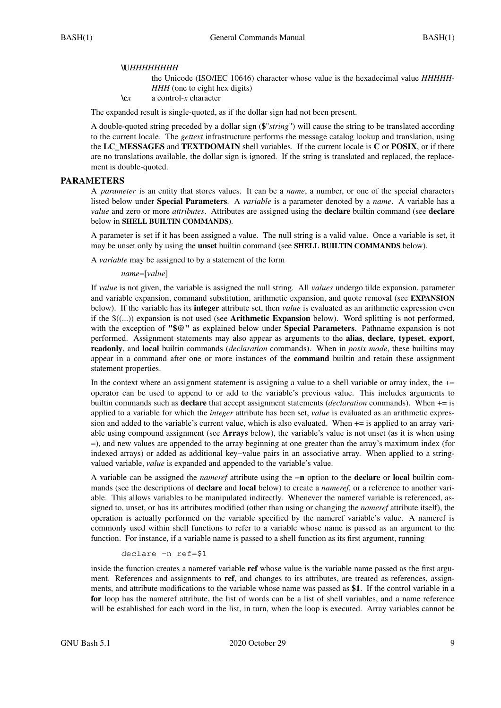#### **\U***HHHHHHHH*

the Unicode (ISO/IEC 10646) character whose value is the hexadecimal value *HHHHH-HHH* (one to eight hex digits)

**\c***x* a control-*x* character

The expanded result is single-quoted, as if the dollar sign had not been present.

A double-quoted string preceded by a dollar sign (**\$**"*string*") will cause the string to be translated according to the current locale. The *gettext* infrastructure performs the message catalog lookup and translation, using the **LC\_MESSAGES** and **TEXTDOMAIN** shell variables. If the current locale is **C** or **POSIX**, or if there are no translations available, the dollar sign is ignored. If the string is translated and replaced, the replacement is double-quoted.

## **PARAMETERS**

A *parameter* is an entity that stores values. It can be a *name*,anumber, or one of the special characters listed below under **Special Parameters**. A *variable* is a parameter denoted by a *name*. A variable has a *value* and zero or more *attributes*. Attributes are assigned using the **declare** builtin command (see **declare** below in **SHELL BUILTIN COMMANDS**).

A parameter is set if it has been assigned a value. The null string is a valid value. Once a variable is set, it may be unset only by using the **unset** builtin command (see **SHELL BUILTIN COMMANDS** below).

A *variable* may be assigned to by a statement of the form

#### *name*=[*value*]

If *value* is not given, the variable is assigned the null string. All *values* undergo tilde expansion, parameter and variable expansion, command substitution, arithmetic expansion, and quote removal (see **EXPANSION** below). If the variable has its **integer** attribute set, then *value* is evaluated as an arithmetic expression even if the \$((...)) expansion is not used (see **Arithmetic Expansion** below). Word splitting is not performed, with the exception of **"\$@"** as explained below under **Special Parameters**. Pathname expansion is not performed. Assignment statements may also appear as arguments to the **alias**, **declare**, **typeset**, **export**, **readonly**, and **local** builtin commands (*declaration* commands). When in *posix mode*, these builtins may appear in a command after one or more instances of the **command** builtin and retain these assignment statement properties.

In the context where an assignment statement is assigning a value to a shell variable or array index, the  $+=$ operator can be used to append to or add to the variable's previous value. This includes arguments to builtin commands such as **declare** that accept assignment statements (*declaration* commands). When += is applied to a variable for which the *integer* attribute has been set, *value* is evaluated as an arithmetic expression and added to the variable's current value, which is also evaluated. When += is applied to an array variable using compound assignment (see **Arrays** below), the variable's value is not unset (as it is when using =), and new values are appended to the array beginning at one greater than the array's maximum index (for indexed arrays) or added as additional key−value pairs in an associative array. When applied to a stringvalued variable, *value* is expanded and appended to the variable's value.

A variable can be assigned the *nameref* attribute using the **−n** option to the **declare** or **local** builtin commands (see the descriptions of **declare** and **local** below) to create a *nameref*, or a reference to another variable. This allows variables to be manipulated indirectly. Whenever the nameref variable is referenced, assigned to, unset, or has its attributes modified (other than using or changing the *nameref* attribute itself), the operation is actually performed on the variable specified by the nameref variable's value. A nameref is commonly used within shell functions to refer to a variable whose name is passed as an argument to the function. For instance, if a variable name is passed to a shell function as its first argument, running

```
declare -n ref=$1
```
inside the function creates a nameref variable **ref** whose value is the variable name passed as the first argument. References and assignments to **ref**, and changes to its attributes, are treated as references, assignments, and attribute modifications to the variable whose name was passed as **\$1**. If the control variable in a **for** loop has the nameref attribute, the list of words can be a list of shell variables, and a name reference will be established for each word in the list, in turn, when the loop is executed. Array variables cannot be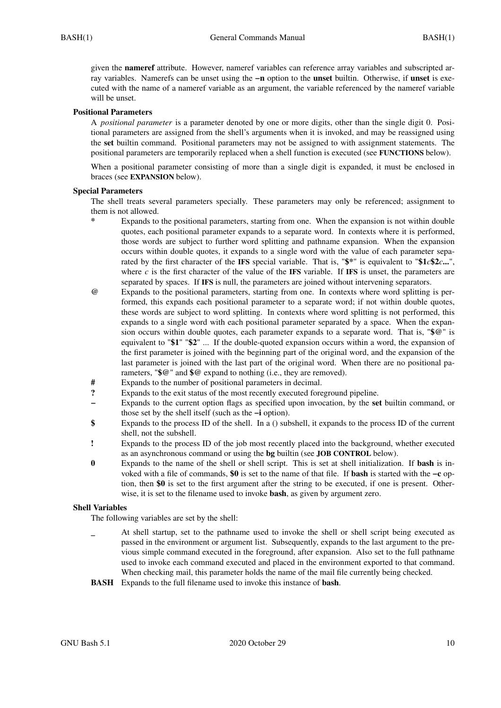given the **nameref** attribute. However, nameref variables can reference array variables and subscripted array variables. Namerefs can be unset using the **−n** option to the **unset** builtin. Otherwise, if **unset** is executed with the name of a nameref variable as an argument, the variable referenced by the nameref variable will be unset.

# **Positional Parameters**

A *positional parameter* is a parameter denoted by one or more digits, other than the single digit 0. Positional parameters are assigned from the shell's arguments when it is invoked, and may be reassigned using the **set** builtin command. Positional parameters may not be assigned to with assignment statements. The positional parameters are temporarily replaced when a shell function is executed (see **FUNCTIONS** below).

When a positional parameter consisting of more than a single digit is expanded, it must be enclosed in braces (see **EXPANSION** below).

# **Special Parameters**

The shell treats several parameters specially. These parameters may only be referenced; assignment to them is not allowed.

- **\*** Expands to the positional parameters, starting from one. When the expansion is not within double quotes, each positional parameter expands to a separate word. In contexts where it is performed, those words are subject to further word splitting and pathname expansion. When the expansion occurs within double quotes, it expands to a single word with the value of each parameter separated by the first character of the **IFS** special variable. That is, "**\$\***" is equivalent to "**\$1***c***\$2***c***...**", where  $c$  is the first character of the value of the **IFS** variable. If **IFS** is unset, the parameters are separated by spaces. If **IFS** is null, the parameters are joined without intervening separators.
- **@** Expands to the positional parameters, starting from one. In contexts where word splitting is performed, this expands each positional parameter to a separate word; if not within double quotes, these words are subject to word splitting. In contexts where word splitting is not performed, this expands to a single word with each positional parameter separated by a space. When the expansion occurs within double quotes, each parameter expands to a separate word. That is, "**\$@**" is equivalent to "**\$1**" "**\$2**" ... If the double-quoted expansion occurs within a word, the expansion of the first parameter is joined with the beginning part of the original word, and the expansion of the last parameter is joined with the last part of the original word. When there are no positional parameters, "**\$@**" and **\$@** expand to nothing (i.e., they are removed).
- **#** Expands to the number of positional parameters in decimal.
- **?** Expands to the exit status of the most recently executed foreground pipeline.
- **−** Expands to the current option flags as specified upon invocation, by the **set** builtin command, or those set by the shell itself (such as the **−i** option).
- **\$** Expands to the process ID of the shell. In a () subshell, it expands to the process ID of the current shell, not the subshell.
- **!** Expands to the process ID of the job most recently placed into the background, whether executed as an asynchronous command or using the **bg** builtin (see **JOB CONTROL** below).
- **0** Expands to the name of the shell or shell script. This is set at shell initialization. If **bash** is invoked with a file of commands, **\$0** is set to the name of that file. If **bash** is started with the **−c** option, then **\$0** is set to the first argument after the string to be executed, if one is present. Otherwise, it is set to the filename used to invoke **bash**, as given by argument zero.

# **Shell Variables**

The following variables are set by the shell:

- **\_** At shell startup, set to the pathname used to invoke the shell or shell script being executed as passed in the environment or argument list. Subsequently, expands to the last argument to the previous simple command executed in the foreground, after expansion. Also set to the full pathname used to invoke each command executed and placed in the environment exported to that command. When checking mail, this parameter holds the name of the mail file currently being checked.
- **BASH** Expands to the full filename used to invoke this instance of **bash**.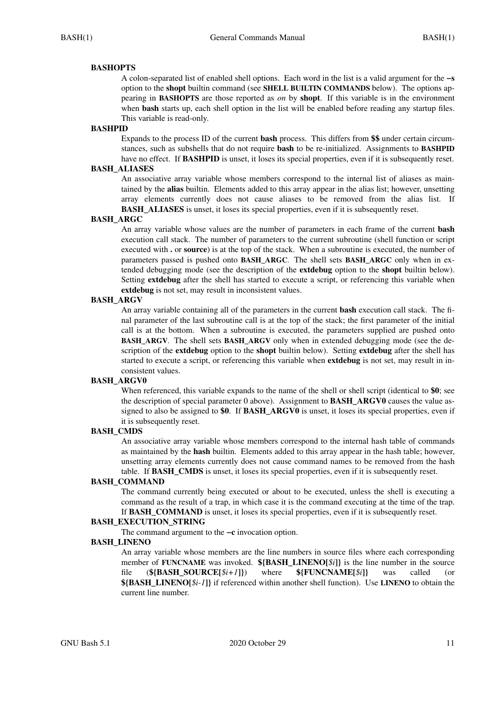## **BASHOPTS**

A colon-separated list of enabled shell options. Each word in the list is a valid argument for the **−s** option to the **shopt** builtin command (see **SHELL BUILTIN COMMANDS** below). The options appearing in **BASHOPTS** are those reported as *on* by **shopt**. If this variable is in the environment when **bash** starts up, each shell option in the list will be enabled before reading any startup files. This variable is read-only.

## **BASHPID**

Expands to the process ID of the current **bash** process. This differs from **\$\$** under certain circumstances, such as subshells that do not require **bash** to be re-initialized. Assignments to **BASHPID** have no effect. If **BASHPID** is unset, it loses its special properties, even if it is subsequently reset.

## **BASH\_ALIASES**

An associative array variable whose members correspond to the internal list of aliases as maintained by the **alias** builtin. Elements added to this array appear in the alias list; however, unsetting array elements currently does not cause aliases to be removed from the alias list. If **BASH\_ALIASES** is unset, it loses its special properties, even if it is subsequently reset.

#### **BASH\_ARGC**

An array variable whose values are the number of parameters in each frame of the current **bash** execution call stack. The number of parameters to the current subroutine (shell function or script executed with **.** or **source**) is at the top of the stack. When a subroutine is executed, the number of parameters passed is pushed onto **BASH\_ARGC**. The shell sets **BASH\_ARGC** only when in extended debugging mode (see the description of the **extdebug** option to the **shopt** builtin below). Setting **extdebug** after the shell has started to execute a script, or referencing this variable when **extdebug** is not set, may result in inconsistent values.

#### **BASH\_ARGV**

An array variable containing all of the parameters in the current **bash** execution call stack. The final parameter of the last subroutine call is at the top of the stack; the first parameter of the initial call is at the bottom. When a subroutine is executed, the parameters supplied are pushed onto **BASH\_ARGV**. The shell sets **BASH\_ARGV** only when in extended debugging mode (see the description of the **extdebug** option to the **shopt** builtin below). Setting **extdebug** after the shell has started to execute a script, or referencing this variable when **extdebug** is not set, may result in inconsistent values.

## **BASH\_ARGV0**

When referenced, this variable expands to the name of the shell or shell script (identical to **\$0**; see the description of special parameter 0 above). Assignment to **BASH\_ARGV0** causes the value assigned to also be assigned to **\$0**. If **BASH\_ARGV0** is unset, it loses its special properties, even if it is subsequently reset.

#### **BASH\_CMDS**

An associative array variable whose members correspond to the internal hash table of commands as maintained by the **hash** builtin. Elements added to this array appear in the hash table; however, unsetting array elements currently does not cause command names to be removed from the hash table. If **BASH\_CMDS** is unset, it loses its special properties, even if it is subsequently reset.

## **BASH\_COMMAND**

The command currently being executed or about to be executed, unless the shell is executing a command as the result of a trap, in which case it is the command executing at the time of the trap. If **BASH\_COMMAND** is unset, it loses its special properties, even if it is subsequently reset.

#### **BASH\_EXECUTION\_STRING**

The command argument to the **−c** invocation option.

#### **BASH\_LINENO**

An array variable whose members are the line numbers in source files where each corresponding member of **FUNCNAME** was invoked. **\${BASH\_LINENO[** $\hat{s}$ *i*} is the line number in the source file (**\${BASH\_SOURCE[***\$i+1***]}**) where **\${FUNCNAME[***\$i***]}** was called (or **\${BASH\_LINENO[***\$i-1***]}** if referenced within another shell function). Use **LINENO** to obtain the current line number.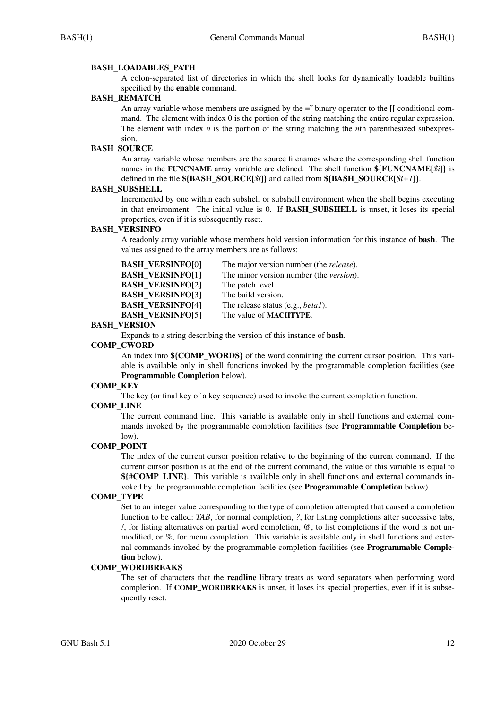# **BASH\_LOADABLES\_PATH**

A colon-separated list of directories in which the shell looks for dynamically loadable builtins specified by the **enable** command.

# **BASH\_REMATCH**

An array variable whose members are assigned by the  $=$ <sup>\*</sup> binary operator to the  $\lfloor$  conditional command. The element with index 0 is the portion of the string matching the entire regular expression. The element with index *n* is the portion of the string matching the *n*th parenthesized subexpression.

# **BASH\_SOURCE**

An array variable whose members are the source filenames where the corresponding shell function names in the **FUNCNAME** array variable are defined. The shell function **\${FUNCNAME[***\$i***]}** is defined in the file **\${BASH\_SOURCE[***\$i***]}** and called from **\${BASH\_SOURCE[***\$i+1***]}**.

# **BASH\_SUBSHELL**

Incremented by one within each subshell or subshell environment when the shell begins executing in that environment. The initial value is 0. If **BASH\_SUBSHELL** is unset, it loses its special properties, even if it is subsequently reset.

# **BASH\_VERSINFO**

A readonly array variable whose members hold version information for this instance of **bash**. The values assigned to the array members are as follows:

| <b>BASH VERSINFO[0]</b> | The major version number (the <i>release</i> ). |
|-------------------------|-------------------------------------------------|
| <b>BASH VERSINFO[1]</b> | The minor version number (the version).         |
| <b>BASH VERSINFO[2]</b> | The patch level.                                |
| <b>BASH VERSINFO[3]</b> | The build version.                              |
| <b>BASH VERSINFO[4]</b> | The release status (e.g., <i>betal</i> ).       |
| <b>BASH VERSINFO[5]</b> | The value of MACHTYPE.                          |

# **BASH\_VERSION**

Expands to a string describing the version of this instance of **bash**.

# **COMP\_CWORD**

An index into **\${COMP\_WORDS**} of the word containing the current cursor position. This variable is available only in shell functions invoked by the programmable completion facilities (see **Programmable Completion** below).

# **COMP\_KEY**

The key (or final key of a key sequence) used to invoke the current completion function.

# **COMP\_LINE**

The current command line. This variable is available only in shell functions and external commands invoked by the programmable completion facilities (see **Programmable Completion** below).

# **COMP\_POINT**

The index of the current cursor position relative to the beginning of the current command. If the current cursor position is at the end of the current command, the value of this variable is equal to **\$4#COMP\_LINE**}. This variable is available only in shell functions and external commands invoked by the programmable completion facilities (see **Programmable Completion** below).

# **COMP\_TYPE**

Set to an integer value corresponding to the type of completion attempted that caused a completion function to be called: *TAB*, for normal completion, *?*, for listing completions after successive tabs, *!*, for listing alternatives on partial word completion, *@*, to list completions if the word is not unmodified, or *%*, for menu completion. This variable is available only in shell functions and external commands invoked by the programmable completion facilities (see **Programmable Completion** below).

# **COMP\_WORDBREAKS**

The set of characters that the **readline** library treats as word separators when performing word completion. If **COMP\_WORDBREAKS** is unset, it loses its special properties, even if it is subsequently reset.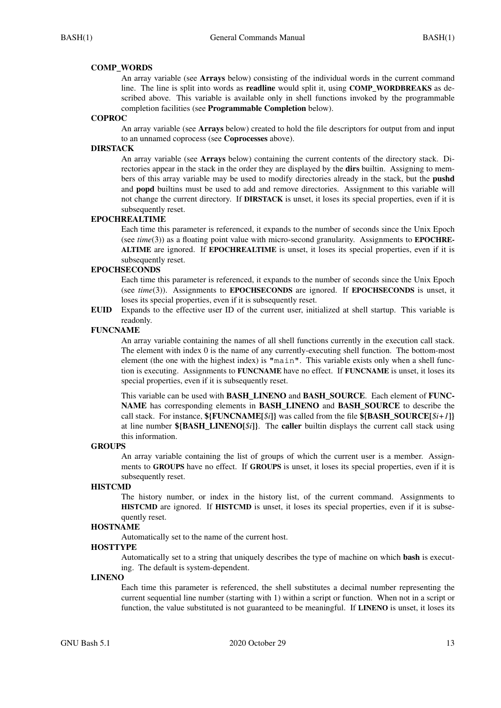## **COMP\_WORDS**

An array variable (see **Arrays** below) consisting of the individual words in the current command line. The line is split into words as **readline** would split it, using **COMP\_WORDBREAKS** as described above. This variable is available only in shell functions invoked by the programmable completion facilities (see **Programmable Completion** below).

#### **COPROC**

An array variable (see **Arrays** below) created to hold the file descriptors for output from and input to an unnamed coprocess (see **Coprocesses** above).

#### **DIRSTACK**

An array variable (see **Arrays** below) containing the current contents of the directory stack. Directories appear in the stack in the order they are displayed by the **dirs** builtin. Assigning to members of this array variable may be used to modify directories already in the stack, but the **pushd** and **popd** builtins must be used to add and remove directories. Assignment to this variable will not change the current directory. If **DIRSTACK** is unset, it loses its special properties, even if it is subsequently reset.

#### **EPOCHREALTIME**

Each time this parameter is referenced, it expands to the number of seconds since the Unix Epoch (see *time*(3)) as a floating point value with micro-second granularity. Assignments to **EPOCHRE-ALTIME** are ignored. If **EPOCHREALTIME** is unset, it loses its special properties, even if it is subsequently reset.

#### **EPOCHSECONDS**

Each time this parameter is referenced, it expands to the number of seconds since the Unix Epoch (see *time*(3)). Assignments to **EPOCHSECONDS** are ignored. If **EPOCHSECONDS** is unset, it loses its special properties, even if it is subsequently reset.

**EUID** Expands to the effective user ID of the current user, initialized at shell startup. This variable is readonly.

#### **FUNCNAME**

An array variable containing the names of all shell functions currently in the execution call stack. The element with index 0 is the name of any currently-executing shell function. The bottom-most element (the one with the highest index) is "main". This variable exists only when a shell function is executing. Assignments to **FUNCNAME** have no effect. If **FUNCNAME** is unset, it loses its special properties, even if it is subsequently reset.

This variable can be used with **BASH\_LINENO** and **BASH\_SOURCE**. Each element of **FUNC-NAME** has corresponding elements in **BASH\_LINENO** and **BASH\_SOURCE** to describe the call stack. For instance, **\${FUNCNAME[***\$i***]}** was called from the file **\${BASH\_SOURCE[***\$i+1***]}** at line number **\${BASH\_LINENO[***\$i***]}**. The **caller** builtin displays the current call stack using this information.

#### **GROUPS**

An array variable containing the list of groups of which the current user is a member. Assignments to **GROUPS** have no effect. If **GROUPS** is unset, it loses its special properties, even if it is subsequently reset.

#### **HISTCMD**

The history number, or index in the history list, of the current command. Assignments to **HISTCMD** are ignored. If **HISTCMD** is unset, it loses its special properties, even if it is subsequently reset.

#### **HOSTNAME**

Automatically set to the name of the current host.

# **HOSTTYPE**

Automatically set to a string that uniquely describes the type of machine on which **bash** is executing. The default is system-dependent.

### **LINENO**

Each time this parameter is referenced, the shell substitutes a decimal number representing the current sequential line number (starting with 1) within a script or function. When not in a script or function, the value substituted is not guaranteed to be meaningful. If **LINENO** is unset, it loses its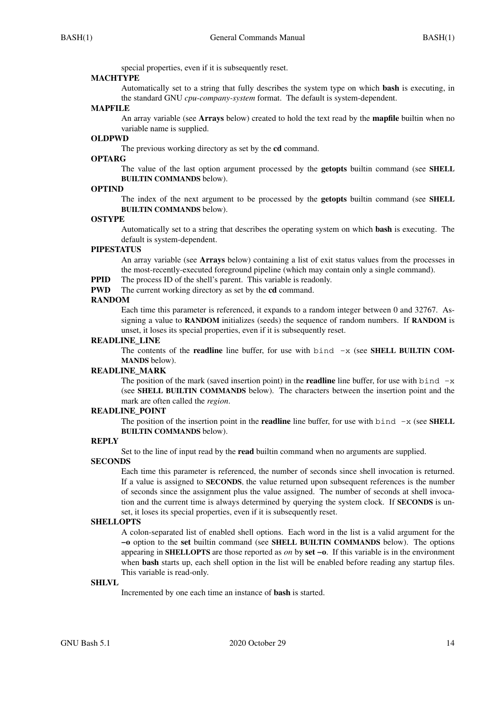special properties, even if it is subsequently reset.

# **MACHTYPE**

Automatically set to a string that fully describes the system type on which **bash** is executing, in the standard GNU *cpu-company-system* format. The default is system-dependent.

#### **MAPFILE**

An array variable (see **Arrays** below) created to hold the text read by the **mapfile** builtin when no variable name is supplied.

# **OLDPWD**

The previous working directory as set by the **cd** command.

## **OPTARG**

The value of the last option argument processed by the **getopts** builtin command (see **SHELL BUILTIN COMMANDS** below).

## **OPTIND**

The index of the next argument to be processed by the **getopts** builtin command (see **SHELL BUILTIN COMMANDS** below).

#### **OSTYPE**

Automatically set to a string that describes the operating system on which **bash** is executing. The default is system-dependent.

#### **PIPESTATUS**

An array variable (see **Arrays** below) containing a list of exit status values from the processes in the most-recently-executed foreground pipeline (which may contain only a single command).

- **PPID** The process ID of the shell's parent. This variable is readonly.
- **PWD** The current working directory as set by the **cd** command.

#### **RANDOM**

Each time this parameter is referenced, it expands to a random integer between 0 and 32767. Assigning a value to **RANDOM** initializes (seeds) the sequence of random numbers. If **RANDOM** is unset, it loses its special properties, even if it is subsequently reset.

#### **READLINE\_LINE**

The contents of the **readline** line buffer, for use with bind  $-x$  (see **SHELL BUILTIN COM-MANDS** below).

#### **READLINE\_MARK**

The position of the mark (saved insertion point) in the **readline** line buffer, for use with bind  $-x$ (see **SHELL BUILTIN COMMANDS** below). The characters between the insertion point and the mark are often called the *region*.

#### **READLINE\_POINT**

The position of the insertion point in the **readline** line buffer, for use with  $\frac{1}{2}$   $\alpha$   $\alpha$  (see **SHELL BUILTIN COMMANDS** below).

#### **REPLY**

Set to the line of input read by the **read** builtin command when no arguments are supplied.

# **SECONDS**

Each time this parameter is referenced, the number of seconds since shell invocation is returned. If a value is assigned to **SECONDS**, the value returned upon subsequent references is the number of seconds since the assignment plus the value assigned. The number of seconds at shell invocation and the current time is always determined by querying the system clock. If **SECONDS** is unset, it loses its special properties, even if it is subsequently reset.

#### **SHELLOPTS**

A colon-separated list of enabled shell options. Each word in the list is a valid argument for the **−o** option to the **set** builtin command (see **SHELL BUILTIN COMMANDS** below). The options appearing in **SHELLOPTS** are those reported as *on* by **set −o**. If this variable is in the environment when **bash** starts up, each shell option in the list will be enabled before reading any startup files. This variable is read-only.

#### **SHLVL**

Incremented by one each time an instance of **bash** is started.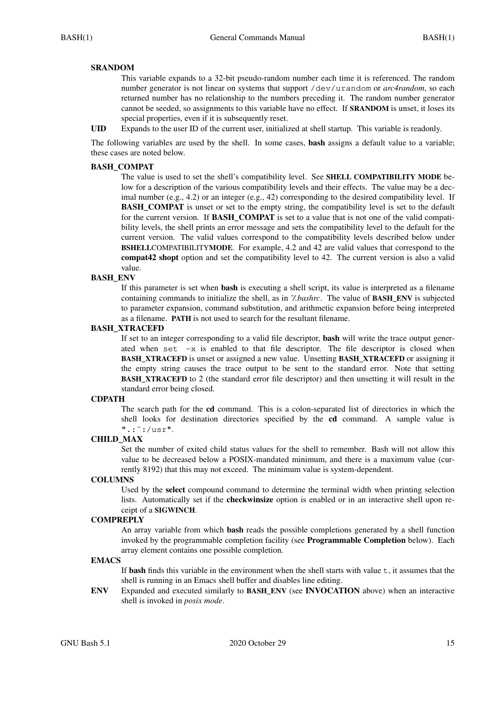## **SRANDOM**

This variable expands to a 32-bit pseudo-random number each time it is referenced. The random number generator is not linear on systems that support /dev/urandom or *arc4random*, so each returned number has no relationship to the numbers preceding it. The random number generator cannot be seeded, so assignments to this variable have no effect. If **SRANDOM** is unset, it loses its special properties, even if it is subsequently reset.

**UID** Expands to the user ID of the current user, initialized at shell startup. This variable is readonly.

The following variables are used by the shell. In some cases, **bash** assigns a default value to a variable; these cases are noted below.

## **BASH\_COMPAT**

The value is used to set the shell's compatibility level. See **SHELL COMPATIBILITY MODE** below for a description of the various compatibility levels and their effects. The value may be a decimal number  $(e.g., 4.2)$  or an integer  $(e.g., 42)$  corresponding to the desired compatibility level. If **BASH\_COMPAT** is unset or set to the empty string, the compatibility level is set to the default for the current version. If **BASH\_COMPAT** is set to a value that is not one of the valid compatibility levels, the shell prints an error message and sets the compatibility level to the default for the current version. The valid values correspond to the compatibility levels described below under **BSHELL**COMPATIBILITY**MODE**. For example, 4.2 and 42 are valid values that correspond to the **compat42 shopt** option and set the compatibility level to 42. The current version is also a valid value.

## **BASH\_ENV**

If this parameter is set when **bash** is executing a shell script, its value is interpreted as a filename containing commands to initialize the shell, as in *˜/.bashrc*. The value of **BASH\_ENV** is subjected to parameter expansion, command substitution, and arithmetic expansion before being interpreted as a filename. **PATH** is not used to search for the resultant filename.

#### **BASH\_XTRACEFD**

If set to an integer corresponding to a valid file descriptor, **bash** will write the trace output generated when set  $-x$  is enabled to that file descriptor. The file descriptor is closed when **BASH\_XTRACEFD** is unset or assigned a new value. Unsetting **BASH\_XTRACEFD** or assigning it the empty string causes the trace output to be sent to the standard error. Note that setting **BASH\_XTRACEFD** to 2 (the standard error file descriptor) and then unsetting it will result in the standard error being closed.

#### **CDPATH**

The search path for the **cd** command. This is a colon-separated list of directories in which the shell looks for destination directories specified by the **cd** command. A sample value is  $"$ .:  $"$ :/usr".

## **CHILD\_MAX**

Set the number of exited child status values for the shell to remember. Bash will not allow this value to be decreased below a POSIX-mandated minimum, and there is a maximum value (currently 8192) that this may not exceed. The minimum value is system-dependent.

#### **COLUMNS**

Used by the **select** compound command to determine the terminal width when printing selection lists. Automatically set if the **checkwinsize** option is enabled or in an interactive shell upon receipt of a **SIGWINCH**.

# **COMPREPLY**

An array variable from which **bash** reads the possible completions generated by a shell function invoked by the programmable completion facility (see **Programmable Completion** below). Each array element contains one possible completion.

#### **EMACS**

If **bash** finds this variable in the environment when the shell starts with value t, it assumes that the shell is running in an Emacs shell buffer and disables line editing.

**ENV** Expanded and executed similarly to **BASH\_ENV** (see **INVOCATION** above) when an interactive shell is invoked in *posix mode*.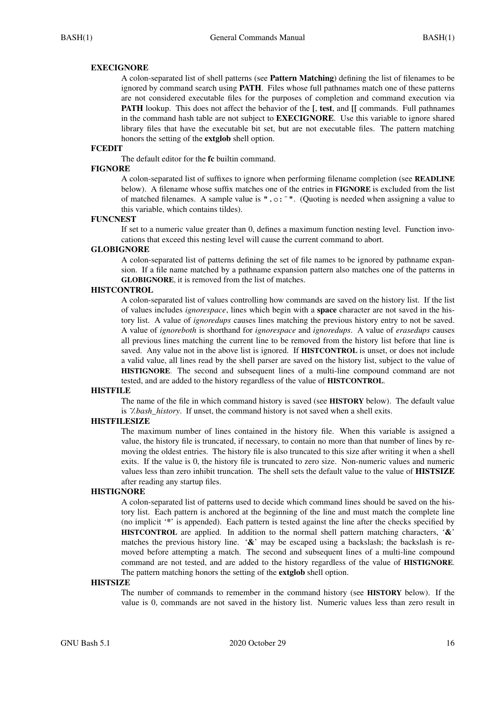## **EXECIGNORE**

A colon-separated list of shell patterns (see **Pattern Matching**) defining the list of filenames to be ignored by command search using **PATH**. Files whose full pathnames match one of these patterns are not considered executable files for the purposes of completion and command execution via **PATH** lookup. This does not affect the behavior of the **[**, **test**, and **[[** commands. Full pathnames in the command hash table are not subject to **EXECIGNORE**. Use this variable to ignore shared library files that have the executable bit set, but are not executable files. The pattern matching honors the setting of the **extglob** shell option.

## **FCEDIT**

The default editor for the **fc** builtin command.

# **FIGNORE**

A colon-separated list of suffixes to ignore when performing filename completion (see **READLINE** below). A filename whose suffix matches one of the entries in **FIGNORE** is excluded from the list of matched filenames. A sample value is  $\cdot \cdot \cdot \cdot$ . (Quoting is needed when assigning a value to this variable, which contains tildes).

#### **FUNCNEST**

If set to a numeric value greater than 0, defines a maximum function nesting level. Function invocations that exceed this nesting level will cause the current command to abort.

#### **GLOBIGNORE**

A colon-separated list of patterns defining the set of file names to be ignored by pathname expansion. If a file name matched by a pathname expansion pattern also matches one of the patterns in **GLOBIGNORE**, it is removed from the list of matches.

#### **HISTCONTROL**

A colon-separated list of values controlling how commands are saved on the history list. If the list of values includes *ignorespace*, lines which begin with a **space** character are not saved in the history list. A value of *ignoredups* causes lines matching the previous history entry to not be saved. A value of *ignoreboth* is shorthand for *ignorespace* and *ignoredups*. A value of *erasedups* causes all previous lines matching the current line to be removed from the history list before that line is saved. Any value not in the above list is ignored. If **HISTCONTROL** is unset, or does not include a valid value, all lines read by the shell parser are saved on the history list, subject to the value of **HISTIGNORE**. The second and subsequent lines of a multi-line compound command are not tested, and are added to the history regardless of the value of **HISTCONTROL**.

#### **HISTFILE**

The name of the file in which command history is saved (see **HISTORY** below). The default value is *˜/.bash\_history*. If unset, the command history is not saved when a shell exits.

### **HISTFILESIZE**

The maximum number of lines contained in the history file. When this variable is assigned a value, the history file is truncated, if necessary, to contain no more than that number of lines by removing the oldest entries. The history file is also truncated to this size after writing it when a shell exits. If the value is 0, the history file is truncated to zero size. Non-numeric values and numeric values less than zero inhibit truncation. The shell sets the default value to the value of **HISTSIZE** after reading any startup files.

## **HISTIGNORE**

A colon-separated list of patterns used to decide which command lines should be saved on the history list. Each pattern is anchored at the beginning of the line and must match the complete line (no implicit '**\***' is appended). Each pattern is tested against the line after the checks specified by **HISTCONTROL** are applied. In addition to the normal shell pattern matching characters, '**&**' matches the previous history line. '**&**' may be escaped using a backslash; the backslash is removed before attempting a match. The second and subsequent lines of a multi-line compound command are not tested, and are added to the history regardless of the value of **HISTIGNORE**. The pattern matching honors the setting of the **extglob** shell option.

## **HISTSIZE**

The number of commands to remember in the command history (see **HISTORY** below). If the value is 0, commands are not saved in the history list. Numeric values less than zero result in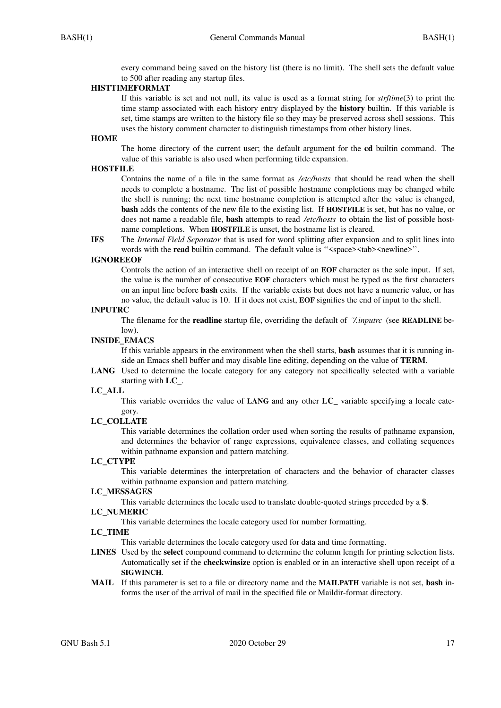every command being saved on the history list (there is no limit). The shell sets the default value to 500 after reading any startup files.

# **HISTTIMEFORMAT**

If this variable is set and not null, its value is used as a format string for *strftime*(3) to print the time stamp associated with each history entry displayed by the **history** builtin. If this variable is set, time stamps are written to the history file so they may be preserved across shell sessions. This uses the history comment character to distinguish timestamps from other history lines.

## **HOME**

The home directory of the current user; the default argument for the **cd** builtin command. The value of this variable is also used when performing tilde expansion.

## **HOSTFILE**

Contains the name of a file in the same format as */etc/hosts* that should be read when the shell needs to complete a hostname. The list of possible hostname completions may be changed while the shell is running; the next time hostname completion is attempted after the value is changed, **bash** adds the contents of the new file to the existing list. If **HOSTFILE** is set, but has no value, or does not name a readable file, **bash** attempts to read */etc/hosts* to obtain the list of possible hostname completions. When **HOSTFILE** is unset, the hostname list is cleared.

**IFS** The *Internal Field Separator* that is used for word splitting after expansion and to split lines into words with the **read** builtin command. The default value is "<space><tab><newline>".

## **IGNOREEOF**

Controls the action of an interactive shell on receipt of an **EOF** character as the sole input. If set, the value is the number of consecutive **EOF** characters which must be typed as the first characters on an input line before **bash** exits. If the variable exists but does not have a numeric value, or has no value, the default value is 10. If it does not exist, **EOF** signifies the end of input to the shell.

## **INPUTRC**

The filename for the **readline** startup file, overriding the default of *˜/.inputrc* (see **READLINE** be $low$ ).

## **INSIDE\_EMACS**

If this variable appears in the environment when the shell starts, **bash** assumes that it is running inside an Emacs shell buffer and may disable line editing, depending on the value of **TERM**.

LANG Used to determine the locale category for any category not specifically selected with a variable starting with **LC\_**.

# **LC\_ALL**

This variable overrides the value of **LANG** and any other **LC\_** variable specifying a locale category.

# **LC\_COLLATE**

This variable determines the collation order used when sorting the results of pathname expansion, and determines the behavior of range expressions, equivalence classes, and collating sequences within pathname expansion and pattern matching.

# **LC\_CTYPE**

This variable determines the interpretation of characters and the behavior of character classes within pathname expansion and pattern matching.

# **LC\_MESSAGES**

This variable determines the locale used to translate double-quoted strings preceded by a **\$**.

## **LC\_NUMERIC**

This variable determines the locale category used for number formatting.

# **LC\_TIME**

This variable determines the locale category used for data and time formatting.

- **LINES** Used by the **select** compound command to determine the column length for printing selection lists. Automatically set if the **checkwinsize** option is enabled or in an interactive shell upon receipt of a **SIGWINCH**.
- **MAIL** If this parameter is set to a file or directory name and the **MAILPATH** variable is not set, **bash** informs the user of the arrival of mail in the specified file or Maildir-format directory.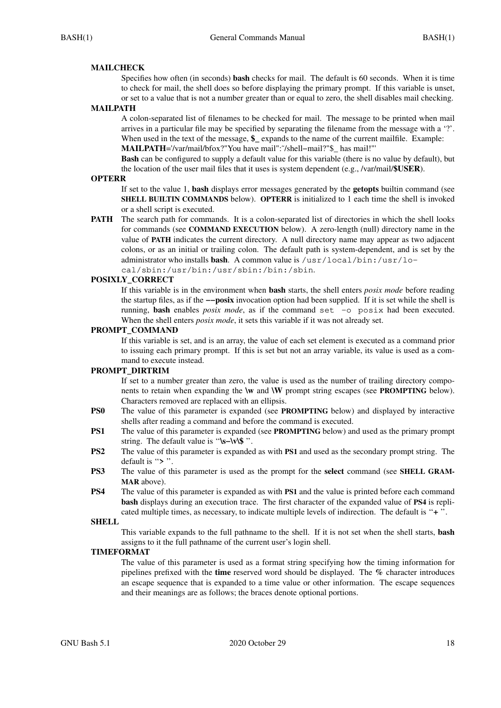# **MAILCHECK**

Specifies how often (in seconds) **bash** checks for mail. The default is 60 seconds. When it is time to check for mail, the shell does so before displaying the primary prompt. If this variable is unset, or set to a value that is not a number greater than or equal to zero, the shell disables mail checking.

## **MAILPATH**

A colon-separated list of filenames to be checked for mail. The message to be printed when mail arrives in a particular file may be specified by separating the filename from the message with a '?'. When used in the text of the message,  $\frac{1}{2}$  expands to the name of the current mailfile. Example: **MAILPATH**='/var/mail/bfox?"You have mail":˜/shell−mail?"\$\_ has mail!"'

**Bash** can be configured to supply a default value for this variable (there is no value by default), but the location of the user mail files that it uses is system dependent (e.g., /var/mail/**\$USER**).

## **OPTERR**

If set to the value 1, **bash** displays error messages generated by the **getopts** builtin command (see **SHELL BUILTIN COMMANDS** below). **OPTERR** is initialized to 1 each time the shell is invoked or a shell script is executed.

**PATH** The search path for commands. It is a colon-separated list of directories in which the shell looks for commands (see **COMMAND EXECUTION** below). A zero-length (null) directory name in the value of **PATH** indicates the current directory. A null directory name may appear as two adjacent colons, or as an initial or trailing colon. The default path is system-dependent, and is set by the administrator who installs **bash**. A common value is /usr/local/bin:/usr/lo-

cal/sbin:/usr/bin:/usr/sbin:/bin:/sbin.

## **POSIXLY\_CORRECT**

If this variable is in the environment when **bash** starts, the shell enters *posix mode* before reading the startup files, as if the **−−posix** invocation option had been supplied. If it is set while the shell is running, **bash** enables *posix mode*, as if the command set -o posix had been executed. When the shell enters *posix mode*, it sets this variable if it was not already set.

## **PROMPT\_COMMAND**

If this variable is set, and is an array, the value of each set element is executed as a command prior to issuing each primary prompt. If this is set but not an array variable, its value is used as a command to execute instead.

#### **PROMPT\_DIRTRIM**

If set to a number greater than zero, the value is used as the number of trailing directory components to retain when expanding the **\w** and **\W** prompt string escapes (see **PROMPTING** below). Characters removed are replaced with an ellipsis.

- **PS0** The value of this parameter is expanded (see **PROMPTING** below) and displayed by interactive shells after reading a command and before the command is executed.
- **PS1** The value of this parameter is expanded (see **PROMPTING** below) and used as the primary prompt string. The default value is ''**\s−\v\\$** ''.
- **PS2** The value of this parameter is expanded as with **PS1** and used as the secondary prompt string. The default is ''**>** ''.
- **PS3** The value of this parameter is used as the prompt for the **select** command (see **SHELL GRAM-MAR** above).
- **PS4** The value of this parameter is expanded as with **PS1** and the value is printed before each command **bash** displays during an execution trace. The first character of the expanded value of **PS4** is replicated multiple times, as necessary, to indicate multiple levels of indirection. The default is ''**+** ''.

#### **SHELL**

This variable expands to the full pathname to the shell. If it is not set when the shell starts, **bash** assigns to it the full pathname of the current user's login shell.

# **TIMEFORMAT**

The value of this parameter is used as a format string specifying how the timing information for pipelines prefixed with the **time** reserved word should be displayed. The **%** character introduces an escape sequence that is expanded to a time value or other information. The escape sequences and their meanings are as follows; the braces denote optional portions.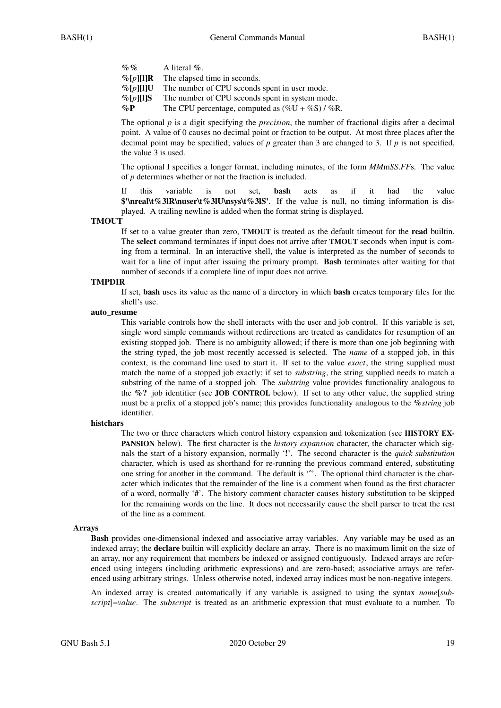| $\mathscr{A}_{\alpha}$ $\mathscr{A}_{\alpha}$ | A literal $\%$ .                                      |
|-----------------------------------------------|-------------------------------------------------------|
| $\mathcal{C}[p][1]$ <b>R</b>                  | The elapsed time in seconds.                          |
| $\%$ [p][l]U                                  | The number of CPU seconds spent in user mode.         |
| $\mathcal{U}[p][1]$ S                         | The number of CPU seconds spent in system mode.       |
| $\mathscr{C}_o$ P                             | The CPU percentage, computed as $(\%U + \%S) / \%R$ . |

The optional *p* is a digit specifying the *precision*, the number of fractional digits after a decimal point. A value of 0 causes no decimal point or fraction to be output. At most three places after the decimal point may be specified; values of *p* greater than 3 are changed to 3. If *p* is not specified, the value 3 is used.

The optional **l** specifies a longer format, including minutes, of the form *MM*m*SS*.*FF*s. The value of *p* determines whether or not the fraction is included.

If this variable is not set, **bash** acts as if it had the value **\$'\nreal\t%3lR\nuser\t%3lU\nsys\t%3lS'**. If the value is null, no timing information is displayed. A trailing newline is added when the format string is displayed.

#### **TMOUT**

If set to a value greater than zero, **TMOUT** is treated as the default timeout for the **read** builtin. The **select** command terminates if input does not arrive after **TMOUT** seconds when input is coming from a terminal. In an interactive shell, the value is interpreted as the number of seconds to wait for a line of input after issuing the primary prompt. **Bash** terminates after waiting for that number of seconds if a complete line of input does not arrive.

#### **TMPDIR**

If set, **bash** uses its value as the name of a directory in which **bash** creates temporary files for the shell's use.

#### **auto\_resume**

This variable controls how the shell interacts with the user and job control. If this variable is set, single word simple commands without redirections are treated as candidates for resumption of an existing stopped job. There is no ambiguity allowed; if there is more than one job beginning with the string typed, the job most recently accessed is selected. The *name* of a stopped job, in this context, is the command line used to start it. If set to the value *exact*, the string supplied must match the name of a stopped job exactly; if set to *substring*, the string supplied needs to match a substring of the name of a stopped job. The *substring* value provides functionality analogous to the **%?** job identifier (see **JOB CONTROL** below). If set to any other value, the supplied string must be a prefix of a stopped job's name; this provides functionality analogous to the **%***string* job identifier.

#### **histchars**

The two or three characters which control history expansion and tokenization (see **HISTORY EX-PANSION** below). The first character is the *history expansion* character, the character which signals the start of a history expansion, normally '**!**'. The second character is the *quick substitution* character, which is used as shorthand for re-running the previous command entered, substituting one string for another in the command. The default is '**ˆ**'. The optional third character is the character which indicates that the remainder of the line is a comment when found as the first character of a word, normally '**#**'. The history comment character causes history substitution to be skipped for the remaining words on the line. It does not necessarily cause the shell parser to treat the rest of the line as a comment.

## **Arrays**

**Bash** provides one-dimensional indexed and associative array variables. Any variable may be used as an indexed array; the **declare** builtin will explicitly declare an array. There is no maximum limit on the size of an array, nor any requirement that members be indexed or assigned contiguously. Indexed arrays are referenced using integers (including arithmetic expressions) and are zero-based; associative arrays are referenced using arbitrary strings. Unless otherwise noted, indexed array indices must be non-negative integers.

An indexed array is created automatically if any variable is assigned to using the syntax *name*[*subscript*]=*value*. The *subscript* is treated as an arithmetic expression that must evaluate to a number. To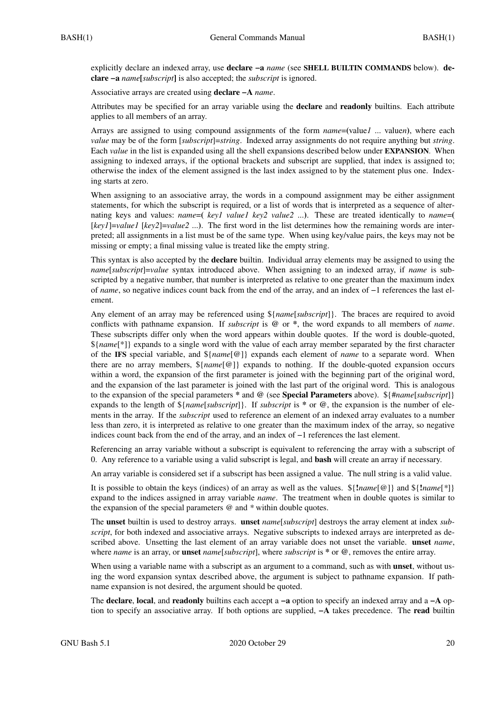explicitly declare an indexed array, use **declare −a** *name* (see **SHELL BUILTIN COMMANDS** below). **declare −a** *name***[***subscript***]** is also accepted; the *subscript* is ignored.

Associative arrays are created using **declare −A** *name*.

Attributes may be specified for an array variable using the **declare** and **readonly** builtins. Each attribute applies to all members of an array.

Arrays are assigned to using compound assignments of the form *name*=**(**value*1* ... value*n***)**, where each *value* may be of the form [*subscript*]=*string*. Indexed array assignments do not require anything but *string*. Each *value* in the list is expanded using all the shell expansions described below under **EXPANSION**. When assigning to indexed arrays, if the optional brackets and subscript are supplied, that index is assigned to; otherwise the index of the element assigned is the last index assigned to by the statement plus one. Indexing starts at zero.

When assigning to an associative array, the words in a compound assignment may be either assignment statements, for which the subscript is required, or a list of words that is interpreted as a sequence of alternating keys and values: *name*=**(** *key1 value1 key2 value2* ...**)**. These are treated identically to *name*=**(** [*key1*]=*value1* [*key2*]=*value2* ...**)**. The first word in the list determines how the remaining words are interpreted; all assignments in a list must be of the same type. When using key/value pairs, the keys may not be missing or empty; a final missing value is treated like the empty string.

This syntax is also accepted by the **declare** builtin. Individual array elements may be assigned to using the *name*[*subscript*]=*value* syntax introduced above. When assigning to an indexed array, if *name* is subscripted by a negative number, that number is interpreted as relative to one greater than the maximum index of *name*, so negative indices count back from the end of the array, and an index of −1 references the last element.

Any element of an array may be referenced using \${*name*[*subscript*]}. The braces are required to avoid conflicts with pathname expansion. If *subscript* is **@** or **\***, the word expands to all members of *name*. These subscripts differ only when the word appears within double quotes. If the word is double-quoted, \${*name*[\*]} expands to a single word with the value of each array member separated by the first character of the **IFS** special variable, and \${*name*[@]} expands each element of *name* to a separate word. When there are no array members, \${*name*[@]} expands to nothing. If the double-quoted expansion occurs within a word, the expansion of the first parameter is joined with the beginning part of the original word, and the expansion of the last parameter is joined with the last part of the original word. This is analogous to the expansion of the special parameters **\*** and **@** (see **Special Parameters** above). \${#*name*[*subscript*]} expands to the length of \${*name*[*subscript*]}. If *subscript* is **\*** or **@**, the expansion is the number of elements in the array. If the *subscript* used to reference an element of an indexed array evaluates to a number less than zero, it is interpreted as relative to one greater than the maximum index of the array, so negative indices count back from the end of the array, and an index of −1 references the last element.

Referencing an array variable without a subscript is equivalent to referencing the array with a subscript of 0. Any reference to a variable using a valid subscript is legal, and **bash** will create an array if necessary.

An array variable is considered set if a subscript has been assigned a value. The null string is a valid value.

It is possible to obtain the keys (indices) of an array as well as the values. \${**!***name*[*@*]} and \${**!***name*[*\**]} expand to the indices assigned in array variable *name*. The treatment when in double quotes is similar to the expansion of the special parameters *@* and *\** within double quotes.

The **unset** builtin is used to destroy arrays. **unset** *name*[*subscript*] destroys the array element at index *subscript*, for both indexed and associative arrays. Negative subscripts to indexed arrays are interpreted as described above. Unsetting the last element of an array variable does not unset the variable. **unset** *name*, where *name* is an array, or **unset** *name*[*subscript*], where *subscript* is **\*** or **@**, removes the entire array.

When using a variable name with a subscript as an argument to a command, such as with **unset**, without using the word expansion syntax described above, the argument is subject to pathname expansion. If pathname expansion is not desired, the argument should be quoted.

The **declare**, **local**, and **readonly** builtins each accept a **−a** option to specify an indexed array and a **−A** option to specify an associative array. If both options are supplied, **−A** takes precedence. The **read** builtin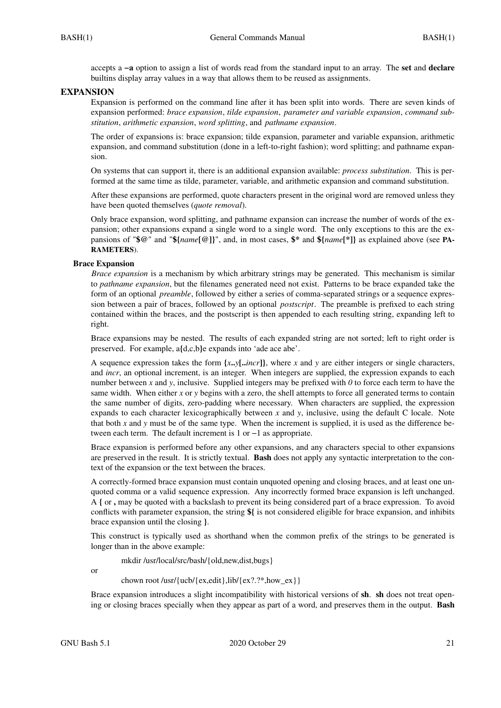accepts a **−a** option to assign a list of words read from the standard input to an array. The **set** and **declare** builtins display array values in a way that allows them to be reused as assignments.

# **EXPANSION**

Expansion is performed on the command line after it has been split into words. There are seven kinds of expansion performed: *brace expansion*, *tilde expansion*, *parameter and variable expansion*, *command substitution*, *arithmetic expansion*, *word splitting*, and *pathname expansion*.

The order of expansions is: brace expansion; tilde expansion, parameter and variable expansion, arithmetic expansion, and command substitution (done in a left-to-right fashion); word splitting; and pathname expansion.

On systems that can support it, there is an additional expansion available: *process substitution*. This is performed at the same time as tilde, parameter, variable, and arithmetic expansion and command substitution.

After these expansions are performed, quote characters present in the original word are removed unless they have been quoted themselves (*quote removal*).

Only brace expansion, word splitting, and pathname expansion can increase the number of words of the expansion; other expansions expand a single word to a single word. The only exceptions to this are the expansions of "**\$@**" and "**\${***name***[@]}**", and, in most cases, **\$\*** and **\${***name***[\*]}** as explained above (see **PA-RAMETERS**).

# **Brace Expansion**

*Brace expansion* is a mechanism by which arbitrary strings may be generated. This mechanism is similar to *pathname expansion*, but the filenames generated need not exist. Patterns to be brace expanded take the form of an optional *preamble*, followed by either a series of comma-separated strings or a sequence expression between a pair of braces, followed by an optional *postscript*. The preamble is prefixed to each string contained within the braces, and the postscript is then appended to each resulting string, expanding left to right.

Brace expansions may be nested. The results of each expanded string are not sorted; left to right order is preserved. For example, a**{**d,c,b**}**e expands into 'ade ace abe'.

A sequence expression takes the form **{***x***..***y***[..***incr***]}**, where *x* and *y* are either integers or single characters, and *incr*, an optional increment, is an integer. When integers are supplied, the expression expands to each number between *x* and *y*, inclusive. Supplied integers may be prefixed with  $\theta$  to force each term to have the same width. When either *x* or *y* begins with a zero, the shell attempts to force all generated terms to contain the same number of digits, zero-padding where necessary. When characters are supplied, the expression expands to each character lexicographically between *x* and *y*, inclusive, using the default C locale. Note that both *x* and *y* must be of the same type. When the increment is supplied, it is used as the difference between each term. The default increment is 1 or −1 as appropriate.

Brace expansion is performed before any other expansions, and any characters special to other expansions are preserved in the result. It is strictly textual. **Bash** does not apply any syntactic interpretation to the context of the expansion or the text between the braces.

A correctly-formed brace expansion must contain unquoted opening and closing braces, and at least one unquoted comma or a valid sequence expression. Any incorrectly formed brace expansion is left unchanged. A **{** or **,** may be quoted with a backslash to prevent its being considered part of a brace expression. To avoid conflicts with parameter expansion, the string **\${** is not considered eligible for brace expansion, and inhibits brace expansion until the closing **}**.

This construct is typically used as shorthand when the common prefix of the strings to be generated is longer than in the above example:

or

chown root /usr/{ucb/{ex,edit},lib/{ex?.?\*,how\_ex}}

mkdir /usr/local/src/bash/{old,new,dist,bugs}

Brace expansion introduces a slight incompatibility with historical versions of **sh**. **sh** does not treat opening or closing braces specially when they appear as part of a word, and preserves them in the output. **Bash**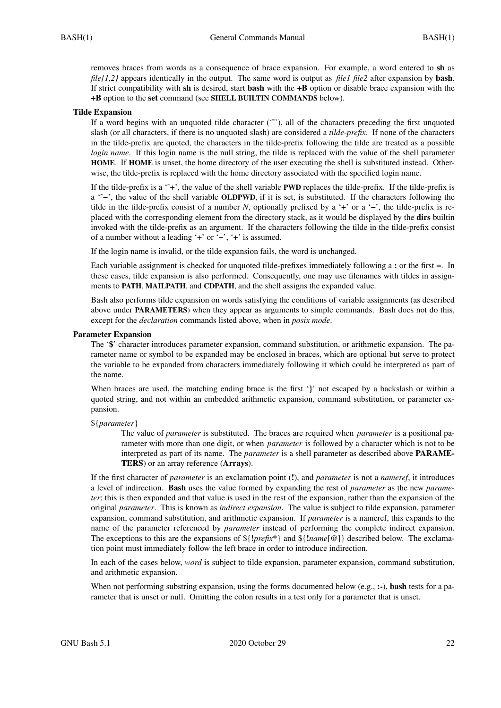removes braces from words as a consequence of brace expansion. For example, a word entered to **sh** as *file{1,2}* appears identically in the output. The same word is output as *file1 file2* after expansion by **bash**. If strict compatibility with **sh** is desired, start **bash** with the **+B** option or disable brace expansion with the **+B** option to the **set** command (see **SHELL BUILTIN COMMANDS** below).

#### **Tilde Expansion**

If a word begins with an unquoted tilde character ('**˜**'), all of the characters preceding the first unquoted slash (or all characters, if there is no unquoted slash) are considered a *tilde-prefix*. If none of the characters in the tilde-prefix are quoted, the characters in the tilde-prefix following the tilde are treated as a possible *login name*. If this login name is the null string, the tilde is replaced with the value of the shell parameter **HOME**. If **HOME** is unset, the home directory of the user executing the shell is substituted instead. Otherwise, the tilde-prefix is replaced with the home directory associated with the specified login name.

If the tilde-prefix is a '˜+', the value of the shell variable **PWD** replaces the tilde-prefix. If the tilde-prefix is a '˜−', the value of the shell variable **OLDPWD**, if it is set, is substituted. If the characters following the tilde in the tilde-prefix consist of a number *N*, optionally prefixed by a '+' or a '−', the tilde-prefix is replaced with the corresponding element from the directory stack, as it would be displayed by the **dirs** builtin invoked with the tilde-prefix as an argument. If the characters following the tilde in the tilde-prefix consist of a number without a leading '+' or '−', '+' is assumed.

If the login name is invalid, or the tilde expansion fails, the word is unchanged.

Each variable assignment is checked for unquoted tilde-prefixes immediately following a **:** or the first **=**. In these cases, tilde expansion is also performed. Consequently, one may use filenames with tildes in assignments to **PATH**, **MAILPATH**, and **CDPATH**, and the shell assigns the expanded value.

Bash also performs tilde expansion on words satisfying the conditions of variable assignments (as described above under **PARAMETERS**) when they appear as arguments to simple commands. Bash does not do this, except for the *declaration* commands listed above, when in *posix mode*.

### **Parameter Expansion**

The '**\$**' character introduces parameter expansion, command substitution, or arithmetic expansion. The parameter name or symbol to be expanded may be enclosed in braces, which are optional but serve to protect the variable to be expanded from characters immediately following it which could be interpreted as part of the name.

When braces are used, the matching ending brace is the first '**}**' not escaped by a backslash or within a quoted string, and not within an embedded arithmetic expansion, command substitution, or parameter expansion.

\${*parameter*}

The value of *parameter* is substituted. The braces are required when *parameter* is a positional parameter with more than one digit, or when *parameter* is followed by a character which is not to be interpreted as part of its name. The *parameter* is a shell parameter as described above **PARAME-TERS**) or an array reference (**Arrays**).

If the first character of *parameter* is an exclamation point (**!**), and *parameter* is not a *nameref*, it introduces a level of indirection. **Bash** uses the value formed by expanding the rest of *parameter* as the new *parameter*; this is then expanded and that value is used in the rest of the expansion, rather than the expansion of the original *parameter*. This is known as *indirect expansion*. The value is subject to tilde expansion, parameter expansion, command substitution, and arithmetic expansion. If *parameter* is a nameref, this expands to the name of the parameter referenced by *parameter* instead of performing the complete indirect expansion. The exceptions to this are the expansions of \${**!***prefix***\***} and \${**!***name*[*@*]} described below. The exclamation point must immediately follow the left brace in order to introduce indirection.

In each of the cases below, *word* is subject to tilde expansion, parameter expansion, command substitution, and arithmetic expansion.

When not performing substring expansion, using the forms documented below (e.g., :-), **bash** tests for a parameter that is unset or null. Omitting the colon results in a test only for a parameter that is unset.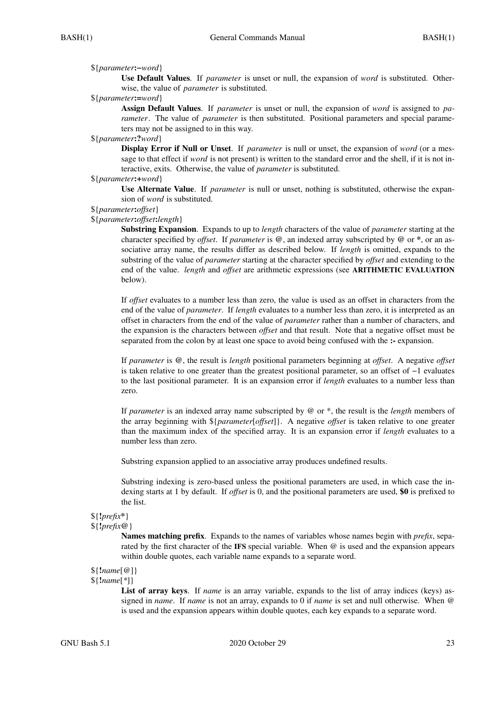#### \${*parameter***:−***word*}

**Use Default Values**. If *parameter* is unset or null, the expansion of *word* is substituted. Otherwise, the value of *parameter* is substituted.

#### \${*parameter***:=***word*}

**Assign Default Values**. If *parameter* is unset or null, the expansion of *word* is assigned to *parameter*. The value of *parameter* is then substituted. Positional parameters and special parameters may not be assigned to in this way.

#### \${*parameter***:?***word*}

**Display Error if Null or Unset**. If *parameter* is null or unset, the expansion of *word* (or a message to that effect if *word* is not present) is written to the standard error and the shell, if it is not interactive, exits. Otherwise, the value of *parameter* is substituted.

#### \${*parameter***:+***word*}

**Use Alternate Value**. If *parameter* is null or unset, nothing is substituted, otherwise the expansion of *word* is substituted.

#### \${*parameter***:***offset*}

#### \${*parameter***:***offset***:***length*}

**Substring Expansion**. Expands to up to *length* characters of the value of *parameter* starting at the character specified by *offset*. If *parameter* is **@**, an indexed array subscripted by **@** or **\***, or an associative array name, the results differ as described below. If *length* is omitted, expands to the substring of the value of *parameter* starting at the character specified by *offset* and extending to the end of the value. *length* and *offset* are arithmetic expressions (see **ARITHMETIC EVALUATION** below).

If *offset* evaluates to a number less than zero, the value is used as an offset in characters from the end of the value of *parameter*. If *length* evaluates to a number less than zero, it is interpreted as an offset in characters from the end of the value of *parameter* rather than a number of characters, and the expansion is the characters between *offset* and that result. Note that a negative offset must be separated from the colon by at least one space to avoid being confused with the **:-** expansion.

If *parameter* is **@**, the result is *length* positional parameters beginning at *offset*. A negative *offset* is taken relative to one greater than the greatest positional parameter, so an offset of −1 evaluates to the last positional parameter. It is an expansion error if *length* evaluates to a number less than zero.

If *parameter* is an indexed array name subscripted by @ or \*, the result is the *length* members of the array beginning with \${*parameter*[*offset*]}. A negative *offset* is taken relative to one greater than the maximum index of the specified array. It is an expansion error if *length* evaluates to a number less than zero.

Substring expansion applied to an associative array produces undefined results.

Substring indexing is zero-based unless the positional parameters are used, in which case the indexing starts at 1 by default. If *offset* is 0, and the positional parameters are used, **\$0** is prefixed to the list.

# \${**!***prefix***\***}

## \${**!***prefix***@**}

**Names matching prefix**. Expands to the names of variables whose names begin with *prefix*, separated by the first character of the **IFS** special variable. When *@* is used and the expansion appears within double quotes, each variable name expands to a separate word.

# \${**!***name*[*@*]}

## \${**!***name*[*\**]}

List of array keys. If *name* is an array variable, expands to the list of array indices (keys) assigned in *name*. If *name* is not an array, expands to 0 if *name* is set and null otherwise. When *@* is used and the expansion appears within double quotes, each key expands to a separate word.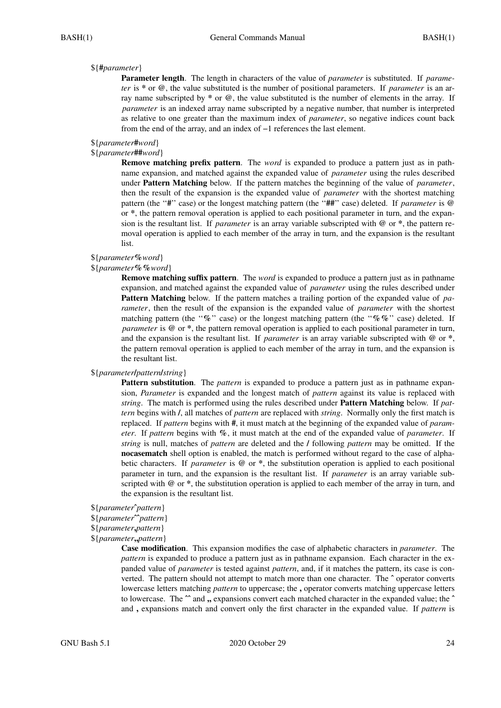#### \${**#***parameter*}

**Parameter length**. The length in characters of the value of *parameter* is substituted. If *parameter* is **\*** or **@**, the value substituted is the number of positional parameters. If *parameter* is an array name subscripted by **\*** or **@**, the value substituted is the number of elements in the array. If *parameter* is an indexed array name subscripted by a negative number, that number is interpreted as relative to one greater than the maximum index of *parameter*, so negative indices count back from the end of the array, and an index of −1 references the last element.

## \${*parameter***#***word*}

## \${*parameter***##***word*}

**Remove matching prefix pattern**. The *word* is expanded to produce a pattern just as in pathname expansion, and matched against the expanded value of *parameter* using the rules described under **Pattern Matching** below. If the pattern matches the beginning of the value of *parameter*, then the result of the expansion is the expanded value of *parameter* with the shortest matching pattern (the ''**#**'' case) or the longest matching pattern (the ''**##**'' case) deleted. If *parameter* is **@** or **\***, the pattern removal operation is applied to each positional parameter in turn, and the expansion is the resultant list. If *parameter* is an array variable subscripted with **@** or **\***, the pattern removal operation is applied to each member of the array in turn, and the expansion is the resultant list.

# \${*parameter***%***word*}

\${*parameter***%%***word*}

**Remove matching suffix pattern**. The *word* is expanded to produce a pattern just as in pathname expansion, and matched against the expanded value of *parameter* using the rules described under **Pattern Matching** below. If the pattern matches a trailing portion of the expanded value of *parameter*, then the result of the expansion is the expanded value of *parameter* with the shortest matching pattern (the ''**%**'' case) or the longest matching pattern (the ''**%%**'' case) deleted. If *parameter* is **@** or **\***, the pattern removal operation is applied to each positional parameter in turn, and the expansion is the resultant list. If *parameter* is an array variable subscripted with **@** or **\***, the pattern removal operation is applied to each member of the array in turn, and the expansion is the resultant list.

#### \${*parameter***/***pattern***/***string*}

**Pattern substitution**. The *pattern* is expanded to produce a pattern just as in pathname expansion, *Parameter* is expanded and the longest match of *pattern* against its value is replaced with *string*. The match is performed using the rules described under **Pattern Matching** below. If *pattern* begins with **/**, all matches of *pattern* are replaced with *string*. Normally only the first match is replaced. If *pattern* begins with **#**, it must match at the beginning of the expanded value of *parameter*. If *pattern* begins with **%**, it must match at the end of the expanded value of *parameter*. If *string* is null, matches of *pattern* are deleted and the **/** following *pattern* may be omitted. If the **nocasematch** shell option is enabled, the match is performed without regard to the case of alphabetic characters. If *parameter* is **@** or **\***, the substitution operation is applied to each positional parameter in turn, and the expansion is the resultant list. If *parameter* is an array variable subscripted with **@** or **\***, the substitution operation is applied to each member of the array in turn, and the expansion is the resultant list.

- \${*parameter***ˆ***pattern*}
- \${*parameter***ˆˆ***pattern*}
- \${*parameter***,***pattern*}
- \${*parameter***,,***pattern*}

**Case modification**. This expansion modifies the case of alphabetic characters in *parameter*. The *pattern* is expanded to produce a pattern just as in pathname expansion. Each character in the expanded value of *parameter* is tested against *pattern*, and, if it matches the pattern, its case is converted. The pattern should not attempt to match more than one character. The **ˆ** operator converts lowercase letters matching *pattern* to uppercase; the **,** operator converts matching uppercase letters to lowercase. The **ˆˆ** and **,,** expansions convert each matched character in the expanded value; the **ˆ** and **,** expansions match and convert only the first character in the expanded value. If *pattern* is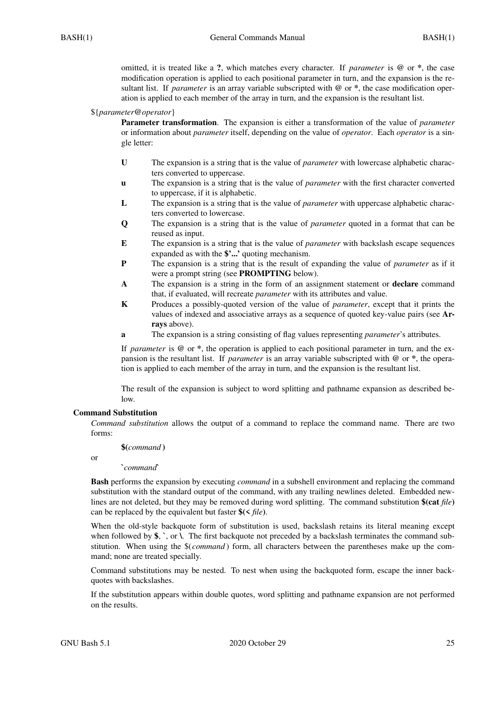omitted, it is treated like a **?**, which matches every character. If *parameter* is **@** or **\***, the case modification operation is applied to each positional parameter in turn, and the expansion is the resultant list. If *parameter* is an array variable subscripted with **@** or **\***, the case modification operation is applied to each member of the array in turn, and the expansion is the resultant list.

#### \${*parameter***@***operator*}

**Parameter transformation**. The expansion is either a transformation of the value of *parameter* or information about *parameter* itself, depending on the value of *operator*. Each *operator* is a single letter:

- **U** The expansion is a string that is the value of *parameter* with lowercase alphabetic characters converted to uppercase.
- **u** The expansion is a string that is the value of *parameter* with the first character converted to uppercase, if it is alphabetic.
- **L** The expansion is a string that is the value of *parameter* with uppercase alphabetic characters converted to lowercase.
- **Q** The expansion is a string that is the value of *parameter* quoted in a format that can be reused as input.
- **E** The expansion is a string that is the value of *parameter* with backslash escape sequences expanded as with the **\$'...'** quoting mechanism.
- **P** The expansion is a string that is the result of expanding the value of *parameter* as if it were a prompt string (see **PROMPTING** below).
- **A** The expansion is a string in the form of an assignment statement or **declare** command that, if evaluated, will recreate *parameter* with its attributes and value.
- **K** Produces a possibly-quoted version of the value of *parameter*, except that it prints the values of indexed and associative arrays as a sequence of quoted key-value pairs (see **Arrays** above).
- **a** The expansion is a string consisting of flag values representing *parameter*'s attributes.

If *parameter* is **@** or **\***, the operation is applied to each positional parameter in turn, and the expansion is the resultant list. If *parameter* is an array variable subscripted with **@** or **\***, the operation is applied to each member of the array in turn, and the expansion is the resultant list.

The result of the expansion is subject to word splitting and pathname expansion as described below.

#### **Command Substitution**

*Command substitution* allows the output of a command to replace the command name. There are two forms:

#### **\$(***command* **)**

or

**`***command***`**

**Bash** performs the expansion by executing *command* in a subshell environment and replacing the command substitution with the standard output of the command, with any trailing newlines deleted. Embedded newlines are not deleted, but they may be removed during word splitting. The command substitution **\$(cat** *file***)** can be replaced by the equivalent but faster **\$(<** *file***)**.

When the old-style backquote form of substitution is used, backslash retains its literal meaning except when followed by **\$**, **`**, or **\**. The first backquote not preceded by a backslash terminates the command substitution. When using the \$(*command* ) form, all characters between the parentheses make up the command; none are treated specially.

Command substitutions may be nested. To nest when using the backquoted form, escape the inner backquotes with backslashes.

If the substitution appears within double quotes, word splitting and pathname expansion are not performed on the results.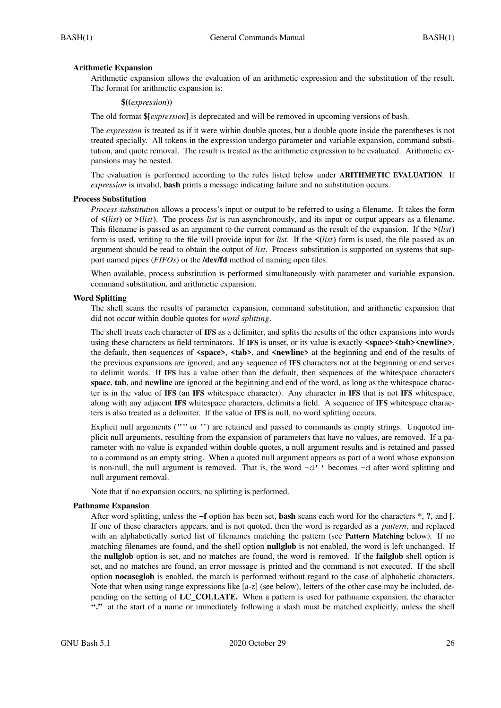## **Arithmetic Expansion**

Arithmetic expansion allows the evaluation of an arithmetic expression and the substitution of the result. The format for arithmetic expansion is:

#### **\$((***expression***))**

The old format **\$[***expression***]** is deprecated and will be removed in upcoming versions of bash.

The *expression* is treated as if it were within double quotes, but a double quote inside the parentheses is not treated specially. All tokens in the expression undergo parameter and variable expansion, command substitution, and quote removal. The result is treated as the arithmetic expression to be evaluated. Arithmetic expansions may be nested.

The evaluation is performed according to the rules listed below under **ARITHMETIC EVALUATION**. If *expression* is invalid, **bash** prints a message indicating failure and no substitution occurs.

# **Process Substitution**

*Process substitution* allows a process's input or output to be referred to using a filename. It takes the form of **<(***list***)** or **>(***list***)**. The process *list* is run asynchronously, and its input or output appears as a filename. This filename is passed as an argument to the current command as the result of the expansion. If the **>(***list***)** form is used, writing to the file will provide input for *list*. If the **<(***list***)** form is used, the file passed as an argument should be read to obtain the output of *list*. Process substitution is supported on systems that support named pipes (*FIFOs*) or the **/dev/fd** method of naming open files.

When available, process substitution is performed simultaneously with parameter and variable expansion, command substitution, and arithmetic expansion.

#### **Word Splitting**

The shell scans the results of parameter expansion, command substitution, and arithmetic expansion that did not occur within double quotes for *word splitting*.

The shell treats each character of **IFS** as a delimiter, and splits the results of the other expansions into words using these characters as field terminators. If **IFS** is unset, or its value is exactly **<space> <tab>**<mewline>, the default, then sequences of **\langle</math> space<math>\rangle</math>, <math>\langle</math> tab<math>\rangle</math>, and <math>\langle</math> newline<math>\rangle</math> at the beginning and end of the results of** the previous expansions are ignored, and any sequence of **IFS** characters not at the beginning or end serves to delimit words. If **IFS** has a value other than the default, then sequences of the whitespace characters **space**, **tab**, and **newline** are ignored at the beginning and end of the word, as long as the whitespace character is in the value of **IFS** (an **IFS** whitespace character). Any character in **IFS** that is not **IFS** whitespace, along with any adjacent **IFS** whitespace characters, delimits a field. A sequence of **IFS** whitespace characters is also treated as a delimiter. If the value of **IFS** is null, no word splitting occurs.

Explicit null arguments (**""** or **''**) are retained and passed to commands as empty strings. Unquoted implicit null arguments, resulting from the expansion of parameters that have no values, are removed. If a parameter with no value is expanded within double quotes, a null argument results and is retained and passed to a command as an empty string. When a quoted null argument appears as part of a word whose expansion is non-null, the null argument is removed. That is, the word −d' ' becomes −d after word splitting and null argument removal.

Note that if no expansion occurs, no splitting is performed.

#### **Pathname Expansion**

After word splitting, unless the **−f** option has been set, **bash** scans each word for the characters **\***, **?**, and **[**. If one of these characters appears, and is not quoted, then the word is regarded as a *pattern*, and replaced with an alphabetically sorted list of filenames matching the pattern (see **Pattern Matching** below). If no matching filenames are found, and the shell option **nullglob** is not enabled, the word is left unchanged. If the **nullglob** option is set, and no matches are found, the word is removed. If the **failglob** shell option is set, and no matches are found, an error message is printed and the command is not executed. If the shell option **nocaseglob** is enabled, the match is performed without regard to the case of alphabetic characters. Note that when using range expressions like [a-z] (see below), letters of the other case may be included, depending on the setting of **LC\_COLLATE.** When a pattern is used for pathname expansion, the character **''.''** at the start of a name or immediately following a slash must be matched explicitly, unless the shell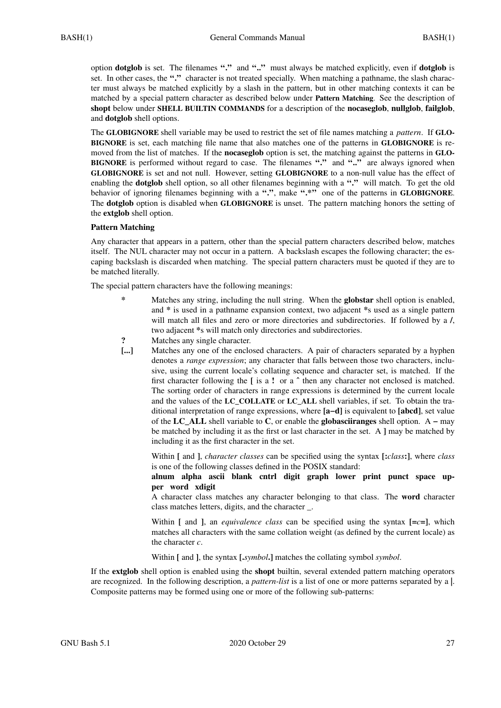option **dotglob** is set. The filenames **''.''** and **''..''** must always be matched explicitly, even if **dotglob** is set. In other cases, the "." character is not treated specially. When matching a pathname, the slash character must always be matched explicitly by a slash in the pattern, but in other matching contexts it can be matched by a special pattern character as described below under **Pattern Matching**. See the description of **shopt** below under **SHELL BUILTIN COMMANDS** for a description of the **nocaseglob**, **nullglob**, **failglob**, and **dotglob** shell options.

The **GLOBIGNORE** shell variable may be used to restrict the set of file names matching a *pattern*. If **GLO-BIGNORE** is set, each matching file name that also matches one of the patterns in **GLOBIGNORE** is removed from the list of matches. If the **nocaseglob** option is set, the matching against the patterns in **GLO-BIGNORE** is performed without regard to case. The filenames "." and ".." are always ignored when **GLOBIGNORE** is set and not null. However, setting **GLOBIGNORE** to a non-null value has the effect of enabling the **dotglob** shell option, so all other filenames beginning with a "." will match. To get the old behavior of ignoring filenames beginning with a **''.''**, make **''.\*''** one of the patterns in **GLOBIGNORE**. The **dotglob** option is disabled when **GLOBIGNORE** is unset. The pattern matching honors the setting of the **extglob** shell option.

#### **Pattern Matching**

Any character that appears in a pattern, other than the special pattern characters described below, matches itself. The NUL character may not occur in a pattern. A backslash escapes the following character; the escaping backslash is discarded when matching. The special pattern characters must be quoted if they are to be matched literally.

The special pattern characters have the following meanings:

- **\*** Matches any string, including the null string. When the **globstar** shell option is enabled, and **\*** is used in a pathname expansion context, two adjacent **\***s used as a single pattern will match all files and zero or more directories and subdirectories. If followed by a **/**, two adjacent **\***s will match only directories and subdirectories.
- **?** Matches any single character.
- [...] Matches any one of the enclosed characters. A pair of characters separated by a hyphen denotes a *range expression*; any character that falls between those two characters, inclusive, using the current locale's collating sequence and character set, is matched. If the first character following the **[** is a **!** or a **ˆ** then any character not enclosed is matched. The sorting order of characters in range expressions is determined by the current locale and the values of the **LC\_COLLATE** or **LC\_ALL** shell variables, if set. To obtain the traditional interpretation of range expressions, where **[a−d]** is equivalent to **[abcd]**, set value of the **LC\_ALL** shell variable to **C**, or enable the **globasciiranges** shell option. A **−** may be matched by including it as the first or last character in the set. A **]** may be matched by including it as the first character in the set.

Within **[** and **]**, *character classes* can be specified using the syntax **[:***class***:]**, where *class* is one of the following classes defined in the POSIX standard:

**alnum alpha ascii blank cntrl digit graph lower print punct space upper word xdigit**

A character class matches any character belonging to that class. The **word** character class matches letters, digits, and the character \_.

Within  $\left[$  and  $\right]$ , an *equivalence class* can be specified using the syntax  $\left[ =c= \right]$ , which matches all characters with the same collation weight (as defined by the current locale) as the character *c*.

Within **[** and **]**, the syntax **[.***symbol***.]** matches the collating symbol *symbol*.

If the **extglob** shell option is enabled using the **shopt** builtin, several extended pattern matching operators are recognized. In the following description, a *pattern-list* is a list of one or more patterns separated by a **|**. Composite patterns may be formed using one or more of the following sub-patterns: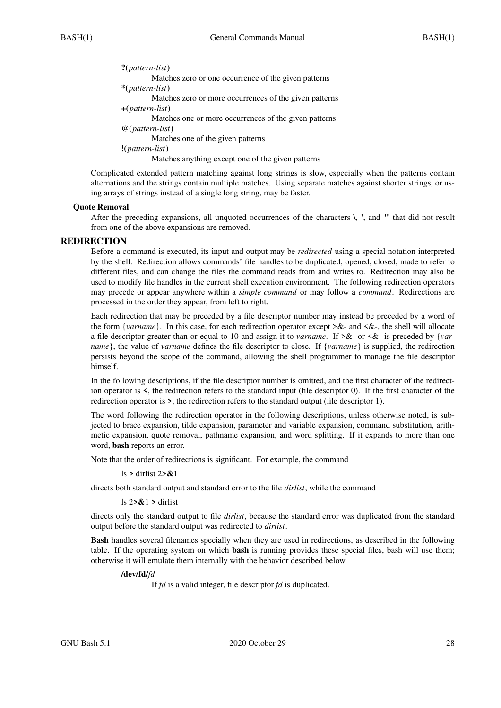**?(***pattern-list***)** Matches zero or one occurrence of the given patterns **\*(***pattern-list***)** Matches zero or more occurrences of the given patterns **+(***pattern-list***)** Matches one or more occurrences of the given patterns **@(***pattern-list***)** Matches one of the given patterns **!(***pattern-list***)** Matches anything except one of the given patterns

Complicated extended pattern matching against long strings is slow, especially when the patterns contain alternations and the strings contain multiple matches. Using separate matches against shorter strings, or using arrays of strings instead of a single long string, may be faster.

## **Quote Removal**

After the preceding expansions, all unquoted occurrences of the characters **\**, **'**, and **"** that did not result from one of the above expansions are removed.

## **REDIRECTION**

Before a command is executed, its input and output may be *redirected* using a special notation interpreted by the shell. Redirection allows commands' file handles to be duplicated, opened, closed, made to refer to different files, and can change the files the command reads from and writes to. Redirection may also be used to modify file handles in the current shell execution environment. The following redirection operators may precede or appear anywhere within a *simple command* or may follow a *command*. Redirections are processed in the order they appear, from left to right.

Each redirection that may be preceded by a file descriptor number may instead be preceded by a word of the form {*varname*}. In this case, for each redirection operator except >&- and <&-, the shell will allocate a file descriptor greater than or equal to 10 and assign it to *varname*. If >&- or <&- is preceded by {*varname*}, the value of *varname* defines the file descriptor to close. If {*varname*} is supplied, the redirection persists beyond the scope of the command, allowing the shell programmer to manage the file descriptor himself.

In the following descriptions, if the file descriptor number is omitted, and the first character of the redirection operator is **<**, the redirection refers to the standard input (file descriptor 0). If the first character of the redirection operator is **>**, the redirection refers to the standard output (file descriptor 1).

The word following the redirection operator in the following descriptions, unless otherwise noted, is subjected to brace expansion, tilde expansion, parameter and variable expansion, command substitution, arithmetic expansion, quote removal, pathname expansion, and word splitting. If it expands to more than one word, **bash** reports an error.

Note that the order of redirections is significant. For example, the command

ls **>** dirlist 2**>&**1

directs both standard output and standard error to the file *dirlist*, while the command

ls 2**>&**1 **>** dirlist

directs only the standard output to file *dirlist*, because the standard error was duplicated from the standard output before the standard output was redirected to *dirlist*.

**Bash** handles several filenames specially when they are used in redirections, as described in the following table. If the operating system on which **bash** is running provides these special files, bash will use them; otherwise it will emulate them internally with the behavior described below.

#### **/dev/fd/***fd*

If *fd* is a valid integer, file descriptor *fd* is duplicated.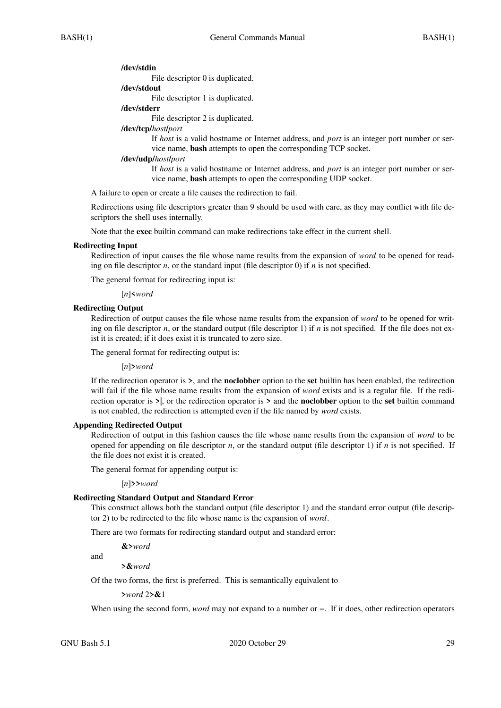# **/dev/stdin**

File descriptor 0 is duplicated.

# **/dev/stdout**

File descriptor 1 is duplicated.

# **/dev/stderr**

File descriptor 2 is duplicated.

# **/dev/tcp/***host***/***port*

If *host* is a valid hostname or Internet address, and *port* is an integer port number or service name, **bash** attempts to open the corresponding TCP socket.

## **/dev/udp/***host***/***port*

If *host* is a valid hostname or Internet address, and *port* is an integer port number or service name, **bash** attempts to open the corresponding UDP socket.

A failure to open or create a file causes the redirection to fail.

Redirections using file descriptors greater than 9 should be used with care, as they may conflict with file descriptors the shell uses internally.

Note that the **exec** builtin command can make redirections take effect in the current shell.

# **Redirecting Input**

Redirection of input causes the file whose name results from the expansion of *word* to be opened for reading on file descriptor *n*, or the standard input (file descriptor 0) if *n* is not specified.

The general format for redirecting input is:

[*n*]**<***word*

# **Redirecting Output**

Redirection of output causes the file whose name results from the expansion of *word* to be opened for writing on file descriptor *n*, or the standard output (file descriptor 1) if *n* is not specified. If the file does not exist it is created; if it does exist it is truncated to zero size.

The general format for redirecting output is:

[*n*]**>***word*

If the redirection operator is **>**, and the **noclobber** option to the **set** builtin has been enabled, the redirection will fail if the file whose name results from the expansion of *word* exists and is a regular file. If the redirection operator is **>|**, or the redirection operator is **>** and the **noclobber** option to the **set** builtin command is not enabled, the redirection is attempted even if the file named by *word* exists.

# **Appending Redirected Output**

Redirection of output in this fashion causes the file whose name results from the expansion of *word* to be opened for appending on file descriptor *n*, or the standard output (file descriptor 1) if *n* is not specified. If the file does not exist it is created.

The general format for appending output is:

[*n*]**>>***word*

# **Redirecting Standard Output and Standard Error**

This construct allows both the standard output (file descriptor 1) and the standard error output (file descriptor 2) to be redirected to the file whose name is the expansion of *word*.

There are two formats for redirecting standard output and standard error:

**&>***word*

and

**>&***word*

Of the two forms, the first is preferred. This is semantically equivalent to

**>***word* 2**>&**1

When using the second form, *word* may not expand to a number or −. If it does, other redirection operators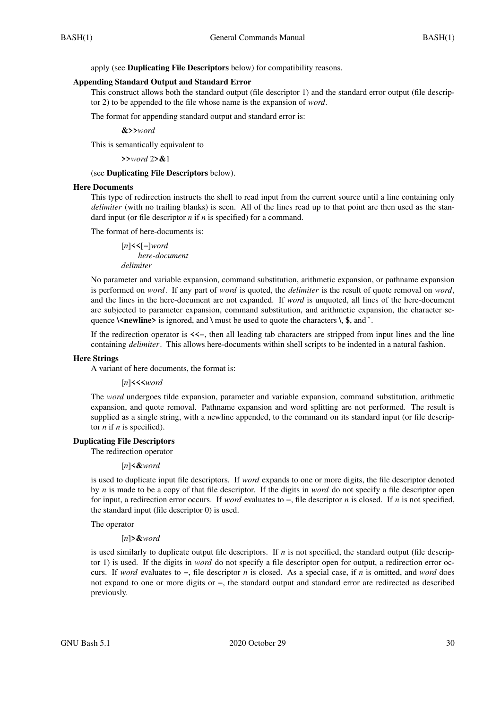apply (see **Duplicating File Descriptors** below) for compatibility reasons.

#### **Appending Standard Output and Standard Error**

This construct allows both the standard output (file descriptor 1) and the standard error output (file descriptor 2) to be appended to the file whose name is the expansion of *word*.

The format for appending standard output and standard error is:

**&>>***word*

This is semantically equivalent to

**>>***word* 2**>&**1

### (see **Duplicating File Descriptors** below).

#### **Here Documents**

This type of redirection instructs the shell to read input from the current source until a line containing only *delimiter* (with no trailing blanks) is seen. All of the lines read up to that point are then used as the standard input (or file descriptor *n* if *n* is specified) for a command.

The format of here-documents is:

[*n*]**<<**[**−**]*word here-document delimiter*

No parameter and variable expansion, command substitution, arithmetic expansion, or pathname expansion is performed on *word*. If any part of *word* is quoted, the *delimiter* is the result of quote removal on *word*, and the lines in the here-document are not expanded. If *word* is unquoted, all lines of the here-document are subjected to parameter expansion, command substitution, and arithmetic expansion, the character sequence **\<newline>** is ignored, and **\** must be used to quote the characters **\**, **\$**, and **`**.

If the redirection operator is  $\leq$  -, then all leading tab characters are stripped from input lines and the line containing *delimiter*. This allows here-documents within shell scripts to be indented in a natural fashion.

#### **Here Strings**

A variant of here documents, the format is:

[*n*]**<<<***word*

The *word* undergoes tilde expansion, parameter and variable expansion, command substitution, arithmetic expansion, and quote removal. Pathname expansion and word splitting are not performed. The result is supplied as a single string, with a newline appended, to the command on its standard input (or file descriptor *n* if *n* is specified).

#### **Duplicating File Descriptors**

The redirection operator

#### [*n*]**<&***word*

is used to duplicate input file descriptors. If *word* expands to one or more digits, the file descriptor denoted by *n* is made to be a copy of that file descriptor. If the digits in *word* do not specify a file descriptor open for input, a redirection error occurs. If *word* evaluates to **−**, file descriptor *n* is closed. If *n* is not specified, the standard input (file descriptor 0) is used.

#### The operator

#### [*n*]**>&***word*

is used similarly to duplicate output file descriptors. If  $n$  is not specified, the standard output (file descriptor 1) is used. If the digits in *word* do not specify a file descriptor open for output, a redirection error occurs. If *word* evaluates to **−**, file descriptor *n* is closed. As a special case, if *n* is omitted, and *word* does not expand to one or more digits or **−**, the standard output and standard error are redirected as described previously.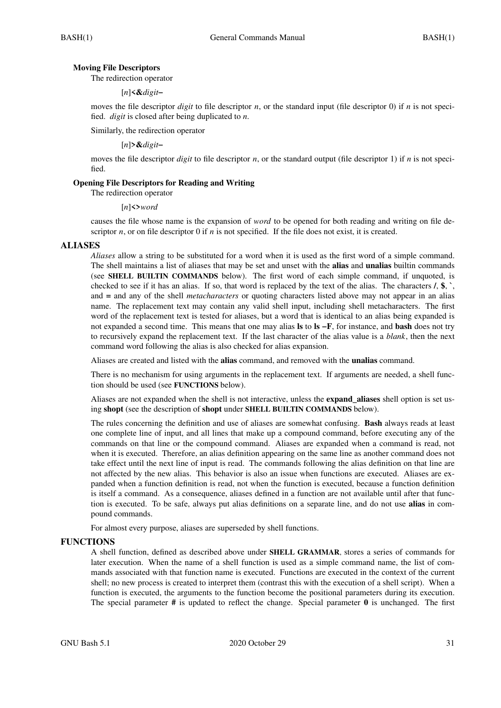## **Moving File Descriptors**

The redirection operator

[*n*]**<&***digit***−**

moves the file descriptor *digit* to file descriptor *n*, or the standard input (file descriptor 0) if *n* is not specified. *digit* is closed after being duplicated to *n*.

Similarly, the redirection operator

[*n*]**>&***digit***−**

moves the file descriptor *digit* to file descriptor *n*, or the standard output (file descriptor 1) if *n* is not specified.

#### **Opening File Descriptors for Reading and Writing**

The redirection operator

#### [*n*]**<>***word*

causes the file whose name is the expansion of *word* to be opened for both reading and writing on file descriptor *n*, or on file descriptor 0 if *n* is not specified. If the file does not exist, it is created.

#### **ALIASES**

*Aliases* allow a string to be substituted for a word when it is used as the first word of a simple command. The shell maintains a list of aliases that may be set and unset with the **alias** and **unalias** builtin commands (see **SHELL BUILTIN COMMANDS** below). The first word of each simple command, if unquoted, is checked to see if it has an alias. If so, that word is replaced by the text of the alias. The characters **/**, **\$**, **`**, and **=** and any of the shell *metacharacters* or quoting characters listed above may not appear in an alias name. The replacement text may contain any valid shell input, including shell metacharacters. The first word of the replacement text is tested for aliases, but a word that is identical to an alias being expanded is not expanded a second time. This means that one may alias **ls** to **ls −F**, for instance, and **bash** does not try to recursively expand the replacement text. If the last character of the alias value is a *blank*, then the next command word following the alias is also checked for alias expansion.

Aliases are created and listed with the **alias** command, and removed with the **unalias** command.

There is no mechanism for using arguments in the replacement text. If arguments are needed, a shell function should be used (see **FUNCTIONS** below).

Aliases are not expanded when the shell is not interactive, unless the **expand\_aliases** shell option is set using **shopt** (see the description of **shopt** under **SHELL BUILTIN COMMANDS** below).

The rules concerning the definition and use of aliases are somewhat confusing. **Bash** always reads at least one complete line of input, and all lines that make up a compound command, before executing any of the commands on that line or the compound command. Aliases are expanded when a command is read, not when it is executed. Therefore, an alias definition appearing on the same line as another command does not take effect until the next line of input is read. The commands following the alias definition on that line are not affected by the new alias. This behavior is also an issue when functions are executed. Aliases are expanded when a function definition is read, not when the function is executed, because a function definition is itself a command. As a consequence, aliases defined in a function are not available until after that function is executed. To be safe, always put alias definitions on a separate line, and do not use **alias** in compound commands.

For almost every purpose, aliases are superseded by shell functions.

#### **FUNCTIONS**

A shell function, defined as described above under **SHELL GRAMMAR**, stores a series of commands for later execution. When the name of a shell function is used as a simple command name, the list of commands associated with that function name is executed. Functions are executed in the context of the current shell; no new process is created to interpret them (contrast this with the execution of a shell script). When a function is executed, the arguments to the function become the positional parameters during its execution. The special parameter **#** is updated to reflect the change. Special parameter **0** is unchanged. The first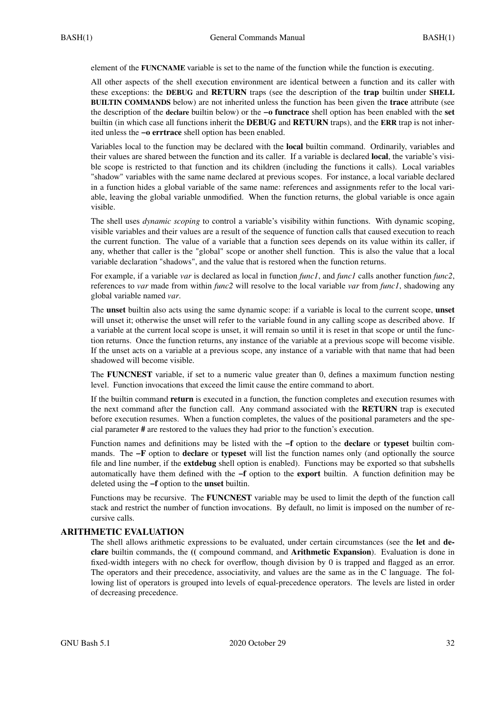element of the **FUNCNAME** variable is set to the name of the function while the function is executing.

All other aspects of the shell execution environment are identical between a function and its caller with these exceptions: the **DEBUG** and **RETURN** traps (see the description of the **trap** builtin under **SHELL BUILTIN COMMANDS** below) are not inherited unless the function has been given the **trace** attribute (see the description of the **declare** builtin below) or the **−o functrace** shell option has been enabled with the **set** builtin (in which case all functions inherit the **DEBUG** and **RETURN** traps), and the **ERR** trap is not inherited unless the **−o errtrace** shell option has been enabled.

Variables local to the function may be declared with the **local** builtin command. Ordinarily, variables and their values are shared between the function and its caller. If a variable is declared **local**, the variable's visible scope is restricted to that function and its children (including the functions it calls). Local variables "shadow" variables with the same name declared at previous scopes. For instance, a local variable declared in a function hides a global variable of the same name: references and assignments refer to the local variable, leaving the global variable unmodified. When the function returns, the global variable is once again visible.

The shell uses *dynamic scoping* to control a variable's visibility within functions. With dynamic scoping, visible variables and their values are a result of the sequence of function calls that caused execution to reach the current function. The value of a variable that a function sees depends on its value within its caller, if any, whether that caller is the "global" scope or another shell function. This is also the value that a local variable declaration "shadows", and the value that is restored when the function returns.

For example, if a variable *var* is declared as local in function *func1*, and *func1* calls another function *func2*, references to *var* made from within *func2* will resolve to the local variable *var* from *func1*, shadowing any global variable named *var*.

The **unset** builtin also acts using the same dynamic scope: if a variable is local to the current scope, **unset** will unset it; otherwise the unset will refer to the variable found in any calling scope as described above. If a variable at the current local scope is unset, it will remain so until it is reset in that scope or until the function returns. Once the function returns, any instance of the variable at a previous scope will become visible. If the unset acts on a variable at a previous scope, any instance of a variable with that name that had been shadowed will become visible.

The **FUNCNEST** variable, if set to a numeric value greater than 0, defines a maximum function nesting level. Function invocations that exceed the limit cause the entire command to abort.

If the builtin command **return** is executed in a function, the function completes and execution resumes with the next command after the function call. Any command associated with the **RETURN** trap is executed before execution resumes. When a function completes, the values of the positional parameters and the special parameter **#** are restored to the values they had prior to the function's execution.

Function names and definitions may be listed with the **−f** option to the **declare** or **typeset** builtin commands. The **−F** option to **declare** or **typeset** will list the function names only (and optionally the source file and line number, if the **extdebug** shell option is enabled). Functions may be exported so that subshells automatically have them defined with the **−f** option to the **export** builtin. A function definition may be deleted using the **−f** option to the **unset** builtin.

Functions may be recursive. The **FUNCNEST** variable may be used to limit the depth of the function call stack and restrict the number of function invocations. By default, no limit is imposed on the number of recursive calls.

# **ARITHMETIC EVALUATION**

The shell allows arithmetic expressions to be evaluated, under certain circumstances (see the **let** and **declare** builtin commands, the **((** compound command, and **Arithmetic Expansion**). Evaluation is done in fixed-width integers with no check for overflow, though division by 0 is trapped and flagged as an error. The operators and their precedence, associativity, and values are the same as in the C language. The following list of operators is grouped into levels of equal-precedence operators. The levels are listed in order of decreasing precedence.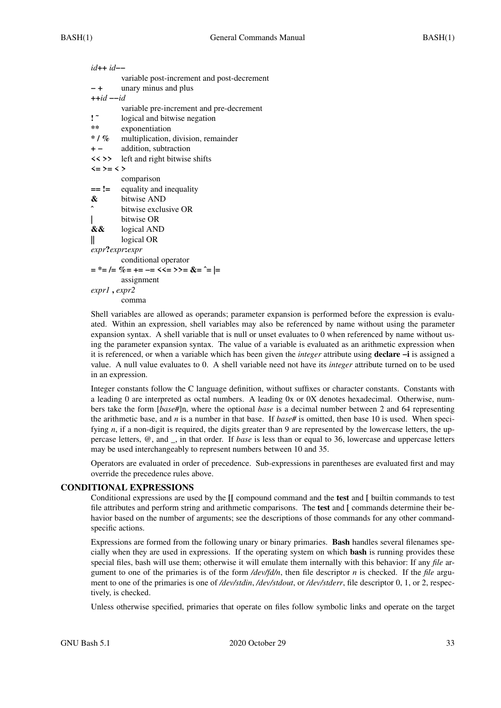| id++ id--             |                                               |  |  |
|-----------------------|-----------------------------------------------|--|--|
|                       | variable post-increment and post-decrement    |  |  |
| $- +$                 | unary minus and plus                          |  |  |
| $+ + id - id$         |                                               |  |  |
|                       | variable pre-increment and pre-decrement      |  |  |
| 1 <sup>2</sup>        | logical and bitwise negation                  |  |  |
| $***$                 | exponentiation                                |  |  |
|                       | */% multiplication, division, remainder       |  |  |
|                       | + - addition, subtraction                     |  |  |
|                       | << >> left and right bitwise shifts           |  |  |
| $\le$ > $>$ $\le$ $>$ |                                               |  |  |
|                       | comparison                                    |  |  |
|                       | $== !=$ equality and inequality               |  |  |
| $\mathbf{\&}$         | bitwise AND                                   |  |  |
|                       | bitwise exclusive OR                          |  |  |
|                       | bitwise OR                                    |  |  |
|                       | $&\&$ logical AND                             |  |  |
| II                    | logical OR                                    |  |  |
| expr?expr:expr        |                                               |  |  |
|                       | conditional operator                          |  |  |
|                       | $=$ $\ast$ = /= $\%$ = += -= <<= >>= &= ^=  = |  |  |
|                       | assignment                                    |  |  |
| $expr1$ , $expr2$     |                                               |  |  |
|                       | comma                                         |  |  |
|                       |                                               |  |  |

Shell variables are allowed as operands; parameter expansion is performed before the expression is evaluated. Within an expression, shell variables may also be referenced by name without using the parameter expansion syntax. A shell variable that is null or unset evaluates to 0 when referenced by name without using the parameter expansion syntax. The value of a variable is evaluated as an arithmetic expression when it is referenced, or when a variable which has been given the *integer* attribute using **declare −i** is assigned a value. A null value evaluates to 0. A shell variable need not have its *integer* attribute turned on to be used in an expression.

Integer constants follow the C language definition, without suffixes or character constants. Constants with a leading 0 are interpreted as octal numbers. A leading 0x or 0X denotes hexadecimal. Otherwise, numbers take the form [*base#*]n, where the optional *base* is a decimal number between 2 and 64 representing the arithmetic base, and *n* is a number in that base. If *base#* is omitted, then base 10 is used. When specifying *n*, if a non-digit is required, the digits greater than 9 are represented by the lowercase letters, the uppercase letters, @, and \_, in that order. If *base* is less than or equal to 36, lowercase and uppercase letters may be used interchangeably to represent numbers between 10 and 35.

Operators are evaluated in order of precedence. Sub-expressions in parentheses are evaluated first and may override the precedence rules above.

# **CONDITIONAL EXPRESSIONS**

Conditional expressions are used by the **[[** compound command and the **test** and **[** builtin commands to test file attributes and perform string and arithmetic comparisons. The **test** and **[** commands determine their behavior based on the number of arguments; see the descriptions of those commands for any other commandspecific actions.

Expressions are formed from the following unary or binary primaries. **Bash** handles several filenames specially when they are used in expressions. If the operating system on which **bash** is running provides these special files, bash will use them; otherwise it will emulate them internally with this behavior: If any *file* argument to one of the primaries is of the form */dev/fd/n*, then file descriptor *n* is checked. If the *file* argument to one of the primaries is one of */dev/stdin*, */dev/stdout*, or */dev/stderr*, file descriptor 0, 1, or 2, respectively, is checked.

Unless otherwise specified, primaries that operate on files follow symbolic links and operate on the target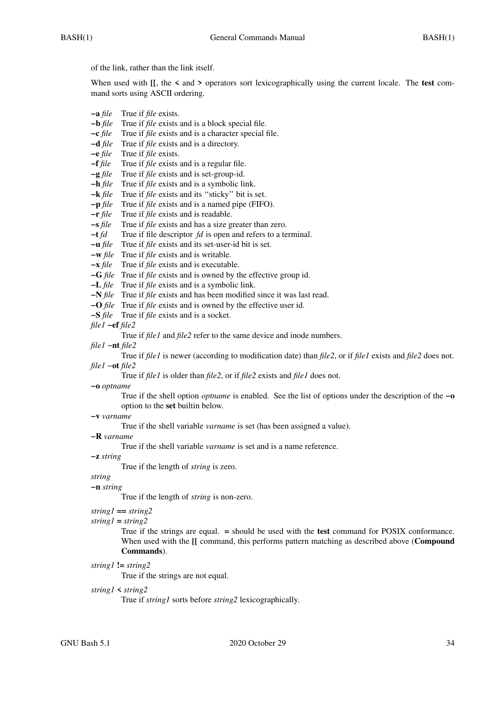of the link, rather than the link itself.

When used with **[[**, the  $\le$  and  $\ge$  operators sort lexicographically using the current locale. The **test** command sorts using ASCII ordering.

- **−a** *file* True if *file* exists.
- **−b** *file* True if *file* exists and is a block special file.
- **−c** *file* True if *file* exists and is a character special file.
- **−d** *file* True if *file* exists and is a directory.
- **−e** *file* True if *file* exists.
- **−f** *file* True if *file* exists and is a regular file.
- **−g** *file* True if *file* exists and is set-group-id.
- **−h** *file* True if *file* exists and is a symbolic link.
- **−k** *file* True if *file* exists and its ''sticky'' bit is set.
- **−p** *file* True if *file* exists and is a named pipe (FIFO).
- **−r** *file* True if *file* exists and is readable.
- **−s** *file* True if *file* exists and has a size greater than zero.
- **−t** *fd* True if file descriptor *fd* is open and refers to a terminal.
- **−u** *file* True if *file* exists and its set-user-id bit is set.
- **−w** *file* True if *file* exists and is writable.
- **−x** *file* True if *file* exists and is executable.
- **−G** *file* True if *file* exists and is owned by the effective group id.
- **−L** *file* True if *file* exists and is a symbolic link.
- **−N** *file* True if *file* exists and has been modified since it was last read.
- **−O** *file* True if *file* exists and is owned by the effective user id.
- **−S** *file* True if *file* exists and is a socket.
- *file1* **−ef** *file2*

True if *file1* and *file2* refer to the same device and inode numbers.

*file1* −**nt** *file2*

True if *file1* is newer (according to modification date) than *file2*, or if *file1* exists and *file2* does not. *file1* −**ot** *file2*

True if *file1* is older than *file2*, or if *file2* exists and *file1* does not.

#### **−o** *optname*

True if the shell option *optname* is enabled. See the list of options under the description of the **−o** option to the **set** builtin below.

**−v** *varname*

True if the shell variable *varname* is set (has been assigned a value).

# **−R** *varname*

True if the shell variable *varname* is set and is a name reference.

**−z** *string*

True if the length of *string* is zero.

*string* **−n** *string*

True if the length of *string* is non-zero.

```
string1 == string2
```
*string1* **=** *string2*

True if the strings are equal. **=** should be used with the **test** command for POSIX conformance. When used with the **[[** command, this performs pattern matching as described above (**Compound Commands**).

#### *string1* **!=** *string2*

True if the strings are not equal.

#### *string1* **<** *string2*

True if *string1* sorts before *string2* lexicographically.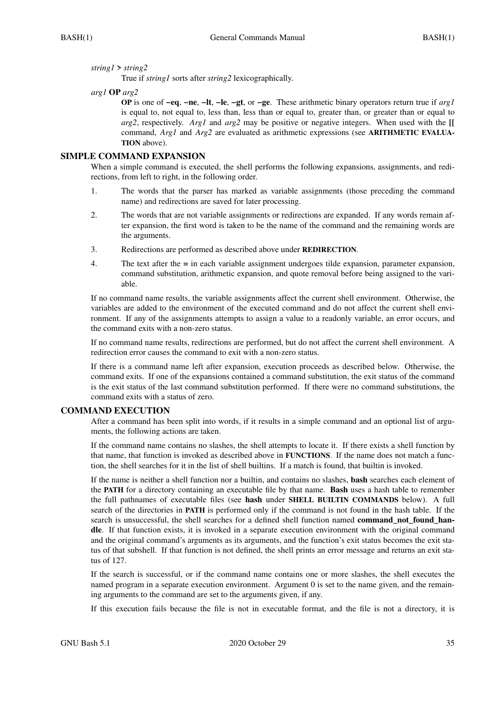*string1* **>** *string2*

True if *string1* sorts after *string2* lexicographically.

*arg1* **OP** *arg2*

**OP** is one of **−eq**, **−ne**, **−lt**, **−le**, **−gt**, or **−ge**. These arithmetic binary operators return true if *arg1* is equal to, not equal to, less than, less than or equal to, greater than, or greater than or equal to *arg2*, respectively. *Arg1* and *arg2* may be positive or negative integers. When used with the [[ command, *Arg1* and *Arg2* are evaluated as arithmetic expressions (see **ARITHMETIC EVALUA-TION** above).

# **SIMPLE COMMAND EXPANSION**

When a simple command is executed, the shell performs the following expansions, assignments, and redirections, from left to right, in the following order.

- 1. The words that the parser has marked as variable assignments (those preceding the command name) and redirections are saved for later processing.
- 2. The words that are not variable assignments or redirections are expanded. If any words remain after expansion, the first word is taken to be the name of the command and the remaining words are the arguments.
- 3. Redirections are performed as described above under **REDIRECTION**.
- 4. The text after the **=** in each variable assignment undergoes tilde expansion, parameter expansion, command substitution, arithmetic expansion, and quote removal before being assigned to the variable.

If no command name results, the variable assignments affect the current shell environment. Otherwise, the variables are added to the environment of the executed command and do not affect the current shell environment. If any of the assignments attempts to assign a value to a readonly variable, an error occurs, and the command exits with a non-zero status.

If no command name results, redirections are performed, but do not affect the current shell environment. A redirection error causes the command to exit with a non-zero status.

If there is a command name left after expansion, execution proceeds as described below. Otherwise, the command exits. If one of the expansions contained a command substitution, the exit status of the command is the exit status of the last command substitution performed. If there were no command substitutions, the command exits with a status of zero.

# **COMMAND EXECUTION**

After a command has been split into words, if it results in a simple command and an optional list of arguments, the following actions are taken.

If the command name contains no slashes, the shell attempts to locate it. If there exists a shell function by that name, that function is invoked as described above in **FUNCTIONS**. If the name does not match a function, the shell searches for it in the list of shell builtins. If a match is found, that builtin is invoked.

If the name is neither a shell function nor a builtin, and contains no slashes, **bash** searches each element of the **PATH** for a directory containing an executable file by that name. **Bash** uses a hash table to remember the full pathnames of executable files (see **hash** under **SHELL BUILTIN COMMANDS** below). A full search of the directories in **PATH** is performed only if the command is not found in the hash table. If the search is unsuccessful, the shell searches for a defined shell function named **command\_not\_found\_handle**. If that function exists, it is invoked in a separate execution environment with the original command and the original command's arguments as its arguments, and the function's exit status becomes the exit status of that subshell. If that function is not defined, the shell prints an error message and returns an exit status of  $127$ .

If the search is successful, or if the command name contains one or more slashes, the shell executes the named program in a separate execution environment. Argument 0 is set to the name given, and the remaining arguments to the command are set to the arguments given, if any.

If this execution fails because the file is not in executable format, and the file is not a directory, it is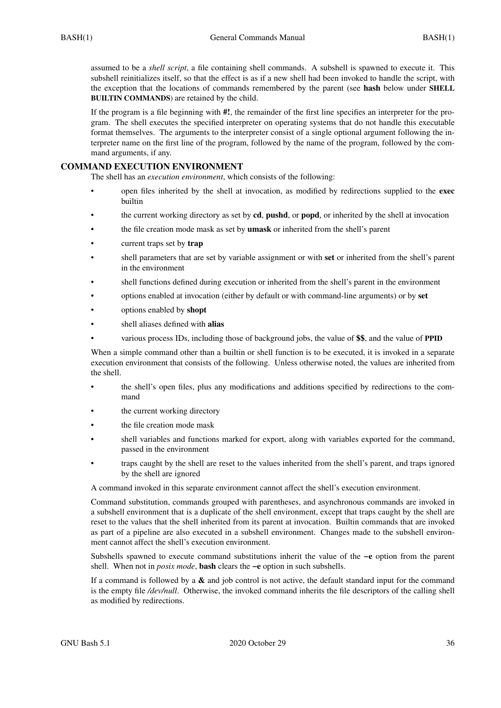assumed to be a *shell script*, a file containing shell commands. A subshell is spawned to execute it. This subshell reinitializes itself, so that the effect is as if a new shell had been invoked to handle the script, with the exception that the locations of commands remembered by the parent (see **hash** below under **SHELL BUILTIN COMMANDS**) are retained by the child.

If the program is a file beginning with **#!**, the remainder of the first line specifies an interpreter for the program. The shell executes the specified interpreter on operating systems that do not handle this executable format themselves. The arguments to the interpreter consist of a single optional argument following the interpreter name on the first line of the program, followed by the name of the program, followed by the command arguments, if any.

# **COMMAND EXECUTION ENVIRONMENT**

The shell has an *execution environment*, which consists of the following:

- open files inherited by the shell at invocation, as modified by redirections supplied to the **exec** builtin
- the current working directory as set by **cd**, **pushd**, or **popd**, or inherited by the shell at invocation
- the file creation mode mask as set by **umask** or inherited from the shell's parent
- current traps set by **trap**
- shell parameters that are set by variable assignment or with **set** or inherited from the shell's parent in the environment
- shell functions defined during execution or inherited from the shell's parent in the environment
- options enabled at invocation (either by default or with command-line arguments) or by **set**
- options enabled by **shopt**
- shell aliases defined with **alias**
- various process IDs, including those of background jobs, the value of **\$\$**, and the value of **PPID**

When a simple command other than a builtin or shell function is to be executed, it is invoked in a separate execution environment that consists of the following. Unless otherwise noted, the values are inherited from the shell.

- the shell's open files, plus any modifications and additions specified by redirections to the command
- the current working directory
- the file creation mode mask
- shell variables and functions marked for export, along with variables exported for the command, passed in the environment
- traps caught by the shell are reset to the values inherited from the shell's parent, and traps ignored by the shell are ignored

A command invoked in this separate environment cannot affect the shell's execution environment.

Command substitution, commands grouped with parentheses, and asynchronous commands are invoked in a subshell environment that is a duplicate of the shell environment, except that traps caught by the shell are reset to the values that the shell inherited from its parent at invocation. Builtin commands that are invoked as part of a pipeline are also executed in a subshell environment. Changes made to the subshell environment cannot affect the shell's execution environment.

Subshells spawned to execute command substitutions inherit the value of the **−e** option from the parent shell. When not in *posix mode*, **bash** clears the **−e** option in such subshells.

If a command is followed by a **&** and job control is not active, the default standard input for the command is the empty file */dev/null*. Otherwise, the invoked command inherits the file descriptors of the calling shell as modified by redirections.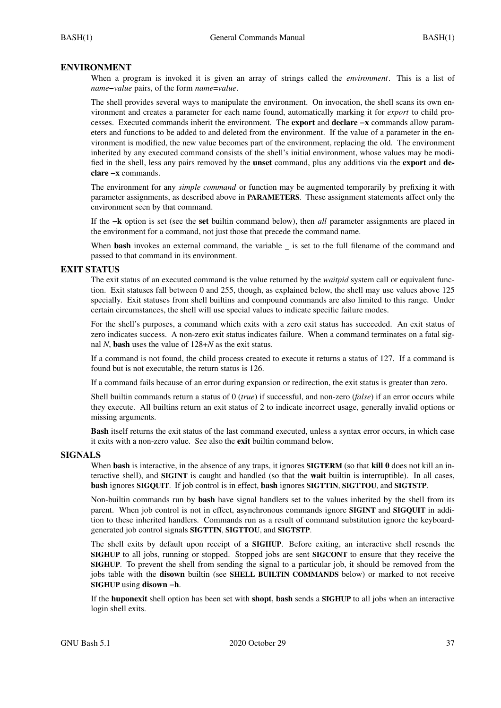# **ENVIRONMENT**

When a program is invoked it is given an array of strings called the *environment*. This is a list of *name*−*value* pairs, of the form *name*=*value*.

The shell provides several ways to manipulate the environment. On invocation, the shell scans its own environment and creates a parameter for each name found, automatically marking it for *export* to child processes. Executed commands inherit the environment. The **export** and **declare −x** commands allow parameters and functions to be added to and deleted from the environment. If the value of a parameter in the environment is modified, the new value becomes part of the environment, replacing the old. The environment inherited by any executed command consists of the shell's initial environment, whose values may be modified in the shell, less any pairs removed by the **unset** command, plus any additions via the **export** and **declare −x** commands.

The environment for any *simple command* or function may be augmented temporarily by prefixing it with parameter assignments, as described above in **PARAMETERS**. These assignment statements affect only the environment seen by that command.

If the **−k** option is set (see the **set** builtin command below), then *all* parameter assignments are placed in the environment for a command, not just those that precede the command name.

When **bash** invokes an external command, the variable is set to the full filename of the command and passed to that command in its environment.

# **EXIT STATUS**

The exit status of an executed command is the value returned by the *waitpid* system call or equivalent function. Exit statuses fall between 0 and 255, though, as explained below, the shell may use values above 125 specially. Exit statuses from shell builtins and compound commands are also limited to this range. Under certain circumstances, the shell will use special values to indicate specific failure modes.

For the shell's purposes, a command which exits with a zero exit status has succeeded. An exit status of zero indicates success. A non-zero exit status indicates failure. When a command terminates on a fatal signal *N*, **bash** uses the value of 128+*N* as the exit status.

If a command is not found, the child process created to execute it returns a status of 127. If a command is found but is not executable, the return status is 126.

If a command fails because of an error during expansion or redirection, the exit status is greater than zero.

Shell builtin commands return a status of 0 (*true*) if successful, and non-zero (*false*) if an error occurs while they execute. All builtins return an exit status of 2 to indicate incorrect usage, generally invalid options or missing arguments.

**Bash** itself returns the exit status of the last command executed, unless a syntax error occurs, in which case it exits with a non-zero value. See also the **exit** builtin command below.

# **SIGNALS**

When **bash** is interactive, in the absence of any traps, it ignores **SIGTERM** (so that **kill 0** does not kill an interactive shell), and **SIGINT** is caught and handled (so that the **wait** builtin is interruptible). In all cases, **bash** ignores **SIGQUIT**. If job control is in effect, **bash** ignores **SIGTTIN**, **SIGTTOU**, and **SIGTSTP**.

Non-builtin commands run by **bash** have signal handlers set to the values inherited by the shell from its parent. When job control is not in effect, asynchronous commands ignore **SIGINT** and **SIGQUIT** in addition to these inherited handlers. Commands run as a result of command substitution ignore the keyboardgenerated job control signals **SIGTTIN**, **SIGTTOU**, and **SIGTSTP**.

The shell exits by default upon receipt of a **SIGHUP**. Before exiting, an interactive shell resends the **SIGHUP** to all jobs, running or stopped. Stopped jobs are sent **SIGCONT** to ensure that they receive the **SIGHUP**. To prevent the shell from sending the signal to a particular job, it should be removed from the jobs table with the **disown** builtin (see **SHELL BUILTIN COMMANDS** below) or marked to not receive **SIGHUP** using **disown −h**.

If the **huponexit** shell option has been set with **shopt**, **bash** sends a **SIGHUP** to all jobs when an interactive login shell exits.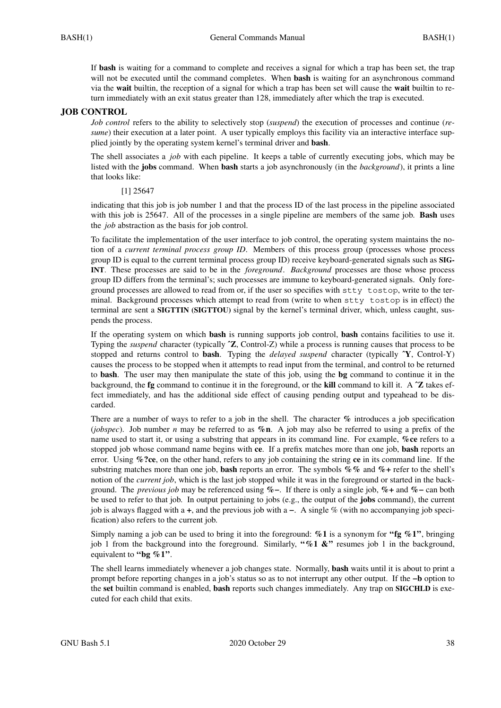If **bash** is waiting for a command to complete and receivesasignal for which a trap has been set, the trap will not be executed until the command completes. When **bash** is waiting for an asynchronous command via the **wait** builtin, the reception of a signal for which a trap has been set will cause the **wait** builtin to return immediately with an exit status greater than 128, immediately after which the trap is executed.

# **JOB CONTROL**

*Job control* refers to the ability to selectively stop (*suspend*) the execution of processes and continue (*resume*) their execution at a later point. A user typically employs this facility via an interactive interface supplied jointly by the operating system kernel's terminal driver and **bash**.

The shell associates a *job* with each pipeline. It keeps a table of currently executing jobs, which may be listed with the **jobs** command. When **bash** starts a job asynchronously (in the *background*), it prints a line that looks like:

# [1] 25647

indicating that this job is job number 1 and that the process ID of the last process in the pipeline associated with this job is 25647. All of the processes in a single pipeline are members of the same job. **Bash** uses the *job* abstraction as the basis for job control.

To facilitate the implementation of the user interface to job control, the operating system maintains the notion of a *current terminal process group ID*. Members of this process group (processes whose process group ID is equal to the current terminal process group ID) receive keyboard-generated signals such as **SIG-INT**. These processes are said to be in the *foreground*. *Background* processes are those whose process group ID differs from the terminal's; such processes are immune to keyboard-generated signals. Only foreground processes are allowed to read from or, if the user so specifies with stty tostop, write to the terminal. Background processes which attempt to read from (write to when stty tostop is in effect) the terminal are sent a **SIGTTIN (SIGTTOU)** signal by the kernel's terminal driver, which, unless caught, suspends the process.

If the operating system on which **bash** is running supports job control, **bash** contains facilities to use it. Typing the *suspend* character (typically **ˆZ**, Control-Z) while a process is running causes that process to be stopped and returns control to **bash**. Typing the *delayed suspend* character (typically **ˆY**, Control-Y) causes the process to be stopped when it attempts to read input from the terminal, and control to be returned to **bash**. The user may then manipulate the state of this job, using the **bg** command to continue it in the background, the **fg** command to continue it in the foreground, or the **kill** command to kill it. A **ˆZ** takes effect immediately, and has the additional side effect of causing pending output and typeahead to be discarded.

There are a number of ways to refer to a job in the shell. The character **%** introduces a job specification (*jobspec*). Job number *n* may be referred to as **%n**. A job may also be referred to using a prefix of the name used to start it, or using a substring that appears in its command line. For example, **%ce** refers to a stopped job whose command name begins with **ce**. If a prefix matches more than one job, **bash** reports an error. Using **%?ce**, on the other hand, refers to any job containing the string **ce** in its command line. If the substring matches more than one job, **bash** reports an error. The symbols **%%** and **%+** refer to the shell's notion of the *current job*, which is the last job stopped while it was in the foreground or started in the background. The *previous job* may be referenced using **%−**. If there is only a single job, **%+** and **%−** can both be used to refer to that job. In output pertaining to jobs (e.g., the output of the **jobs** command), the current job is always flagged with a **+**, and the previous job with a **−**. A single % (with no accompanying job specification) also refers to the current job.

Simply naming a job can be used to bring it into the foreground: **%1** is a synonym for **''fg %1''**, bringing job 1 from the background into the foreground. Similarly, **''%1 &''** resumes job 1 in the background, equivalent to "bg %1".

The shell learns immediately wheneverajob changes state. Normally, **bash** waits until it is about to print a prompt before reporting changes in a job's status so as to not interrupt any other output. If the **−b** option to the **set** builtin command is enabled, **bash** reports such changes immediately. Any trap on **SIGCHLD** is executed for each child that exits.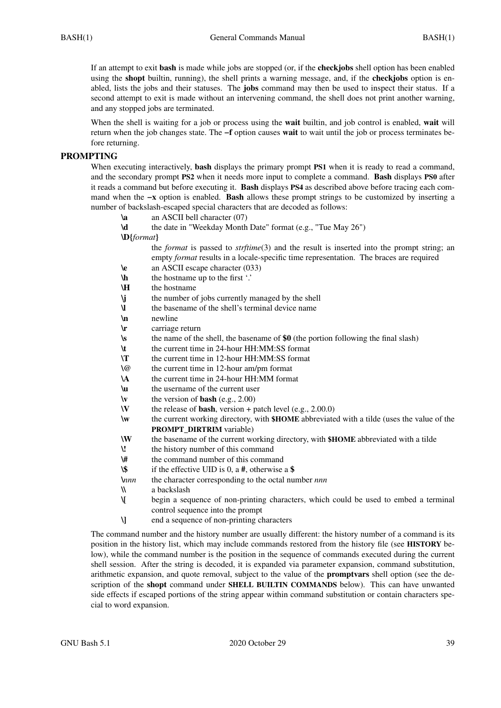If an attempt to exit **bash** is made while jobs are stopped (or, if the **checkjobs** shell option has been enabled using the **shopt** builtin, running), the shell prints a warning message, and, if the **checkjobs** option is enabled, lists the jobs and their statuses. The **jobs** command may then be used to inspect their status. If a second attempt to exit is made without an intervening command, the shell does not print another warning, and any stopped jobs are terminated.

When the shell is waiting for a job or process using the **wait** builtin, and job control is enabled, **wait** will return when the job changes state. The **−f** option causes **wait** to wait until the job or process terminates before returning.

# **PROMPTING**

When executing interactively, **bash** displays the primary prompt **PS1** when it is ready to read a command, and the secondary prompt **PS2** when it needs more input to complete a command. **Bash** displays **PS0** after it reads a command but before executing it. **Bash** displays **PS4** as described above before tracing each command when the **−x** option is enabled. **Bash** allows these prompt strings to be customized by inserting a number of backslash-escaped special characters that are decoded as follows:

- **\a** an ASCII bell character (07)
- **\d** the date in "Weekday Month Date" format (e.g., "Tue May 26")
- **\D{***format***}**

the *format* is passed to *strftime*(3) and the result is inserted into the prompt string; an empty *format* results in a locale-specific time representation. The braces are required

- **\e** an ASCII escape character (033)
- **\h** the hostname up to the first '.'
- **\H** the hostname
- **\j** the number of jobs currently managed by the shell
- **\l** the basename of the shell's terminal device name
- **\n** newline
- **\r** carriage return
- **\s** the name of the shell, the basename of **\$0** (the portion following the final slash)
- **\t** the current time in 24-hour HH:MM:SS format
- **\T** the current time in 12-hour HH:MM:SS format
- **\@** the current time in 12-hour am/pm format
- **\A** the current time in 24-hour HH:MM format
- **\u** the username of the current user
- **\v** the version of **bash** (e.g., 2.00)
- **\V** the release of **bash**, version + patch level (e.g., 2.00.0)
- **\w** the current working directory, with **\$HOME** abbreviated with a tilde (uses the value of the **PROMPT\_DIRTRIM** variable)
- **\W** the basename of the current working directory, with **\$HOME** abbreviated with a tilde
- **\!** the history number of this command
- **\#** the command number of this command
- **\\$** if the effective UID is 0, a **#**, otherwise a **\$**
- **\***nnn* the character corresponding to the octal number *nnn*
- **\\** a backslash
- **\[** begin a sequence of non-printing characters, which could be used to embed a terminal control sequence into the prompt
- **\]** end a sequence of non-printing characters

The command number and the history number are usually different: the history number of a command is its position in the history list, which may include commands restored from the history file (see **HISTORY** below), while the command number is the position in the sequence of commands executed during the current shell session. After the string is decoded, it is expanded via parameter expansion, command substitution, arithmetic expansion, and quote removal, subject to the value of the **promptvars** shell option (see the description of the **shopt** command under **SHELL BUILTIN COMMANDS** below). This can have unwanted side effects if escaped portions of the string appear within command substitution or contain characters special to word expansion.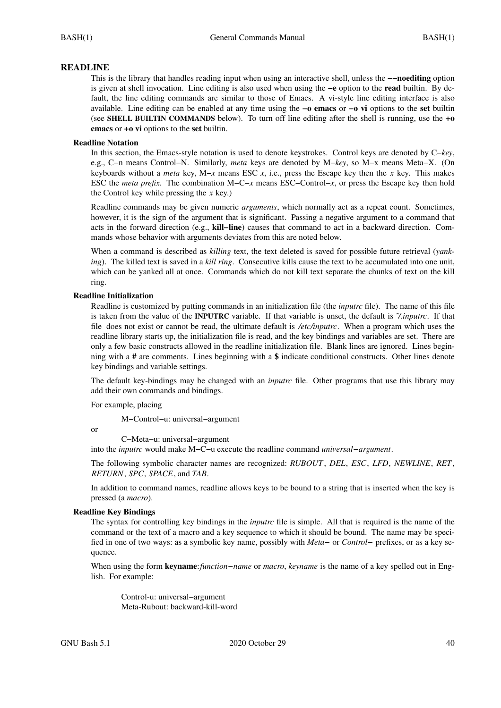# **READLINE**

This is the library that handles reading input when using an interactive shell, unless the **−−noediting** option is given at shell invocation. Line editing is also used when using the **−e** option to the **read** builtin. By default, the line editing commands are similar to those of Emacs. A vi-style line editing interface is also available. Line editing can be enabled at any time using the **−o emacs** or **−o vi** options to the **set** builtin (see **SHELL BUILTIN COMMANDS** below). To turn off line editing after the shell is running, use the **+o emacs** or **+o vi** options to the **set** builtin.

# **Readline Notation**

In this section, the Emacs-style notation is used to denote keystrokes. Control keys are denoted by C−*key*, e.g., C−n means Control−N. Similarly, *meta* keys are denoted by M−*key*, so M−x means Meta−X. (On keyboards without a *meta* key, M−*x* means ESC *x*, i.e., press the Escape key then the *x* key. This makes ESC the *meta prefix*. The combination M−C−*x* means ESC−Control−*x*, or press the Escape key then hold the Control key while pressing the *x* key.)

Readline commands may be given numeric *arguments*, which normally act as a repeat count. Sometimes, however, it is the sign of the argument that is significant. Passing a negative argument to a command that acts in the forward direction (e.g., **kill−line**) causes that command to act in a backward direction. Commands whose behavior with arguments deviates from this are noted below.

When a command is described as *killing* text, the text deleted is saved for possible future retrieval (*yanking*). The killed text is saved in a *kill ring*. Consecutive kills cause the text to be accumulated into one unit, which can be yanked all at once. Commands which do not kill text separate the chunks of text on the kill ring.

# **Readline Initialization**

Readline is customized by putting commands in an initialization file (the *inputrc* file). The name of this file is taken from the value of the **INPUTRC** variable. If that variable is unset, the default is *˜/.inputrc*. If that file does not exist or cannot be read, the ultimate default is */etc/inputrc*. When a program which uses the readline library starts up, the initialization file is read, and the key bindings and variables are set. There are only a few basic constructs allowed in the readline initialization file. Blank lines are ignored. Lines beginning with a **#** are comments. Lines beginning with a **\$** indicate conditional constructs. Other lines denote key bindings and variable settings.

The default key-bindings may be changed with an *inputrc* file. Other programs that use this library may add their own commands and bindings.

For example, placing

M−Control−u: universal−argument

or

C−Meta−u: universal−argument

into the *inputrc* would make M−C−u execute the readline command *universal−argument*.

The following symbolic character names are recognized: *RUBOUT*, *DEL*, *ESC*, *LFD*, *NEWLINE*, *RET*, *RETURN*, *SPC*, *SPACE*, and *TAB*.

In addition to command names, readline allows keys to be bound to a string that is inserted when the key is pressed (a *macro*).

# **Readline Key Bindings**

The syntax for controlling key bindings in the *inputrc* file is simple. All that is required is the name of the command or the text of a macro and a key sequence to which it should be bound. The name may be specified in one of two ways: as a symbolic key name, possibly with *Meta−* or *Control−* prefixes, or as a key sequence.

When using the form **keyname**:*function−name* or *macro*, *keyname* is the name of a key spelled out in English. For example:

Control-u: universal−argument Meta-Rubout: backward-kill-word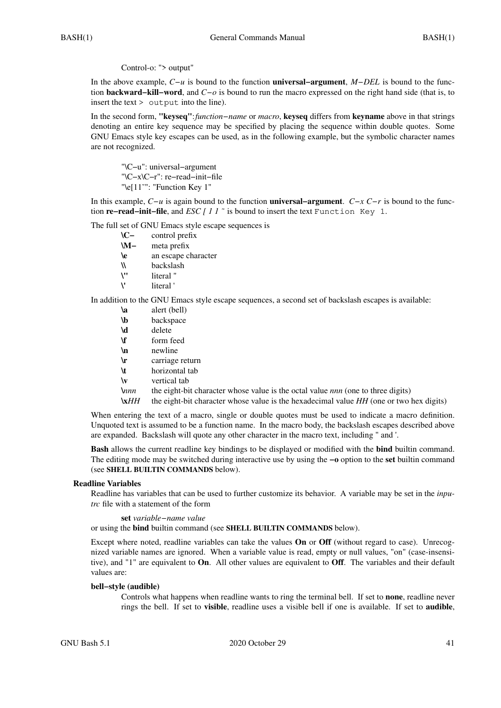# Control-o: "> output"

In the above example, *C−u* is bound to the function **universal−argument**, *M−DEL* is bound to the function **backward−kill−word**, and *C−o* is bound to run the macro expressed on the right hand side (that is, to insert the text > output into the line).

In the second form, **"keyseq"**:*function−name* or *macro*, **keyseq** differs from **keyname** above in that strings denoting an entire key sequence may be specified by placing the sequence within double quotes. Some GNU Emacs style key escapes can be used, as in the following example, but the symbolic character names are not recognized.

"\C−u": universal−argument "\C−x\C−r": re−read−init−file "\e[11˜": "Function Key 1"

In this example, *C−u* is again bound to the function **universal−argument**. *C−x C−r* is bound to the function **re−read−init−file**, and *ESC [ 1 1 ˜* is bound to insert the text Function Key 1.

The full set of GNU Emacs style escape sequences is

- **\C−** control prefix
- **\M−** meta prefix
- **\e** an escape character
- **\\** backslash
- literal "
- **\'** literal '

In addition to the GNU Emacs style escape sequences, a second set of backslash escapes is available:

| ۱a           | alert (bell)                                                                              |
|--------------|-------------------------------------------------------------------------------------------|
| $\mathbf{b}$ | backspace                                                                                 |
| \d           | delete                                                                                    |
| ∖f           | form feed                                                                                 |
| ۱n           | newline                                                                                   |
| $\mathbf{r}$ | carriage return                                                                           |
| $\mathbf{r}$ | horizontal tab                                                                            |
| \v           | vertical tab                                                                              |
| \nnn         | the eight-bit character whose value is the octal value <i>nnn</i> (one to three digits)   |
| $\chi H H$   | the eight-bit character whose value is the hexadecimal value $HH$ (one or two hex digits) |
|              |                                                                                           |

When entering the text of a macro, single or double quotes must be used to indicate a macro definition. Unquoted text is assumed to be a function name. In the macro body, the backslash escapes described above are expanded. Backslash will quote any other character in the macro text, including " and '.

**Bash** allows the current readline key bindings to be displayed or modified with the **bind** builtin command. The editing mode may be switched during interactive use by using the **−o** option to the **set** builtin command (see **SHELL BUILTIN COMMANDS** below).

# **Readline Variables**

Readline has variables that can be used to further customize its behavior. A variable may be set in the *inputrc* file with a statement of the form

# **set** *variable−name value*

or using the **bind** builtin command (see **SHELL BUILTIN COMMANDS** below).

Except where noted, readline variables can take the values **On** or **Off** (without regard to case). Unrecognized variable names are ignored. When a variable value is read, empty or null values, "on" (case-insensitive), and "1" are equivalent to **On**. All other values are equivalent to **Off**. The variables and their default values are:

# **bell−style (audible)**

Controls what happens when readline wants to ring the terminal bell. If set to **none**, readline never rings the bell. If set to **visible**, readline uses a visible bell if one is available. If set to **audible**,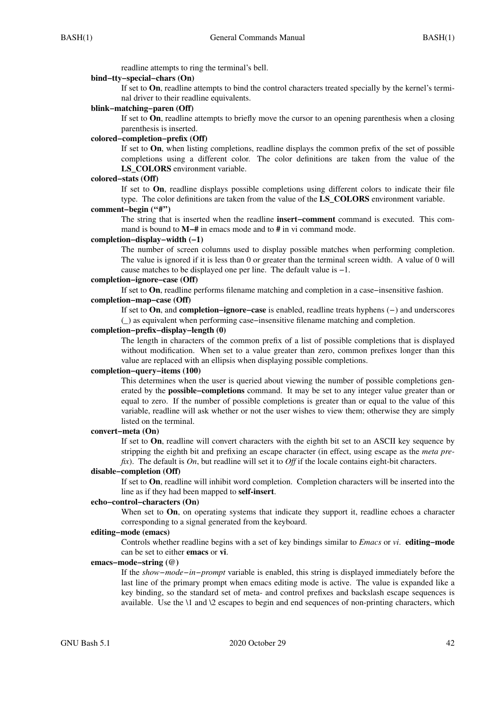readline attempts to ring the terminal's bell.

# **bind−tty−special−chars (On)**

If set to **On**, readline attempts to bind the control characters treated specially by the kernel's terminal driver to their readline equivalents.

### **blink−matching−paren (Off)**

If set to **On**, readline attempts to briefly move the cursor to an opening parenthesis when a closing parenthesis is inserted.

### **colored−completion−prefix (Off)**

If set to **On**, when listing completions, readline displays the common prefix of the set of possible completions using a different color. The color definitions are taken from the value of the **LS\_COLORS** environment variable.

### **colored−stats (Off)**

If set to **On**, readline displays possible completions using different colors to indicate their file type. The color definitions are taken from the value of the **LS\_COLORS** environment variable.

#### **comment−begin (''#'')**

The string that is inserted when the readline **insert−comment** command is executed. This command is bound to **M−#** in emacs mode and to **#** in vi command mode.

# **completion−display−width (−1)**

The number of screen columns used to display possible matches when performing completion. The value is ignored if it is less than 0 or greater than the terminal screen width. A value of 0 will cause matches to be displayed one per line. The default value is −1.

# **completion−ignore−case (Off)**

If set to **On**, readline performs filename matching and completion in a case−insensitive fashion.

# **completion−map−case (Off)**

If set to **On**, and **completion−ignore−case** is enabled, readline treats hyphens (*−*) and underscores (*\_*) as equivalent when performing case−insensitive filename matching and completion.

### **completion−prefix−display−length (0)**

The length in characters of the common prefix of a list of possible completions that is displayed without modification. When set to a value greater than zero, common prefixes longer than this value are replaced with an ellipsis when displaying possible completions.

# **completion−query−items (100)**

This determines when the user is queried about viewing the number of possible completions generated by the **possible−completions** command. It may be set to any integer value greater than or equal to zero. If the number of possible completions is greater than or equal to the value of this variable, readline will ask whether or not the user wishes to view them; otherwise they are simply listed on the terminal.

#### **convert−meta (On)**

If set to **On**, readline will convert characters with the eighth bit set to an ASCII key sequence by stripping the eighth bit and prefixing an escape character (in effect, using escape as the *meta prefix*). The default is *On*, but readline will set it to *Off* if the locale contains eight-bit characters.

#### **disable−completion (Off)**

If set to **On**, readline will inhibit word completion. Completion characters will be inserted into the line as if they had been mapped to **self-insert**.

# **echo−control−characters (On)**

When set to **On**, on operating systems that indicate they support it, readline echoes a character corresponding to a signal generated from the keyboard.

# **editing−mode (emacs)**

Controls whether readline begins with a set of key bindings similar to *Emacs* or *vi*. **editing−mode** can be set to either **emacs** or **vi**.

# **emacs−mode−string (@)**

If the *show−mode−in−prompt* variable is enabled, this string is displayed immediately before the last line of the primary prompt when emacs editing mode is active. The value is expanded like a key binding, so the standard set of meta- and control prefixes and backslash escape sequences is available. Use the \1 and \2 escapes to begin and end sequences of non-printing characters, which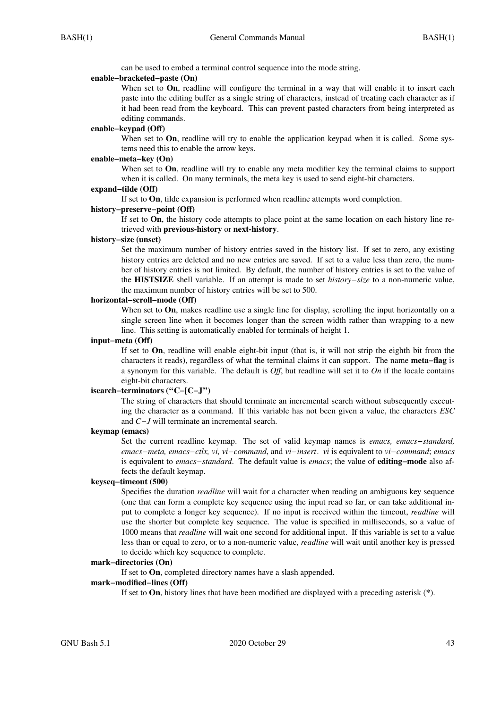can be used to embed a terminal control sequence into the mode string.

# **enable−bracketed−paste (On)**

When set to **On**, readline will configure the terminal in a way that will enable it to insert each paste into the editing buffer as a single string of characters, instead of treating each character as if it had been read from the keyboard. This can prevent pasted characters from being interpreted as editing commands.

# **enable−keypad (Off)**

When set to **On**, readline will try to enable the application keypad when it is called. Some systems need this to enable the arrow keys.

# **enable−meta−key (On)**

When set to **On**, readline will try to enable any meta modifier key the terminal claims to support when it is called. On many terminals, the meta key is used to send eight-bit characters.

## **expand−tilde (Off)**

If set to **On**, tilde expansion is performed when readline attempts word completion.

### **history−preserve−point (Off)**

If set to **On**, the history code attempts to place point at the same location on each history line retrieved with **previous-history** or **next-history**.

# **history−size (unset)**

Set the maximum number of history entries saved in the history list. If set to zero, any existing history entries are deleted and no new entries are saved. If set to a value less than zero, the number of history entries is not limited. By default, the number of history entries is set to the value of the **HISTSIZE** shell variable. If an attempt is made to set *history−size* to a non-numeric value, the maximum number of history entries will be set to 500.

### **horizontal−scroll−mode (Off)**

When set to **On**, makes readline use a single line for display, scrolling the input horizontally on a single screen line when it becomes longer than the screen width rather than wrapping to a new line. This setting is automatically enabled for terminals of height 1.

### **input−meta (Off)**

If set to **On**, readline will enable eight-bit input (that is, it will not strip the eighth bit from the characters it reads), regardless of what the terminal claims it can support. The name **meta−flag** is a synonym for this variable. The default is *Off*, but readline will set it to *On* if the locale contains eight-bit characters.

# **isearch−terminators (''C−[C−J'')**

The string of characters that should terminate an incremental search without subsequently executing the character as a command. If this variable has not been given a value, the characters *ESC* and *C−J* will terminate an incremental search.

#### **keymap (emacs)**

Set the current readline keymap. The set of valid keymap names is *emacs, emacs−standard, emacs−meta, emacs−ctlx, vi, vi−command*, and *vi−insert*. *vi* is equivalent to *vi−command*; *emacs* is equivalent to *emacs−standard*. The default value is *emacs*; the value of **editing−mode** also affects the default keymap.

# **keyseq−timeout (500)**

Specifies the duration *readline* will wait for a character when reading an ambiguous key sequence (one that can form a complete key sequence using the input read so far, or can take additional input to complete a longer key sequence). If no input is received within the timeout, *readline* will use the shorter but complete key sequence. The value is specified in milliseconds, so a value of 1000 means that *readline* will wait one second for additional input. If this variable is set to a value less than or equal to zero, or to a non-numeric value, *readline* will wait until another key is pressed to decide which key sequence to complete.

### **mark−directories (On)**

If set to **On**, completed directory names have a slash appended.

## **mark−modified−lines (Off)**

If set to **On**, history lines that have been modified are displayed with a preceding asterisk (**\***).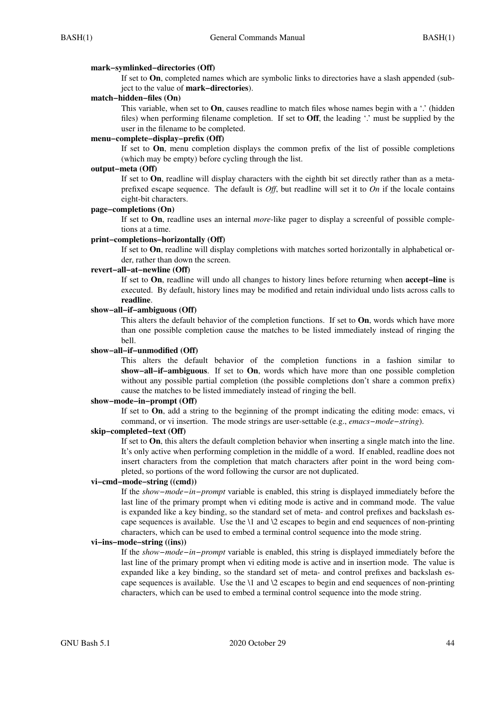# **mark−symlinked−directories (Off)**

If set to **On**, completed names which are symbolic links to directories have a slash appended (subject to the value of **mark−directories**).

### **match−hidden−files (On)**

This variable, when set to **On**, causes readline to match files whose names begin with a '.' (hidden files) when performing filename completion. If set to **Off**, the leading '.' must be supplied by the user in the filename to be completed.

## **menu−complete−display−prefix (Off)**

If set to **On**, menu completion displays the common prefix of the list of possible completions (which may be empty) before cycling through the list.

# **output−meta (Off)**

If set to **On**, readline will display characters with the eighth bit set directly rather than as a metaprefixed escape sequence. The default is *Off*, but readline will set it to *On* if the locale contains eight-bit characters.

#### **page−completions (On)**

If set to **On**, readline uses an internal *more*-like pager to display a screenful of possible completions at a time.

# **print−completions−horizontally (Off)**

If set to **On**, readline will display completions with matches sorted horizontally in alphabetical order, rather than down the screen.

### **re vert−all−at−newline (Off)**

If set to **On**, readline will undo all changes to history lines before returning when **accept−line** is executed. By default, history lines may be modified and retain individual undo lists across calls to **readline**.

# **show−all−if−ambiguous (Off)**

This alters the default behavior of the completion functions. If set to **On**, words which have more than one possible completion cause the matches to be listed immediately instead of ringing the bell.

### **show−all−if−unmodified (Off)**

This alters the default behavior of the completion functions in a fashion similar to **show−all−if−ambiguous**. If set to **On**, words which have more than one possible completion without any possible partial completion (the possible completions don't share a common prefix) cause the matches to be listed immediately instead of ringing the bell.

# **show−mode−in−prompt (Off)**

If set to **On**, add a string to the beginning of the prompt indicating the editing mode: emacs, vi command, or vi insertion. The mode strings are user-settable (e.g., *emacs−mode−string*).

# **skip−completed−text (Off)**

If set to **On**, this alters the default completion behavior when inserting a single match into the line. It's only active when performing completion in the middle of a word. If enabled, readline does not insert characters from the completion that match characters after point in the word being completed, so portions of the word following the cursor are not duplicated.

# **vi−cmd−mode−string ((cmd))**

If the *show−mode−in−prompt* variable is enabled, this string is displayed immediately before the last line of the primary prompt when vi editing mode is active and in command mode. The value is expanded like a key binding, so the standard set of meta- and control prefixes and backslash escape sequences is available. Use the  $\setminus$ 1 and  $\setminus$ 2 escapes to begin and end sequences of non-printing characters, which can be used to embed a terminal control sequence into the mode string.

#### **vi−ins−mode−string ((ins))**

If the *show−mode−in−prompt* variable is enabled, this string is displayed immediately before the last line of the primary prompt when vi editing mode is active and in insertion mode. The value is expanded like a key binding, so the standard set of meta- and control prefixes and backslash escape sequences is available. Use the  $\setminus$ 1 and  $\setminus$ 2 escapes to begin and end sequences of non-printing characters, which can be used to embed a terminal control sequence into the mode string.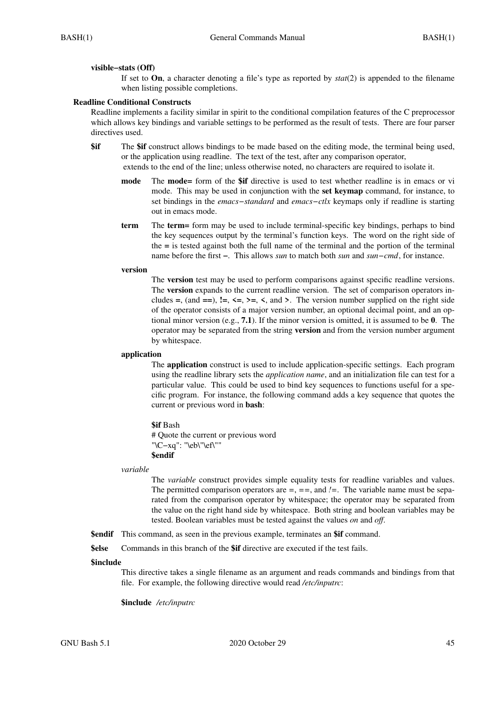### **visible−stats (Off)**

If set to  $\mathbf{On}$ , a character denoting a file's type as reported by  $stat(2)$  is appended to the filename when listing possible completions.

#### **Readline Conditional Constructs**

Readline implements a facility similar in spirit to the conditional compilation features of the C preprocessor which allows key bindings and variable settings to be performed as the result of tests. There are four parser directives used.

**\$if** The **\$if** construct allows bindings to be made based on the editing mode, the terminal being used, or the application using readline. The text of the test, after any comparison operator, extends to the end of the line; unless otherwise noted, no characters are required to isolate it.

- **mode** The **mode=** form of the **\$if** directive is used to test whether readline is in emacs or vi mode. This may be used in conjunction with the **set keymap** command, for instance, to set bindings in the *emacs−standard* and *emacs−ctlx* keymaps only if readline is starting out in emacs mode.
- **term** The **term=** form may be used to include terminal-specific key bindings, perhaps to bind the key sequences output by the terminal's function keys. The word on the right side of the **=** is tested against both the full name of the terminal and the portion of the terminal name before the first **−**. This allows *sun* to match both *sun* and *sun−cmd*, for instance.

#### **version**

The **version** test may be used to perform comparisons against specific readline versions. The **version** expands to the current readline version. The set of comparison operators includes  $=$ , (and  $=$ ), **!** $=$ ,  $\leq$   $=$ ,  $\leq$ ,  $\leq$ , and  $\geq$ . The version number supplied on the right side of the operator consists of a major version number, an optional decimal point, and an optional minor version (e.g., **7.1**). If the minor version is omitted, it is assumed to be **0**. The operator may be separated from the string **version** and from the version number argument by whitespace.

# **application**

The **application** construct is used to include application-specific settings. Each program using the readline library sets the *application name*, and an initialization file can test for a particular value. This could be used to bind key sequences to functions useful for a specific program. For instance, the following command adds a key sequence that quotes the current or previous word in **bash**:

# **\$if** Bash

# Quote the current or previous word "\C−xq": "\eb\"\ef\"" **\$endif**

#### *variable*

The *variable* construct provides simple equality tests for readline variables and values. The permitted comparison operators are *=*, *==*, and *!=*. The variable name must be separated from the comparison operator by whitespace; the operator may be separated from the value on the right hand side by whitespace. Both string and boolean variables may be tested. Boolean variables must be tested against the values *on* and *off*.

- **\$endif** This command, as seen in the previous example, terminates an **\$if** command.
- **\$else** Commands in this branch of the **\$if** directive are executed if the test fails.

# **\$include**

This directive takes a single filename as an argument and reads commands and bindings from that file. For example, the following directive would read */etc/inputrc*:

**\$include** */etc/inputrc*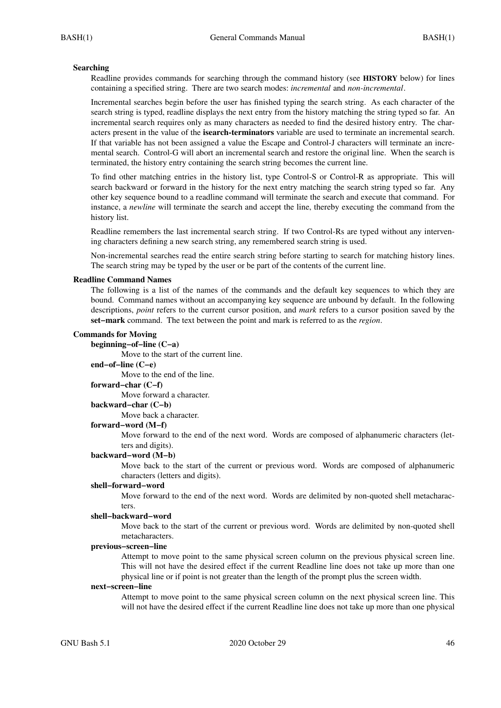# **Searching**

Readline provides commands for searching through the command history (see **HISTORY** below) for lines containing a specified string. There are two search modes: *incremental* and *non-incremental*.

Incremental searches begin before the user has finished typing the search string. As each character of the search string is typed, readline displays the next entry from the history matching the string typed so far. An incremental search requires only as many characters as needed to find the desired history entry. The characters present in the value of the **isearch-terminators** variable are used to terminate an incremental search. If that variable has not been assigned a value the Escape and Control-J characters will terminate an incremental search. Control-G will abort an incremental search and restore the original line. When the search is terminated, the history entry containing the search string becomes the current line.

To find other matching entries in the history list, type Control-S or Control-R as appropriate. This will search backward or forward in the history for the next entry matching the search string typed so far. Any other key sequence bound to a readline command will terminate the search and execute that command. For instance, a *newline* will terminate the search and accept the line, thereby executing the command from the history list.

Readline remembers the last incremental search string. If two Control-Rs are typed without any intervening characters defining a new search string, any remembered search string is used.

Non-incremental searches read the entire search string before starting to search for matching history lines. The search string may be typed by the user or be part of the contents of the current line.

# **Readline Command Names**

The following is a list of the names of the commands and the default key sequences to which they are bound. Command names without an accompanying key sequence are unbound by default. In the following descriptions, *point* refers to the current cursor position, and *mark* refers to a cursor position saved by the **set−mark** command. The text between the point and mark is referred to as the *region*.

### **Commands for Moving**

# **beginning−of−line (C−a)**

Move to the start of the current line.

**end−of−line (C−e)**

Move to the end of the line.

### **forward−char (C−f)**

Move forward a character.

### **backward−char (C−b)**

Move back a character.

# **forward−word (M−f)**

Move forward to the end of the next word. Words are composed of alphanumeric characters (letters and digits).

# **backward−word (M−b)**

Move back to the start of the current or previous word. Words are composed of alphanumeric characters (letters and digits).

# **shell−forward−word**

Move forward to the end of the next word. Words are delimited by non-quoted shell metacharacters.

#### **shell−backward−word**

Move back to the start of the current or previous word. Words are delimited by non-quoted shell metacharacters.

## **previous−screen−line**

Attempt to move point to the same physical screen column on the previous physical screen line. This will not have the desired effect if the current Readline line does not take up more than one physical line or if point is not greater than the length of the prompt plus the screen width.

#### **next−screen−line**

Attempt to move point to the same physical screen column on the next physical screen line. This will not have the desired effect if the current Readline line does not take up more than one physical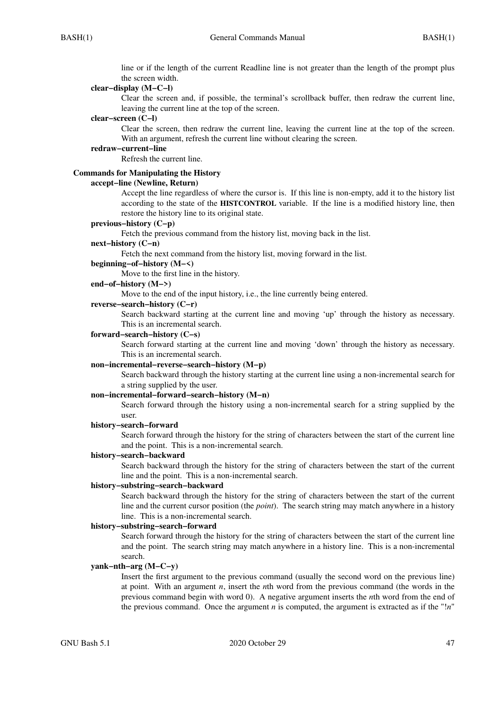line or if the length of the current Readline line is not greater than the length of the prompt plus the screen width.

# **clear−display (M−C−l)**

Clear the screen and, if possible, the terminal's scrollback buffer, then redraw the current line, leaving the current line at the top of the screen.

### **clear−screen (C−l)**

Clear the screen, then redraw the current line, leaving the current line at the top of the screen. With an argument, refresh the current line without clearing the screen.

# **redraw−current−line**

Refresh the current line.

# **Commands for Manipulating the History**

### **accept−line (Newline, Return)**

Accept the line regardless of where the cursor is. If this line is non-empty, add it to the history list according to the state of the **HISTCONTROL** variable. If the line is a modified history line, then restore the history line to its original state.

#### **previous−history (C−p)**

Fetch the previous command from the history list, moving back in the list.

# **next−history (C−n)**

Fetch the next command from the history list, moving forward in the list.

**beginning−of−history (M−<)**

Move to the first line in the history.

### **end−of−history (M−>)**

Move to the end of the input history, i.e., the line currently being entered.

### **re verse−search−history (C−r)**

Search backward starting at the current line and moving 'up' through the history as necessary. This is an incremental search.

#### **forward−search−history (C−s)**

Search forward starting at the current line and moving 'down' through the history as necessary. This is an incremental search.

## **non–incremental–reverse–search–history (M–p)**

Search backward through the history starting at the current line using a non-incremental search for a string supplied by the user.

### **non−incremental−forward−search−history (M−n)**

Search forward through the history using a non-incremental search for a string supplied by the user.

# **history−search−forward**

Search forward through the history for the string of characters between the start of the current line and the point. This is a non-incremental search.

### **history−search−backward**

Search backward through the history for the string of characters between the start of the current line and the point. This is a non-incremental search.

# **history−substring−search−backward**

Search backward through the history for the string of characters between the start of the current line and the current cursor position (the *point*). The search string may match anywhere in a history line. This is a non-incremental search.

#### **history−substring−search−forward**

Search forward through the history for the string of characters between the start of the current line and the point. The search string may match anywhere in a history line. This is a non-incremental search.

# **yank−nth−arg (M−C−y)**

Insert the first argument to the previous command (usually the second word on the previous line) at point. With an argument *n*, insert the *n*th word from the previous command (the words in the previous command begin with word 0). A neg ative argument inserts the *n*th word from the end of the previous command. Once the argument *n* is computed, the argument is extracted as if the "!*n*"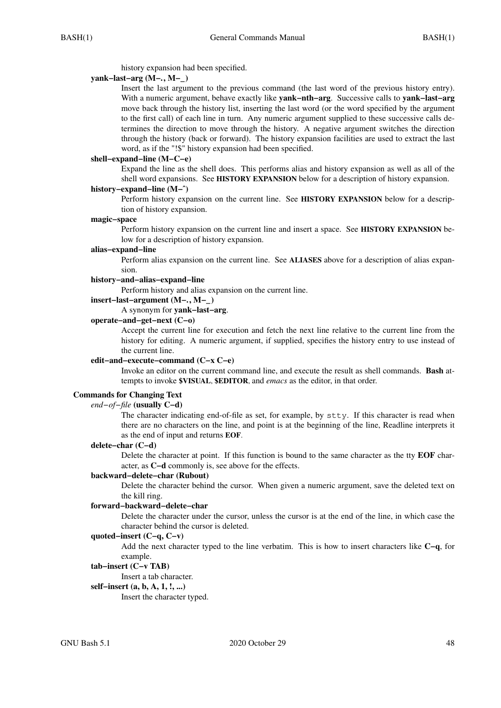history expansion had been specified.

# **yank−last−arg (M−. , M−\_ )**

Insert the last argument to the previous command (the last word of the previous history entry). With a numeric argument, behave exactly like **yank−nth−arg**. Successive calls to **yank−last−arg** move back through the history list, inserting the last word (or the word specified by the argument to the first call) of each line in turn. Any numeric argument supplied to these successive calls determines the direction to move through the history. A negative argument switches the direction through the history (back or forward). The history expansion facilities are used to extract the last word, as if the "!\$" history expansion had been specified.

# **shell−expand−line (M−C−e)**

Expand the line as the shell does. This performs alias and history expansion as well as all of the shell word expansions. See **HISTORY EXPANSION** below for a description of history expansion.

# **history−expand−line (M−ˆ)**

Perform history expansion on the current line. See **HISTORY EXPANSION** below for a description of history expansion.

### **magic−space**

Perform history expansion on the current line and insert a space. See **HISTORY EXPANSION** below for a description of history expansion.

### **alias−expand−line**

Perform alias expansion on the current line. See **ALIASES** above for a description of alias expansion.

# **history−and−alias−expand−line**

Perform history and alias expansion on the current line.

# **insert−last−argument (M−., M−\_ )**

A synonym for **yank−last−arg**.

### **operate−and−get−next (C−o)**

Accept the current line for execution and fetch the next line relative to the current line from the history for editing. A numeric argument, if supplied, specifies the history entry to use instead of the current line.

# **edit−and−execute−command (C−x C−e)**

Invoke an editor on the current command line, and execute the result as shell commands. **Bash** attempts to invoke **\$VISUAL**, **\$EDITOR**, and *emacs* as the editor, in that order.

# **Commands for Changing Text**

*end−of−file* **(usually C−d)**

The character indicating end-of-file as set, for example, by stty. If this character is read when there are no characters on the line, and point is at the beginning of the line, Readline interprets it as the end of input and returns **EOF**.

#### **delete−char (C−d)**

Delete the character at point. If this function is bound to the same character as the tty **EOF** character, as **C−d** commonly is, see above for the effects.

# **backward−delete−char (Rubout)**

Delete the character behind the cursor. When given a numeric argument, save the deleted text on the kill ring.

# **forward−backward−delete−char**

Delete the character under the cursor, unless the cursor is at the end of the line, in which case the character behind the cursor is deleted.

## **quoted−insert (C−q, C−v)**

Add the next character typed to the line verbatim. This is how to insert characters like **C−q**, for example.

# **tab−insert (C−v TAB)**

Insert a tab character.

# **self−insert (a, b, A, 1, !, ...)**

Insert the character typed.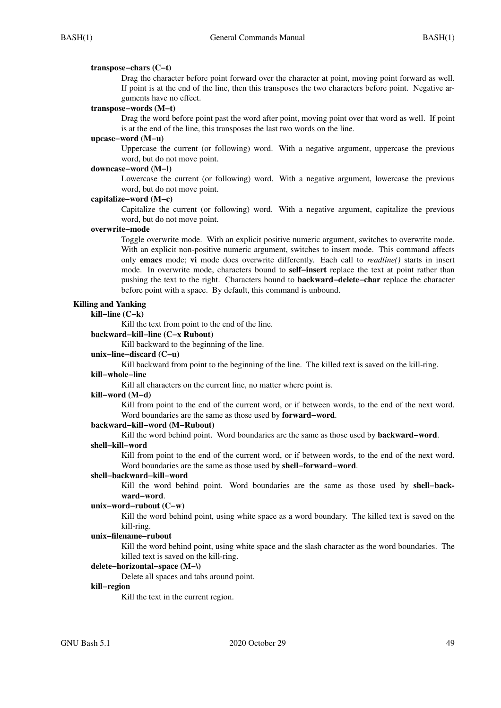# **transpose−chars (C−t)**

Drag the character before point forward over the character at point, moving point forward as well. If point is at the end of the line, then this transposes the two characters before point. Negative arguments have no effect.

### **transpose−words (M−t)**

Drag the word before point past the word after point, moving point over that word as well. If point is at the end of the line, this transposes the last two words on the line.

### **upcase−word (M−u)**

Uppercase the current (or following) word. With a negative argument, uppercase the previous word, but do not move point.

### **downcase−word (M−l)**

Lowercase the current (or following) word. With a negative argument, lowercase the previous word, but do not move point.

# **capitalize−word (M−c)**

Capitalize the current (or following) word. With a negative argument, capitalize the previous word, but do not move point.

#### **overwrite−mode**

Toggle overwrite mode. With an explicit positive numeric argument, switches to overwrite mode. With an explicit non-positive numeric argument, switches to insert mode. This command affects only **emacs** mode; **vi** mode does overwrite differently. Each call to *readline()* starts in insert mode. In overwrite mode, characters bound to **self−insert** replace the text at point rather than pushing the text to the right. Characters bound to **backward−delete−char** replace the character before point with a space. By default, this command is unbound.

# **Killing and Yanking**

**kill−line (C−k)**

Kill the text from point to the end of the line.

# **backward−kill−line (C−x Rubout)**

Kill backward to the beginning of the line.

# **unix−line−discard (C−u)**

Kill backward from point to the beginning of the line. The killed text is saved on the kill-ring. **kill−whole−line**

Kill all characters on the current line, no matter where point is.

#### **kill−word (M−d)**

Kill from point to the end of the current word, or if between words, to the end of the next word. Word boundaries are the same as those used by **forward−word**.

# **backward−kill−word (M−Rubout)**

Kill the word behind point. Word boundaries are the same as those used by **backward−word**.

#### **shell−kill−word**

Kill from point to the end of the current word, or if between words, to the end of the next word. Word boundaries are the same as those used by **shell−forward−word**.

#### **shell−backward−kill−word**

Kill the word behind point. Word boundaries are the same as those used by **shell−backward−word**.

# **unix−word−rubout (C−w)**

Kill the word behind point, using white space as a word boundary. The killed text is saved on the kill-ring.

## **unix−filename−rubout**

Kill the word behind point, using white space and the slash character as the word boundaries. The killed text is saved on the kill-ring.

### **delete−horizontal−space (M−\)**

Delete all spaces and tabs around point.

# **kill−region**

Kill the text in the current region.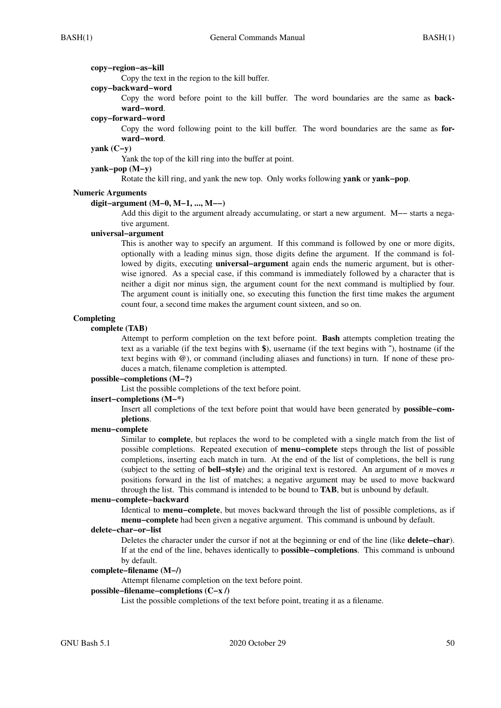#### **copy−region−as−kill**

Copy the text in the region to the kill buffer.

### **copy−backward−word**

Copy the word before point to the kill buffer. The word boundaries are the same as **backward−word**.

### **copy−forward−word**

Copy the word following point to the kill buffer. The word boundaries are the same as **forward−word**.

#### **yank (C−y)**

Yank the top of the kill ring into the buffer at point.

#### **yank−pop (M−y)**

Rotate the kill ring, and yank the new top. Only works following **yank** or **yank−pop**.

#### **Numeric Arguments**

# **digit−argument (M−0, M−1, ..., M−−)**

Add this digit to the argument already accumulating, or start a new argument. M−− starts a negative argument.

# **universal−argument**

This is another way to specify an argument. If this command is followed by one or more digits, optionally with a leading minus sign, those digits define the argument. If the command is followed by digits, executing **universal−argument** again ends the numeric argument, but is otherwise ignored. As a special case, if this command is immediately followed by a character that is neither a digit nor minus sign, the argument count for the next command is multiplied by four. The argument count is initially one, so executing this function the first time makes the argument count four, a second time makes the argument count sixteen, and so on.

# **Completing**

### **complete (TAB)**

Attempt to perform completion on the text before point. **Bash** attempts completion treating the text as a variable (if the text begins with **\$**), username (if the text begins with **˜**), hostname (if the text begins with **@**), or command (including aliases and functions) in turn. If none of these produces a match, filename completion is attempted.

#### **possible−completions (M−?)**

List the possible completions of the text before point.

### **insert−completions (M−\*)**

Insert all completions of the text before point that would have been generated by **possible−completions**.

#### **menu−complete**

Similar to **complete**, but replaces the word to be completed with a single match from the list of possible completions. Repeated execution of **menu−complete** steps through the list of possible completions, inserting each match in turn. At the end of the list of completions, the bell is rung (subject to the setting of **bell−style**) and the original text is restored. An argument of *n* moves *n* positions forward in the list of matches; a negative argument may be used to move backward through the list. This command is intended to be bound to **TAB**, but is unbound by default.

# **menu−complete−backward**

Identical to **menu−complete**, but moves backward through the list of possible completions, as if **menu–complete** had been given a negative argument. This command is unbound by default.

#### **delete−char−or−list**

Deletes the character under the cursor if not at the beginning or end of the line (like **delete−char**). If at the end of the line, behaves identically to **possible−completions**. This command is unbound by default.

#### **complete−filename (M−/)**

Attempt filename completion on the text before point.

# **possible−filename−completions (C−x /)**

List the possible completions of the text before point, treating it as a filename.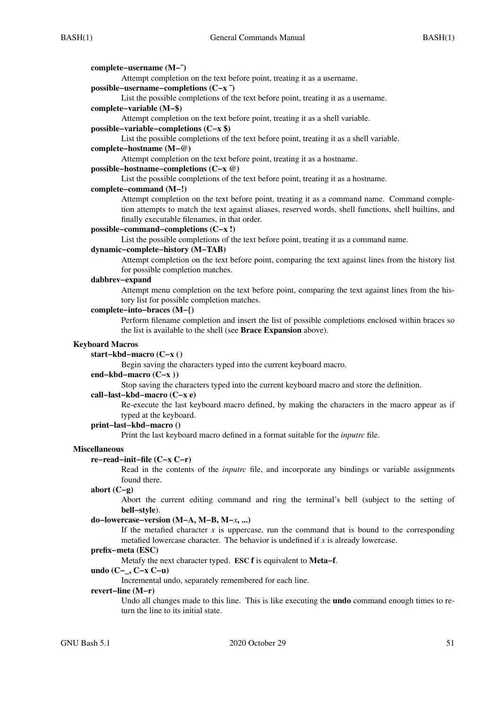#### **complete−username (M−˜)**

Attempt completion on the text before point, treating it as a username.

# **possible−username−completions (C−x ˜)**

List the possible completions of the text before point, treating it as a username.

#### **complete−variable (M−\$)**

Attempt completion on the text before point, treating it as a shell variable.

#### **possible−variable−completions (C−x \$)**

List the possible completions of the text before point, treating it as a shell variable.

#### **complete−hostname (M−@)**

Attempt completion on the text before point, treating it as a hostname.

### **possible−hostname−completions (C−x @)**

List the possible completions of the text before point, treating it as a hostname.

## **complete−command (M−!)**

Attempt completion on the text before point, treating it as a command name. Command completion attempts to match the text against aliases, reserved words, shell functions, shell builtins, and finally executable filenames, in that order.

### **possible−command−completions (C−x !)**

List the possible completions of the text before point, treating it as a command name.

# **dynamic−complete−history (M−TAB)**

Attempt completion on the text before point, comparing the text against lines from the history list for possible completion matches.

### **dabbrev−expand**

Attempt menu completion on the text before point, comparing the text against lines from the history list for possible completion matches.

# **complete−into−braces (M−{)**

Perform filename completion and insert the list of possible completions enclosed within braces so the list is available to the shell (see **Brace Expansion** above).

# **Keyboard Macros**

# **start−kbd−macro (C−x ()**

Begin saving the characters typed into the current keyboard macro.

## **end−kbd−macro (C−x ))**

Stop saving the characters typed into the current keyboard macro and store the definition.

#### **call−last−kbd−macro (C−x e)**

Re-execute the last keyboard macro defined, by making the characters in the macro appear as if typed at the keyboard.

# **print−last−kbd−macro ()**

Print the last keyboard macro defined in a format suitable for the *inputrc* file.

#### **Miscellaneous**

#### **re−read−init−file (C−x C−r)**

Read in the contents of the *inputrc* file, and incorporate any bindings or variable assignments found there.

#### **abort (C−g)**

Abort the current editing command and ring the terminal's bell (subject to the setting of **bell−style**).

### **do−lowercase−version (M−A, M−B, M−***x***, ...)**

If the metafied character  $x$  is uppercase, run the command that is bound to the corresponding metafied lowercase character. The behavior is undefined if *x* is already lowercase.

## **prefix−meta (ESC)**

Metafy the next character typed. **ESC f** is equivalent to **Meta−f**.

#### **undo (C−\_, C−x C−u)**

Incremental undo, separately remembered for each line.

# **re vert−line (M−r)**

Undo all changes made to this line. This is like executing the **undo** command enough times to return the line to its initial state.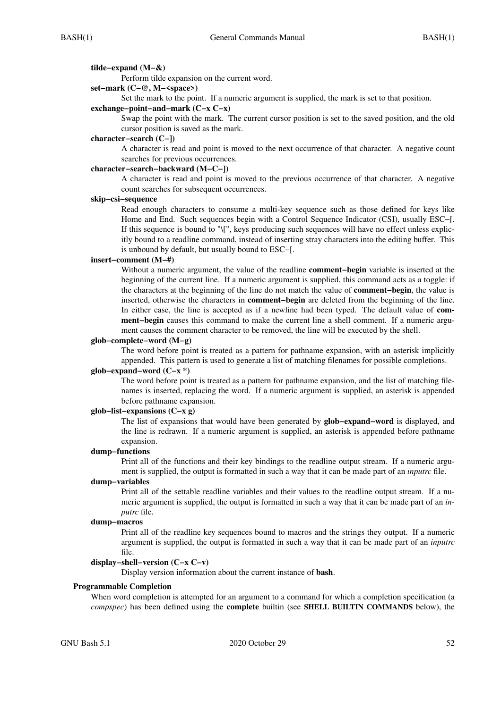## **tilde−expand (M−&)**

Perform tilde expansion on the current word.

# **set−mark (C−@, M−<space>)**

Set the mark to the point. If a numeric argument is supplied, the mark is set to that position.

## **exchange−point−and−mark (C−x C−x)**

Swap the point with the mark. The current cursor position is set to the saved position, and the old cursor position is saved as the mark.

#### **character−search (C−])**

A character is read and point is moved to the next occurrence of that character. A negative count searches for previous occurrences.

### **character−search−backward (M−C−])**

A character is read and point is moved to the previous occurrence of that character. A negative count searches for subsequent occurrences.

# **skip−csi−sequence**

Read enough characters to consume a multi-key sequence such as those defined for keys like Home and End. Such sequences begin with a Control Sequence Indicator (CSI), usually ESC−[. If this sequence is bound to " $\langle \cdot \rangle$ ", keys producing such sequences will have no effect unless explicitly bound to a readline command, instead of inserting stray characters into the editing buffer. This is unbound by default, but usually bound to ESC−[.

### **insert−comment (M−#)**

Without a numeric argument, the value of the readline **comment−begin** variable is inserted at the beginning of the current line. If a numeric argument is supplied, this command acts as a toggle: if the characters at the beginning of the line do not match the value of **comment−begin**, the value is inserted, otherwise the characters in **comment−begin** are deleted from the beginning of the line. In either case, the line is accepted as if a newline had been typed. The default value of **com**ment–begin causes this command to make the current line a shell comment. If a numeric argument causes the comment character to be removed, the line will be executed by the shell.

### **glob−complete−word (M−g)**

The word before point is treated as a pattern for pathname expansion, with an asterisk implicitly appended. This pattern is used to generate a list of matching filenames for possible completions.

# **glob−expand−word (C−x \*)**

The word before point is treated as a pattern for pathname expansion, and the list of matching filenames is inserted, replacing the word. If a numeric argument is supplied, an asterisk is appended before pathname expansion.

# **glob−list−expansions (C−x g)**

The list of expansions that would have been generated by **glob−expand−word** is displayed, and the line is redrawn. If a numeric argument is supplied, an asterisk is appended before pathname expansion.

#### **dump−functions**

Print all of the functions and their key bindings to the readline output stream. If a numeric argument is supplied, the output is formatted in such a way that it can be made part of an *inputrc* file.

# **dump−variables**

Print all of the settable readline variables and their values to the readline output stream. If a numeric argument is supplied, the output is formatted in such a way that it can be made part of an *inputrc* file.

## **dump−macros**

Print all of the readline key sequences bound to macros and the strings they output. If a numeric argument is supplied, the output is formatted in such a way that it can be made part of an *inputrc* file.

# **display−shell−version (C−x C−v)**

Display version information about the current instance of **bash**.

# **Programmable Completion**

When word completion is attempted for an argument to a command for which a completion specification (a *compspec*) has been defined using the **complete** builtin (see **SHELL BUILTIN COMMANDS** below), the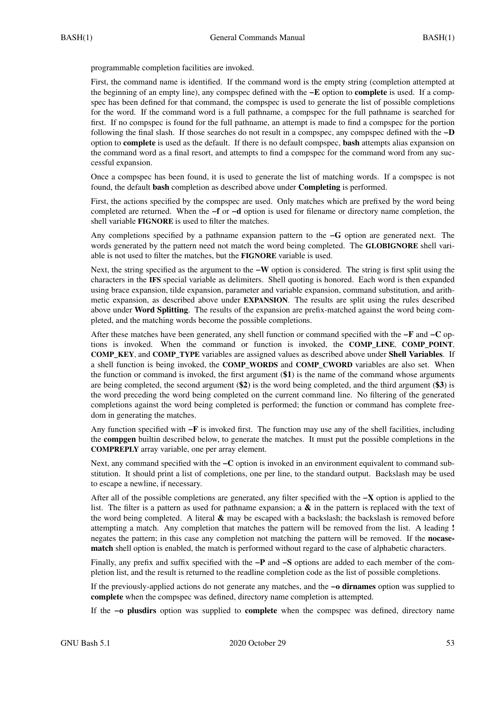programmable completion facilities are invoked.

First, the command name is identified. If the command word is the empty string (completion attempted at the beginning of an empty line), any compspec defined with the **−E** option to **complete** is used. If a compspec has been defined for that command, the compspec is used to generate the list of possible completions for the word. If the command word is a full pathname, a compspec for the full pathname is searched for first. If no compspec is found for the full pathname, an attempt is made to find a compspec for the portion following the final slash. If those searches do not result in a compspec, any compspec defined with the **−D** option to **complete** is used as the default. If there is no default compspec, **bash** attempts alias expansion on the command word as a final resort, and attempts to find a compspec for the command word from any successful expansion.

Once a compspec has been found, it is used to generate the list of matching words. If a compspec is not found, the default **bash** completion as described above under **Completing** is performed.

First, the actions specified by the compspec are used. Only matches which are prefixed by the word being completed are returned. When the **−f** or **−d** option is used for filename or directory name completion, the shell variable **FIGNORE** is used to filter the matches.

Any completions specified by a pathname expansion pattern to the **−G** option are generated next. The words generated by the pattern need not match the word being completed. The **GLOBIGNORE** shell variable is not used to filter the matches, but the **FIGNORE** variable is used.

Next, the string specified as the argument to the **−W** option is considered. The string is first split using the characters in the **IFS** special variable as delimiters. Shell quoting is honored. Each word is then expanded using brace expansion, tilde expansion, parameter and variable expansion, command substitution, and arithmetic expansion, as described above under **EXPANSION**. The results are split using the rules described above under **Word Splitting**. The results of the expansion are prefix-matched against the word being completed, and the matching words become the possible completions.

After these matches have been generated, any shell function or command specified with the **−F** and **−C** options is invoked. When the command or function is invoked, the **COMP\_LINE**, **COMP\_POINT**, **COMP\_KEY**, and **COMP\_TYPE** variables are assigned values as described above under **Shell Variables**. If a shell function is being invoked, the **COMP\_WORDS** and **COMP\_CWORD** variables are also set. When the function or command is invoked, the first argument (**\$1**) is the name of the command whose arguments are being completed, the second argument (**\$2**) is the word being completed, and the third argument (**\$3**) is the word preceding the word being completed on the current command line. No filtering of the generated completions against the word being completed is performed; the function or command has complete freedom in generating the matches.

Any function specified with **−F** is invoked first. The function may use any of the shell facilities, including the **compgen** builtin described below, to generate the matches. It must put the possible completions in the **COMPREPLY** array variable, one per array element.

Next, any command specified with the **−C** option is invoked in an environment equivalent to command substitution. It should print a list of completions, one per line, to the standard output. Backslash may be used to escape a newline, if necessary.

After all of the possible completions are generated, any filter specified with the **−X** option is applied to the list. The filter is a pattern as used for pathname expansion; a **&** in the pattern is replaced with the text of the word being completed. A literal **&** may be escaped with a backslash; the backslash is removed before attempting a match. Any completion that matches the pattern will be removed from the list. A leading **!** negates the pattern; in this case any completion not matching the pattern will be removed. If the **nocasematch** shell option is enabled, the match is performed without regard to the case of alphabetic characters.

Finally, any prefix and suffix specified with the **−P** and **−S** options are added to each member of the completion list, and the result is returned to the readline completion code as the list of possible completions.

If the previously-applied actions do not generate any matches, and the **−o dirnames** option was supplied to **complete** when the compspec was defined, directory name completion is attempted.

If the **−o plusdirs** option was supplied to **complete** when the compspec was defined, directory name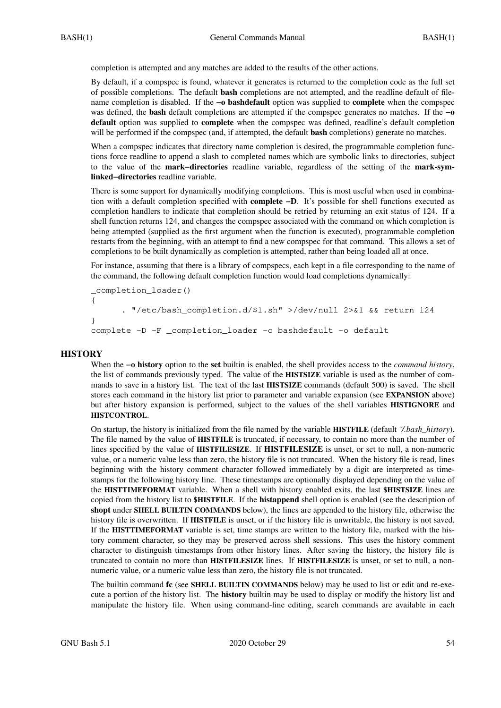completion is attempted and any matches are added to the results of the other actions.

By default, if a compspec is found, whatever it generates is returned to the completion code as the full set of possible completions. The default **bash** completions are not attempted, and the readline default of filename completion is disabled. If the **−o bashdefault** option was supplied to **complete** when the compspec was defined, the **bash** default completions are attempted if the compspec generates no matches. If the **−o default** option was supplied to **complete** when the compspec was defined, readline's default completion will be performed if the compspec (and, if attempted, the default **bash** completions) generate no matches.

When a compspec indicates that directory name completion is desired, the programmable completion functions force readline to append a slash to completed names which are symbolic links to directories, subject to the value of the **mark−directories** readline variable, regardless of the setting of the **mark-symlinked−directories** readline variable.

There is some support for dynamically modifying completions. This is most useful when used in combination with a default completion specified with **complete −D**. It's possible for shell functions executed as completion handlers to indicate that completion should be retried by returning an exit status of 124. If a shell function returns 124, and changes the compspec associated with the command on which completion is being attempted (supplied as the first argument when the function is executed), programmable completion restarts from the beginning, with an attempt to find a new compspec for that command. This allows a set of completions to be built dynamically as completion is attempted, rather than being loaded all at once.

For instance, assuming that there is a library of compspecs, each kept in a file corresponding to the name of the command, the following default completion function would load completions dynamically:

```
_completion_loader()
{
      . "/etc/bash_completion.d/$1.sh" >/dev/null 2>&1 && return 124
}
complete -D -F _completion_loader -o bashdefault -o default
```
# **HISTORY**

When the **−o history** option to the **set** builtin is enabled, the shell provides access to the *command history*, the list of commands previously typed. The value of the **HISTSIZE** variable is used as the number of commands to save in a history list. The text of the last **HISTSIZE** commands (default 500) is saved. The shell stores each command in the history list prior to parameter and variable expansion (see **EXPANSION** above) but after history expansion is performed, subject to the values of the shell variables **HISTIGNORE** and **HISTCONTROL**.

On startup, the history is initialized from the file named by the variable **HISTFILE** (default *˜/.bash\_history*). The file named by the value of **HISTFILE** is truncated, if necessary, to contain no more than the number of lines specified by the value of **HISTFILESIZE**. If **HISTFILESIZE** is unset, or set to null, a non-numeric value, or a numeric value less than zero, the history file is not truncated. When the history file is read, lines beginning with the history comment character followed immediately by a digit are interpreted as timestamps for the following history line. These timestamps are optionally displayed depending on the value of the **HISTTIMEFORMAT** variable. When a shell with history enabled exits, the last **\$HISTSIZE** lines are copied from the history list to **\$HISTFILE**. If the **histappend** shell option is enabled (see the description of **shopt** under **SHELL BUILTIN COMMANDS** below), the lines are appended to the history file, otherwise the history file is overwritten. If **HISTFILE** is unset, or if the history file is unwritable, the history is not saved. If the **HISTTIMEFORMAT** variable is set, time stamps are written to the history file, marked with the history comment character, so they may be preserved across shell sessions. This uses the history comment character to distinguish timestamps from other history lines. After saving the history, the history file is truncated to contain no more than **HISTFILESIZE** lines. If **HISTFILESIZE** is unset, or set to null, a nonnumeric value, or a numeric value less than zero, the history file is not truncated.

The builtin command **fc** (see **SHELL BUILTIN COMMANDS** below) may be used to list or edit and re-execute a portion of the history list. The **history** builtin may be used to display or modify the history list and manipulate the history file. When using command-line editing, search commands are available in each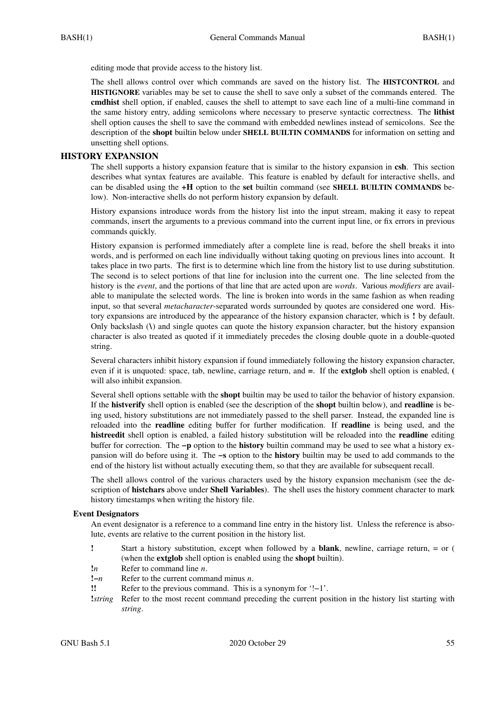editing mode that provide access to the history list.

The shell allows control over which commands are saved on the history list. The **HISTCONTROL** and **HISTIGNORE** variables may be set to cause the shell to save only a subset of the commands entered. The **cmdhist** shell option, if enabled, causes the shell to attempt to save each line of a multi-line command in the same history entry, adding semicolons where necessary to preserve syntactic correctness. The **lithist** shell option causes the shell to save the command with embedded newlines instead of semicolons. See the description of the **shopt** builtin below under **SHELL BUILTIN COMMANDS** for information on setting and unsetting shell options.

# **HISTORY EXPANSION**

The shell supports a history expansion feature that is similar to the history expansion in **csh**. This section describes what syntax features are available. This feature is enabled by default for interactive shells, and can be disabled using the **+H** option to the **set** builtin command (see **SHELL BUILTIN COMMANDS** below). Non-interactive shells do not perform history expansion by default.

History expansions introduce words from the history list into the input stream, making it easy to repeat commands, insert the arguments to a previous command into the current input line, or fix errors in previous commands quickly.

History expansion is performed immediately after a complete line is read, before the shell breaks it into words, and is performed on each line individually without taking quoting on previous lines into account. It takes place in two parts. The first is to determine which line from the history list to use during substitution. The second is to select portions of that line for inclusion into the current one. The line selected from the history is the *event*, and the portions of that line that are acted upon are *words*. Various *modifiers* are available to manipulate the selected words. The line is broken into words in the same fashion as when reading input, so that several *metacharacter*-separated words surrounded by quotes are considered one word. History expansions are introduced by the appearance of the history expansion character, which is **!** by default. Only backslash (**\**) and single quotes can quote the history expansion character, but the history expansion character is also treated as quoted if it immediately precedes the closing double quote in a double-quoted string.

Several characters inhibit history expansion if found immediately following the history expansion character, even if it is unquoted: space, tab, newline, carriage return, and  $=$ . If the **extglob** shell option is enabled, ( will also inhibit expansion.

Several shell options settable with the **shopt** builtin may be used to tailor the behavior of history expansion. If the **histverify** shell option is enabled (see the description of the **shopt** builtin below), and **readline** is being used, history substitutions are not immediately passed to the shell parser. Instead, the expanded line is reloaded into the **readline** editing buffer for further modification. If **readline** is being used, and the **histreedit** shell option is enabled, a failed history substitution will be reloaded into the **readline** editing buffer for correction. The **−p** option to the **history** builtin command may be used to see what a history expansion will do before using it. The **−s** option to the **history** builtin may be used to add commands to the end of the history list without actually executing them, so that they are available for subsequent recall.

The shell allows control of the various characters used by the history expansion mechanism (see the description of **histchars** above under **Shell Variables**). The shell uses the history comment character to mark history timestamps when writing the history file.

# **Event Designators**

An event designator is a reference to a command line entry in the history list. Unless the reference is absolute, events are relative to the current position in the history list.

- **!** Start a history substitution, except when followed by a **blank**, newline, carriage return, = or ( (when the **extglob** shell option is enabled using the **shopt** builtin).
- **!***n* Refer to command line *n*.
- **!−***n* Refer to the current command minus *n*.
- **!!** Refer to the previous command. This is a synonym for '!−1'.
- **!***string* Refer to the most recent command preceding the current position in the history list starting with *string*.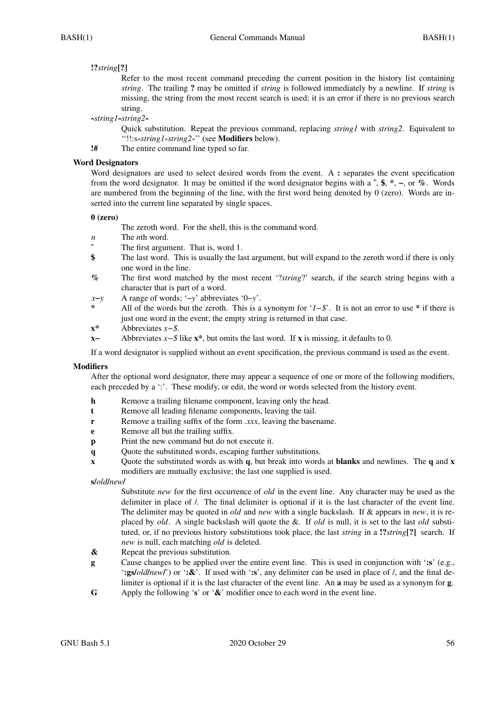# **!?***string***[?]**

Refer to the most recent command preceding the current position in the history list containing *string*. The trailing **?** may be omitted if *string* is followed immediately by a newline. If *string* is missing, the string from the most recent search is used; it is an error if there is no previous search string.

**ˆ** *string1* **ˆ** *string2* **ˆ**

Quick substitution. Repeat the previous command, replacing *string1* with *string2*. Equivalent to ''!!:s ˆ *string1* ˆ *string2* ˆ '' (see **Modifiers** below).

**!#** The entire command line typed so far.

# **Word Designators**

Word designators are used to select desired words from the event. A **:** separates the event specification from the word designator. It may be omitted if the word designator begins with a **ˆ**, **\$**, **\***, **−**, or **%**. Words are numbered from the beginning of the line, with the first word being denoted by 0 (zero). Words are inserted into the current line separated by single spaces.

# **0 (zero)**

- The zeroth word. For the shell, this is the command word.
- *n* The *n*th word.
- The first argument. That is, word 1.
- **\$** The last word. This is usually the last argument, but will expand to the zeroth word if there is only one word in the line.
- **%** The first word matched by the most recent '?*string*?' search, if the search string begins with a character that is part of a word.
- *x***−***y* A range of words; '−*y*' abbreviates '0−*y*'.
- **\*** All of the words but the zeroth. This is a synonym for '*1−\$*'. It is not an error to use **\*** if there is just one word in the event; the empty string is returned in that case.
- **x\*** Abbreviates *x−\$*.
- **x−** Abbreviates *x−\$* like **x\***, but omits the last word. If **x** is missing, it defaults to 0.

If a word designator is supplied without an event specification, the previous command is used as the event.

# **Modifiers**

After the optional word designator, there may appear a sequence of one or more of the following modifiers, each preceded by a ':'. These modify, or edit, the word or words selected from the history event.

- **h** Remove a trailing filename component, leaving only the head.
- **t** Remove all leading filename components, leaving the tail.
- **r** Remove a trailing suffix of the form *.xxx*, leaving the basename.
- **e** Remove all but the trailing suffix.
- **p** Print the new command but do not execute it.
- **q** Quote the substituted words, escaping further substitutions.
- **x** Quote the substituted words as with **q**, but break into words at **blanks** and newlines. The **q** and **x** modifiers are mutually exclusive; the last one supplied is used.

**s/***old***/***new***/**

Substitute *new* for the first occurrence of *old* in the event line. Any character may be used as the delimiter in place of /. The final delimiter is optional if it is the last character of the event line. The delimiter may be quoted in *old* and *new* with a single backslash. If & appears in *new*, it is replaced by *old*. A single backslash will quote the &. If *old* is null, it is set to the last *old* substituted, or, if no previous history substitutions took place, the last *string* in a **!?***string***[?]** search. If *new* is null, each matching *old* is deleted.

- **&** Repeat the previous substitution.
- **g** Cause changes to be applied over the entire event line. This is used in conjunction with '**:s**' (e.g., '**:gs/***old***/***new***/**') or '**:&**'. If used with '**:s**', any delimiter can be used in place of /, and the final delimiter is optional if it is the last character of the event line. An **a** may be used as a synonym for **g**.
- **G** Apply the following '**s**' or '**&**' modifier once to each word in the event line.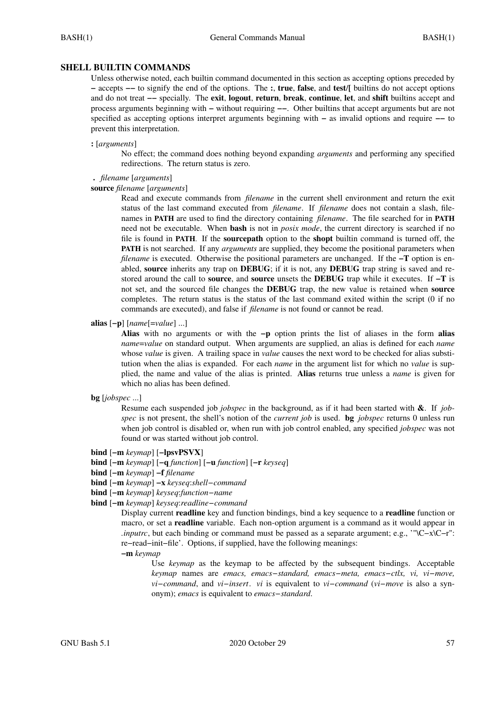# **SHELL BUILTIN COMMANDS**

Unless otherwise noted, each builtin command documented in this section as accepting options preceded by **−** accepts **−−** to signify the end of the options. The **:**, **true**, **false**, and **test**/**[** builtins do not accept options and do not treat **−−** specially. The **exit**, **logout**, **return**, **break**, **continue**, **let**, and **shift** builtins accept and process arguments beginning with **−** without requiring **−−**. Other builtins that accept arguments but are not specified as accepting options interpret arguments beginning with **−** as invalid options and require **−−** to prevent this interpretation.

# **:** [*arguments*]

No effect; the command does nothing beyond expanding *arguments* and performing any specified redirections. The return status is zero.

# **.** *filename* [*arguments*]

### **source** *filename* [*arguments*]

Read and execute commands from *filename* in the current shell environment and return the exit status of the last command executed from *filename*. If *filename* does not contain a slash, filenames in **PATH** are used to find the directory containing *filename*. The file searched for in **PATH** need not be executable. When **bash** is not in *posix mode*, the current directory is searched if no file is found in **PATH**. If the **sourcepath** option to the **shopt** builtin command is turned off, the **PATH** is not searched. If any *arguments* are supplied, they become the positional parameters when *filename* is executed. Otherwise the positional parameters are unchanged. If the **−T** option is enabled, **source** inherits any trap on **DEBUG**; if it is not, any **DEBUG** trap string is saved and restored around the call to **source**, and **source** unsets the **DEBUG** trap while it executes. If **−T** is not set, and the sourced file changes the **DEBUG** trap, the new value is retained when **source** completes. The return status is the status of the last command exited within the script (0 if no commands are executed), and false if *filename* is not found or cannot be read.

# **alias** [**−p**] [*name*[=*value*] ...]

**Alias** with no arguments or with the **−p** option prints the list of aliases in the form **alias** *name*=*value* on standard output. When arguments are supplied, an alias is defined for each *name* whose *value* is given. A trailing space in *value* causes the next word to be checked for alias substitution when the alias is expanded. For each *name* in the argument list for which no *value* is supplied, the name and value of the alias is printed. **Alias** returns true unless a *name* is given for which no alias has been defined.

**bg** [*jobspec* ...]

Resume each suspended job *jobspec* in the background, as if it had been started with **&**. If *jobspec* is not present, the shell's notion of the *current job* is used. **bg** *jobspec* returns 0 unless run when job control is disabled or, when run with job control enabled, any specified *jobspec* was not found or was started without job control.

- **bind** [**−m** *keymap*] [**−lpsvPSVX**]
- **bind** [**−m** *keymap*] [**−q** *function*] [**−u** *function*] [**−r** *keyseq*]
- **bind** [**−m** *keymap*] **−f** *filename*
- **bind** [**−m** *keymap*] **−x** *keyseq*:*shell−command*
- **bind** [**−m** *keymap*] *keyseq*:*function−name*
- **bind** [**−m** *keymap*] *keyseq*:*readline−command*

Display current **readline** key and function bindings, bind a key sequence to a **readline** function or macro, or set a **readline** variable. Each non-option argument is a command as it would appear in *.inputrc*, but each binding or command must be passed as a separate argument; e.g., '"\C−x\C−r": re−read−init−file'. Options, if supplied, have the following meanings:

**−m** *keymap*

Use *keymap* as the keymap to be affected by the subsequent bindings. Acceptable *keymap* names are *emacs, emacs−standard, emacs−meta, emacs−ctlx, vi, vi−move, vi−command*, and *vi−insert*. *vi* is equivalent to *vi−command* (*vi−move* is also a synonym); *emacs* is equivalent to *emacs−standard*.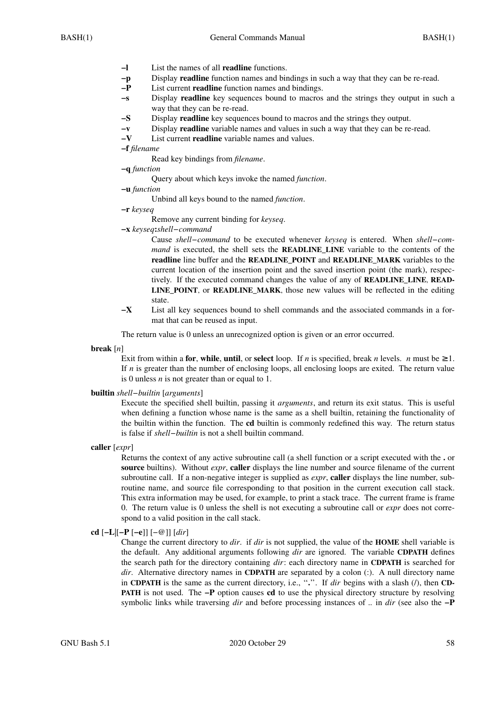- **−l** List the names of all **readline** functions.
- **−p** Display **readline** function names and bindings in such a way that they can be re-read.
- **−P** List current **readline** function names and bindings.
- **−s** Display **readline** key sequences bound to macros and the strings they output in such a way that they can be re-read.
- **−S** Display **readline** key sequences bound to macros and the strings they output.
- **−v** Display **readline** variable names and values in such a way that they can be re-read.
- **−V** List current **readline** variable names and values.

**−f** *filename*

Read key bindings from *filename*.

**−q** *function*

Query about which keys invoke the named *function*.

**−u** *function*

Unbind all keys bound to the named *function*.

**−r** *keyseq*

Remove any current binding for *keyseq*.

**−x** *keyseq***:***shell−command*

Cause *shell−command* to be executed whenever *keyseq* is entered. When *shell−command* is executed, the shell sets the **READLINE** LINE variable to the contents of the **readline** line buffer and the **READLINE\_POINT** and **READLINE\_MARK** variables to the current location of the insertion point and the saved insertion point (the mark), respectively. If the executed command changes the value of any of **READLINE\_LINE**, **READ-LINE\_POINT**, or **READLINE\_MARK**, those new values will be reflected in the editing state.

**−X** List all key sequences bound to shell commands and the associated commands in a format that can be reused as input.

The return value is 0 unless an unrecognized option is given or an error occurred.

**break** [*n*]

Exit from within a **for**, while, until, or select loop. If *n* is specified, break *n* levels. *n* must be  $\geq 1$ . If *n* is greater than the number of enclosing loops, all enclosing loops are exited. The return value is 0 unless *n* is not greater than or equal to 1.

**builtin** *shell−builtin* [*arguments*]

Execute the specified shell builtin, passing it *arguments*, and return its exit status. This is useful when defining a function whose name is the same as a shell builtin, retaining the functionality of the builtin within the function. The **cd** builtin is commonly redefined this way. The return status is false if *shell−builtin* is not a shell builtin command.

**caller** [*expr*]

Returns the context of any active subroutine call (a shell function or a script executed with the **.** or **source** builtins). Without *expr*, **caller** displays the line number and source filename of the current subroutine call. If a non-negative integer is supplied as *expr*, **caller** displays the line number, subroutine name, and source file corresponding to that position in the current execution call stack. This extra information may be used, for example, to print a stack trace. The current frame is frame 0. The return value is 0 unless the shell is not executing a subroutine call or *expr* does not correspond to a valid position in the call stack.

```
cd [−L|[−P [−e]] [−@]] [dir]
```
Change the current directory to *dir*. if *dir* is not supplied, the value of the **HOME** shell variable is the default. Any additional arguments following *dir* are ignored. The variable **CDPATH** defines the search path for the directory containing *dir*: each directory name in **CDPATH** is searched for *dir*. Alternative directory names in **CDPATH** are separated by a colon (:). A null directory name in **CDPATH** is the same as the current directory, i.e., "".". If *dir* begins with a slash (/), then **CD**-**PATH** is not used. The **−P** option causes **cd** to use the physical directory structure by resolving symbolic links while traversing *dir* and before processing instances of *..* in *dir* (see also the **−P**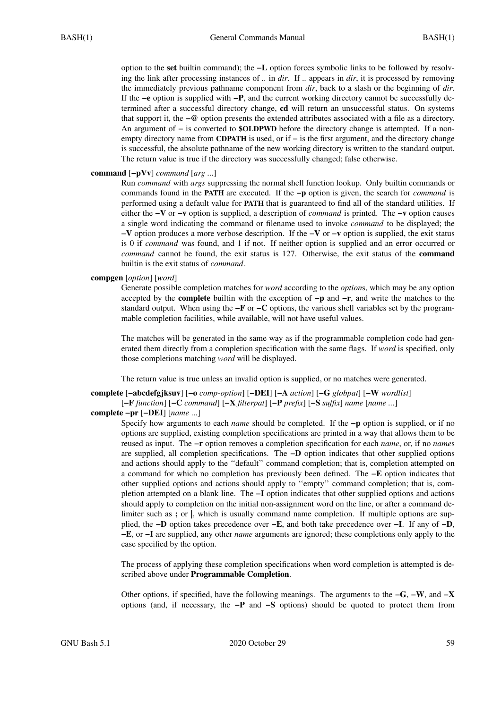option to the **set** builtin command); the **−L** option forces symbolic links to be followed by resolving the link after processing instances of *..* in *dir*. If *..* appears in *dir*, it is processed by removing the immediately previous pathname component from *dir*, back to a slash or the beginning of *dir*. If the **−e** option is supplied with **−P**, and the current working directory cannot be successfully determined after a successful directory change, **cd** will return an unsuccessful status. On systems that support it, the **−@** option presents the extended attributes associated with a file as a directory. An argument of **−** is converted to **\$OLDPWD** before the directory change is attempted. If a nonempty directory name from **CDPATH** is used, or if **−** is the first argument, and the directory change is successful, the absolute pathname of the new working directory is written to the standard output. The return value is true if the directory was successfully changed; false otherwise.

# **command** [**−pVv**] *command* [*arg* ...]

Run *command* with *args* suppressing the normal shell function lookup. Only builtin commands or commands found in the **PATH** are executed. If the **−p** option is given, the search for *command* is performed using a default value for **PATH** that is guaranteed to find all of the standard utilities. If either the **−V** or **−v** option is supplied, a description of *command* is printed. The **−v** option causes a single word indicating the command or filename used to invoke *command* to be displayed; the **−V** option produces a more verbose description. If the **−V** or **−v** option is supplied, the exit status is 0 if *command* was found, and 1 if not. If neither option is supplied and an error occurred or *command* cannot be found, the exit status is 127. Otherwise, the exit status of the **command** builtin is the exit status of *command*.

### **compgen** [*option*] [*word*]

Generate possible completion matches for *word* according to the *option*s, which may be any option accepted by the **complete** builtin with the exception of **−p** and **−r**, and write the matches to the standard output. When using the **−F** or **−C** options, the various shell variables set by the programmable completion facilities, while available, will not have useful values.

The matches will be generated in the same way as if the programmable completion code had generated them directly from a completion specification with the same flags. If *word* is specified, only those completions matching *word* will be displayed.

The return value is true unless an invalid option is supplied, or no matches were generated.

**complete** [**−abcdefgjksuv**] [**−o** *comp-option*] [**−DEI**] [**−A** *action*] [**−G** *globpat*] [**−W** *wordlist*]

[**−F** *function*] [**−C** *command*] [**−X** *filterpat*] [**−P** *prefix*] [**−S** *suffix*] *name* [*name ...*]

**complete −pr** [**−DEI**] [*name* ...]

Specify how arguments to each *name* should be completed. If the **−p** option is supplied, or if no options are supplied, existing completion specifications are printed in a way that allows them to be reused as input. The **−r** option removesacompletion specification for each *name*, or, if no *name*s are supplied, all completion specifications. The **−D** option indicates that other supplied options and actions should apply to the ''default'' command completion; that is, completion attempted on a command for which no completion has previously been defined. The **−E** option indicates that other supplied options and actions should apply to ''empty'' command completion; that is, completion attempted on a blank line. The **−I** option indicates that other supplied options and actions should apply to completion on the initial non-assignment word on the line, or after a command delimiter such as **;** or **|**, which is usually command name completion. If multiple options are supplied, the **−D** option takes precedence over **−E**, and both take precedence over **−I**. If any of **−D**, **−E**, or **−I** are supplied, any other *name* arguments are ignored; these completions only apply to the case specified by the option.

The process of applying these completion specifications when word completion is attempted is described above under **Programmable Completion**.

Other options, if specified, have the following meanings. The arguments to the **−G**, **−W**, and **−X** options (and, if necessary, the **−P** and **−S** options) should be quoted to protect them from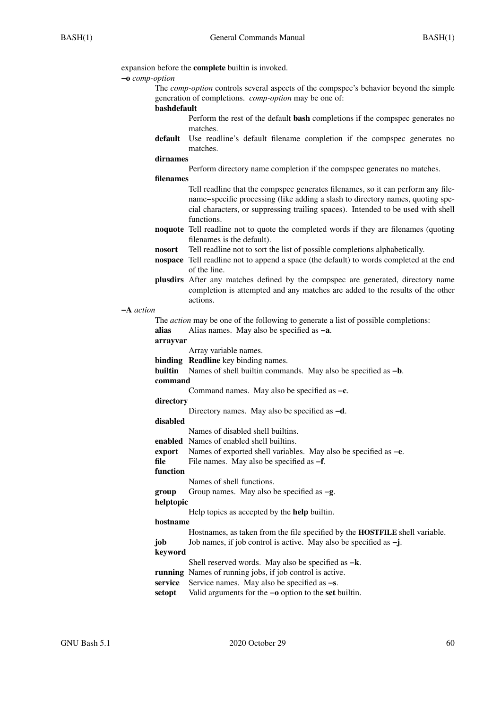# expansion before the **complete** builtin is invoked.

# **−o** *comp-option*

The *comp-option* controls several aspects of the compspec's behavior beyond the simple generation of completions. *comp-option* may be one of:

#### **bashdefault**

- Perform the rest of the default **bash** completions if the compspec generates no matches.
- **default** Use readline's default filename completion if the compspec generates no matches.

### **dirnames**

Perform directory name completion if the compspec generates no matches.

#### **filenames**

Tell readline that the compspec generates filenames, so it can perform any filename−specific processing (like adding a slash to directory names, quoting special characters, or suppressing trailing spaces). Intended to be used with shell functions.

- **noquote** Tell readline not to quote the completed words if they are filenames (quoting filenames is the default).
- **nosort** Tell readline not to sort the list of possible completions alphabetically.
- **nospace** Tell readline not to append a space (the default) to words completed at the end of the line.
- **plusdirs** After any matches defined by the compspec are generated, directory name completion is attempted and any matches are added to the results of the other actions.

# **−A** *action*

The *action* may be one of the following to generate a list of possible completions: **alias** Alias names. May also be specified as **−a**.

**arrayvar**

Array variable names.

**binding Readline** key binding names.

- **builtin** Names of shell builtin commands. May also be specified as **−b**.
- **command**
	- Command names. May also be specified as **−c**.

**directory**

Directory names. May also be specified as **−d**.

# **disabled**

Names of disabled shell builtins.

**enabled** Names of enabled shell builtins.

**export** Names of exported shell variables. May also be specified as **−e**.

**file** File names. May also be specified as **−f**.

**function**

Names of shell functions.

```
group Group names. May also be specified as −g.
```
**helptopic**

Help topics as accepted by the **help** builtin.

# **hostname**

- Hostnames, as taken from the file specified by the **HOSTFILE** shell variable.
- **job** Job names, if job control is active. May also be specified as **−j**. **keyword**

Shell reserved words. May also be specified as **−k**.

- **running** Names of running jobs, if job control is active.
- **service** Service names. May also be specified as **−s**.
- **setopt** Valid arguments for the **−o** option to the **set** builtin.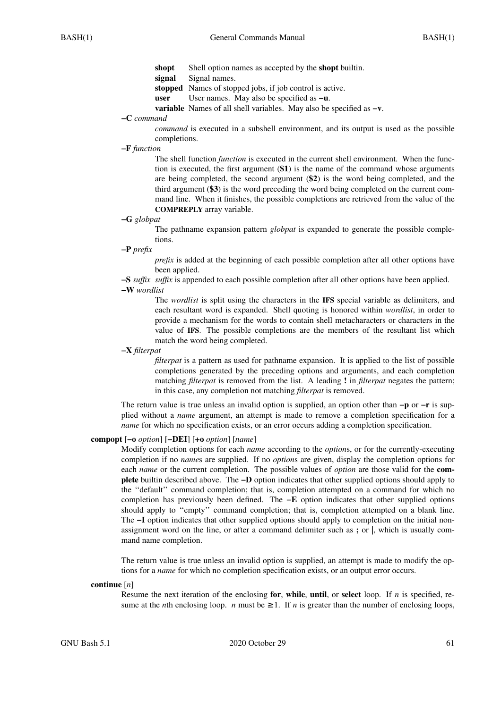- **shopt** Shell option names as accepted by the **shopt** builtin.
- **signal** Signal names.
- **stopped** Names of stopped jobs, if job control is active.
- **user** User names. May also be specified as **−u**.
- **variable** Names of all shell variables. May also be specified as **−v**.

# **−C** *command*

*command* is executed in a subshell environment, and its output is used as the possible completions.

## **−F** *function*

The shell function *function* is executed in the current shell environment. When the function is executed, the first argument (**\$1**) is the name of the command whose arguments are being completed, the second argument (**\$2**) is the word being completed, and the third argument (**\$3**) is the word preceding the word being completed on the current command line. When it finishes, the possible completions are retrieved from the value of the **COMPREPLY** array variable.

# **−G** *globpat*

The pathname expansion pattern *globpat* is expanded to generate the possible completions.

### **−P** *prefix*

*prefix* is added at the beginning of each possible completion after all other options have been applied.

**−S** *suffix suffix* is appended to each possible completion after all other options have been applied.

# **−W** *wordlist*

The *wordlist* is split using the characters in the **IFS** special variable as delimiters, and each resultant word is expanded. Shell quoting is honored within *wordlist*, in order to provide a mechanism for the words to contain shell metacharacters or characters in the value of **IFS**. The possible completions are the members of the resultant list which match the word being completed.

#### **−X** *filterpat*

*filterpat* is a pattern as used for pathname expansion. It is applied to the list of possible completions generated by the preceding options and arguments, and each completion matching *filterpat* is removed from the list. A leading **!** in *filterpat* negates the pattern; in this case, any completion not matching *filterpat* is removed.

The return value is true unless an invalid option is supplied, an option other than **−p** or **−r** is supplied without a *name* argument, an attempt is made to remove a completion specification for a *name* for which no specification exists, or an error occurs adding a completion specification.

# **compopt** [**−o** *option*] [**−DEI**] [**+o** *option*] [*name*]

Modify completion options for each *name* according to the *option*s, or for the currently-executing completion if no *name*s are supplied. If no *option*s are given, display the completion options for each *name* or the current completion. The possible values of *option* are those valid for the **complete** builtin described above. The **−D** option indicates that other supplied options should apply to the ''default'' command completion; that is, completion attempted on a command for which no completion has previously been defined. The **−E** option indicates that other supplied options should apply to ''empty'' command completion; that is, completion attempted on a blank line. The **−I** option indicates that other supplied options should apply to completion on the initial nonassignment word on the line, or after a command delimiter such as **;** or **|**, which is usually command name completion.

The return value is true unless an invalid option is supplied, an attempt is made to modify the options for a *name* for which no completion specification exists, or an output error occurs.

# **continue** [*n*]

Resume the next iteration of the enclosing **for**, **while**, **until**, or **select** loop. If *n* is specified, resume at the *n*th enclosing loop. *n* must be  $\geq 1$ . If *n* is greater than the number of enclosing loops,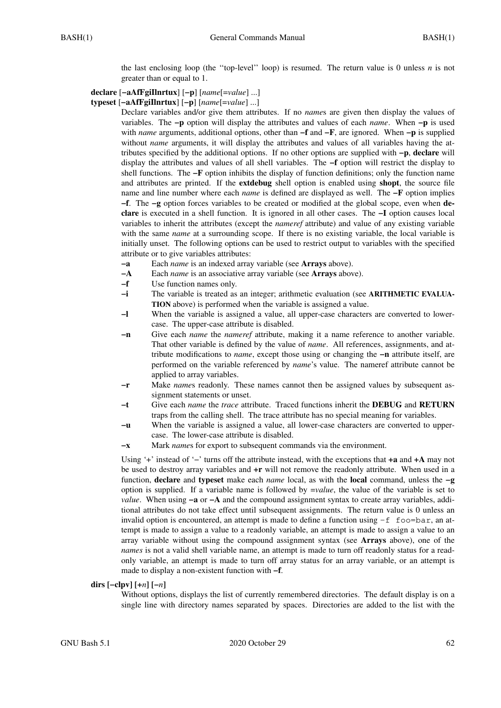the last enclosing loop (the ''top-level'' loop) is resumed. The return value is 0 unless *n* is not greater than or equal to 1.

# **declare** [**−aAfFgiIlnrtux**] [**−p**] [*name*[=*value*] ...]

**typeset** [**−aAfFgiIlnrtux**] [**−p**] [*name*[=*value*] ...]

Declare variables and/or give them attributes. If no *name*s are given then display the values of variables. The **−p** option will display the attributes and values of each *name*. When **−p** is used with *name* arguments, additional options, other than **−f** and **−F**, are ignored. When **−p** is supplied without *name* arguments, it will display the attributes and values of all variables having the attributes specified by the additional options. If no other options are supplied with **−p**, **declare** will display the attributes and values of all shell variables. The **−f** option will restrict the display to shell functions. The **−F** option inhibits the display of function definitions; only the function name and attributes are printed. If the **extdebug** shell option is enabled using **shopt**, the source file name and line number where each *name* is defined are displayed as well. The **−F** option implies **−f**. The **−g** option forces variables to be created or modified at the global scope, even when **declare** is executed in a shell function. It is ignored in all other cases. The **−I** option causes local variables to inherit the attributes (except the *nameref* attribute) and value of any existing variable with the same *name* at a surrounding scope. If there is no existing variable, the local variable is initially unset. The following options can be used to restrict output to variables with the specified attribute or to give variables attributes:

- **−a** Each *name* is an indexed array variable (see **Arrays** above).
- **−A** Each *name* is an associative array variable (see **Arrays** above).
- **−f** Use function names only.
- **−i** The variable is treated as an integer; arithmetic evaluation (see **ARITHMETIC EVALUA-TION** above) is performed when the variable is assigned a value.
- **−l** When the variable is assigned a value, all upper-case characters are converted to lowercase. The upper-case attribute is disabled.
- **−n** Give each *name* the *nameref* attribute, making it a name reference to another variable. That other variable is defined by the value of *name*. All references, assignments, and attribute modifications to *name*, except those using or changing the **−n** attribute itself, are performed on the variable referenced by *name*'s value. The nameref attribute cannot be applied to array variables.
- **−r** Make *name*s readonly. These names cannot then be assigned values by subsequent assignment statements or unset.
- **−t** Give each *name* the *trace* attribute. Traced functions inherit the **DEBUG** and **RETURN** traps from the calling shell. The trace attribute has no special meaning for variables.
- **−u** When the variable is assigned a value, all lower-case characters are converted to uppercase. The lower-case attribute is disabled.
- **−x** Mark *name*s for export to subsequent commands via the environment.

Using '+' instead of '−' turns off the attribute instead, with the exceptions that **+a** and **+A** may not be used to destroy array variables and **+r** will not remove the readonly attribute. When used in a function, **declare** and **typeset** make each *name* local, as with the **local** command, unless the **−g** option is supplied. If a variable name is followed by =*value*, the value of the variable is set to *value*. When using **−a** or **−A** and the compound assignment syntax to create array variables, additional attributes do not take effect until subsequent assignments. The return value is 0 unless an invalid option is encountered, an attempt is made to define a function using −f foo=bar, an attempt is made to assign a value to a readonly variable, an attempt is made to assign a value to an array variable without using the compound assignment syntax (see **Arrays** above), one of the *names* is not a valid shell variable name, an attempt is made to turn off readonly status for a readonly variable, an attempt is made to turn off array status for an array variable, or an attempt is made to display a non-existent function with **−f**.

# **dirs [−clpv] [+***n***] [−***n***]**

Without options, displays the list of currently remembered directories. The default display is on a single line with directory names separated by spaces. Directories are added to the list with the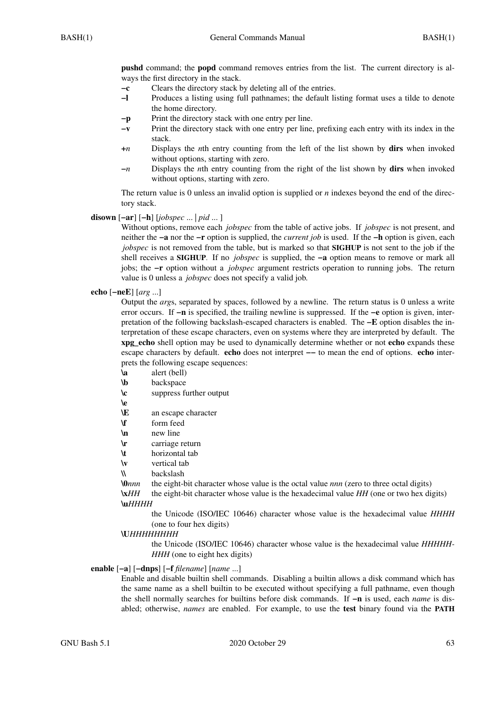**pushd** command; the **popd** command removes entries from the list. The current directory is always the first directory in the stack.

- **−c** Clears the directory stack by deleting all of the entries.
- **−l** Produces a listing using full pathnames; the default listing format uses a tilde to denote the home directory.
- **−p** Print the directory stack with one entry per line.
- **−v** Print the directory stack with one entry per line, prefixing each entry with its index in the stack.
- **+***n* Displays the *n*th entry counting from the left of the list shown by **dirs** when invoked without options, starting with zero.
- **−***n* Displays the *n*th entry counting from the right of the list shown by **dirs** when invoked without options, starting with zero.

The return value is 0 unless an invalid option is supplied or *n* indexes beyond the end of the directory stack.

# **disown** [**−ar**] [**−h**] [*jobspec* ... | *pid* ... ]

Without options, remove each *jobspec* from the table of active jobs. If *jobspec* is not present, and neither the **−a** nor the **−r** option is supplied, the *current job* is used. If the **−h** option is given, each *jobspec* is not removed from the table, but is marked so that **SIGHUP** is not sent to the job if the shell receives a **SIGHUP**. If no *jobspec* is supplied, the **−a** option means to remove or mark all jobs; the **−r** option without a *jobspec* argument restricts operation to running jobs. The return value is 0 unless a *jobspec* does not specify a valid job.

# **echo** [**−neE**] [*arg* ...]

Output the *arg*s, separated by spaces, followed by a newline. The return status is 0 unless a write error occurs. If **−n** is specified, the trailing newline is suppressed. If the **−e** option is given, interpretation of the following backslash-escaped characters is enabled. The **−E** option disables the interpretation of these escape characters, even on systems where they are interpreted by default. The **xpg\_echo** shell option may be used to dynamically determine whether or not **echo** expands these escape characters by default. **echo** does not interpret **−−** to mean the end of options. **echo** interprets the following escape sequences:

- **\a** alert (bell)
- **\b** backspace
- **\c** suppress further output
- **\e**
- **\E** an escape character
- **\f** form feed
- **\n** new line
- **\r** carriage return
- **\t** horizontal tab
- **\v** vertical tab
- **\\** backslash

**\0***nnn* the eight-bit character whose value is the octal value *nnn* (zero to three octal digits)

**\x***HH* the eight-bit character whose value is the hexadecimal value *HH* (one or two hex digits) **\u***HHHH*

the Unicode (ISO/IEC 10646) character whose value is the hexadecimal value *HHHH* (one to four hex digits)

# **\U***HHHHHHHH*

the Unicode (ISO/IEC 10646) character whose value is the hexadecimal value *HHHHH-HHH* (one to eight hex digits)

# **enable** [**−a**] [**−dnps**] [**−f** *filename*] [*name* ...]

Enable and disable builtin shell commands. Disabling a builtin allows a disk command which has the same name as a shell builtin to be executed without specifying a full pathname, even though the shell normally searches for builtins before disk commands. If **−n** is used, each *name* is disabled; otherwise, *names* are enabled. For example, to use the **test** binary found via the **PATH**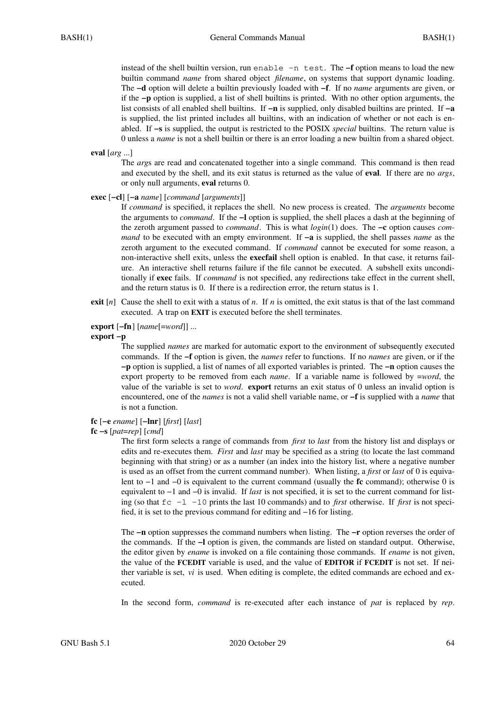instead of the shell builtin version, run enable -n test. The **−f** option means to load the new builtin command *name* from shared object *filename*, on systems that support dynamic loading. The **−d** option will delete a builtin previously loaded with **−f**. If no *name* arguments are given, or if the **−p** option is supplied, a list of shell builtins is printed. With no other option arguments, the list consists of all enabled shell builtins. If **−n** is supplied, only disabled builtins are printed. If **−a** is supplied, the list printed includes all builtins, with an indication of whether or not each is enabled. If **−s** is supplied, the output is restricted to the POSIX *special* builtins. The return value is 0 unless a *name* is not a shell builtin or there is an error loading a new builtin from a shared object.

**eval** [*arg* ...]

The *arg*s are read and concatenated together into a single command. This command is then read and executed by the shell, and its exit status is returned as the value of **eval**. If there are no *args*, or only null arguments, **eval** returns 0.

**exec** [**−cl**] [**−a** *name*] [*command* [*arguments*]]

If *command* is specified, it replaces the shell. No new process is created. The *arguments* become the arguments to *command*. If the **−l** option is supplied, the shell places a dash at the beginning of the zeroth argument passed to *command*. This is what *login*(1) does. The **−c** option causes *command* to be executed with an empty environment. If **−a** is supplied, the shell passes *name* as the zeroth argument to the executed command. If *command* cannot be executed for some reason, a non-interactive shell exits, unless the **execfail** shell option is enabled. In that case, it returns failure. An interactive shell returns failure if the file cannot be executed. A subshell exits unconditionally if **exec** fails. If *command* is not specified, any redirections take effect in the current shell, and the return status is 0. If there is a redirection error, the return status is 1.

- **exit** [*n*] Cause the shell to exit with a status of *n*. If *n* is omitted, the exit status is that of the last command executed. A trap on **EXIT** is executed before the shell terminates.
- **export** [**−fn**] [*name*[=*word*]] ...

**export −p**

The supplied *names* are marked for automatic export to the environment of subsequently executed commands. If the **−f** option is given, the *names* refer to functions. If no *names* are given, or if the **−p** option is supplied, a list of names of all exported variables is printed. The **−n** option causes the export property to be removed from each *name*. If a variable name is followed by =*word*, the value of the variable is set to *word*. **export** returns an exit status of 0 unless an invalid option is encountered, one of the *names* is not a valid shell variable name, or **−f** is supplied with a *name* that is not a function.

# **fc** [**−e** *ename*] [**−lnr**] [*first*] [*last*]

#### **fc −s** [*pat*=*rep*] [*cmd*]

The first form selects a range of commands from *first* to *last* from the history list and displays or edits and re-executes them. *First* and *last* may be specified as a string (to locate the last command beginning with that string) or as a number (an index into the history list, where a negative number is used as an offset from the current command number). When listing, a *first* or *last* of 0 is equivalent to −1 and −0 is equivalent to the current command (usually the **fc** command); otherwise 0 is equivalent to −1 and −0 is invalid. If *last* is not specified, it is set to the current command for listing (so that fc −l −10 prints the last 10 commands) and to *first* otherwise. If *first* is not specified, it is set to the previous command for editing and −16 for listing.

The **−n** option suppresses the command numbers when listing. The **−r** option reverses the order of the commands. If the **−l** option is given, the commands are listed on standard output. Otherwise, the editor given by *ename* is invoked on a file containing those commands. If *ename* is not given, the value of the **FCEDIT** variable is used, and the value of **EDITOR** if **FCEDIT** is not set. If neither variable is set, *vi* is used. When editing is complete, the edited commands are echoed and executed.

In the second form, *command* is re-executed after each instance of *pat* is replaced by *rep*.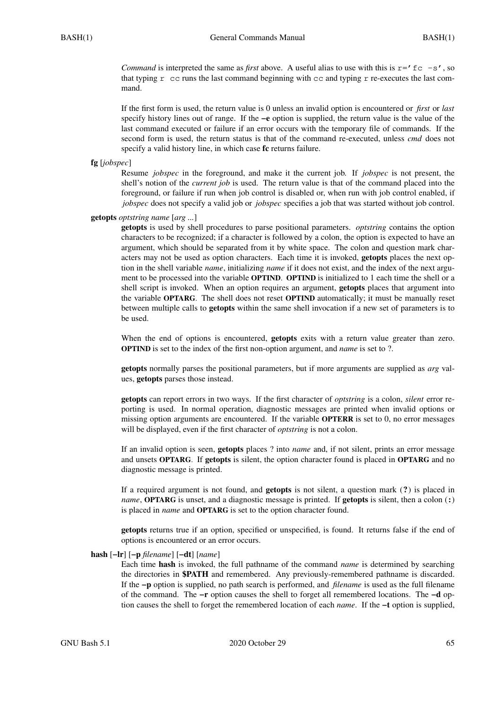*Command* is interpreted the same as *first* above. A useful alias to use with this is r=' fc -s', so that typing  $r$  cc runs the last command beginning with cc and typing  $r$  re-executes the last command.

If the first form is used, the return value is 0 unless an invalid option is encountered or *first* or *last* specify history lines out of range. If the **−e** option is supplied, the return value is the value of the last command executed or failure if an error occurs with the temporary file of commands. If the second form is used, the return status is that of the command re-executed, unless *cmd* does not specify a valid history line, in which case **fc** returns failure.

**fg** [*jobspec*]

Resume *jobspec* in the foreground, and make it the current job. If *jobspec* is not present, the shell's notion of the *current job* is used. The return value is that of the command placed into the foreground, or failure if run when job control is disabled or, when run with job control enabled, if *jobspec* does not specify a valid job or *jobspec* specifies a job that was started without job control.

**getopts** *optstring name* [*arg ...*]

**getopts** is used by shell procedures to parse positional parameters. *optstring* contains the option characters to be recognized; if a character is followed by a colon, the option is expected to have an argument, which should be separated from it by white space. The colon and question mark characters may not be used as option characters. Each time it is invoked, **getopts** places the next option in the shell variable *name*, initializing *name* if it does not exist, and the index of the next argument to be processed into the variable **OPTIND**. **OPTIND** is initialized to 1 each time the shell or a shell script is invoked. When an option requires an argument, **getopts** places that argument into the variable **OPTARG**. The shell does not reset **OPTIND** automatically; it must be manually reset between multiple calls to **getopts** within the same shell invocation if a new set of parameters is to be used.

When the end of options is encountered, **getopts** exits with a return value greater than zero. **OPTIND** is set to the index of the first non-option argument, and *name* is set to ?.

**getopts** normally parses the positional parameters, but if more arguments are supplied as *arg* values, **getopts** parses those instead.

**getopts** can report errors in two ways. If the first character of *optstring* is a colon, *silent* error reporting is used. In normal operation, diagnostic messages are printed when invalid options or missing option arguments are encountered. If the variable **OPTERR** is set to 0, no error messages will be displayed, even if the first character of *optstring* is not a colon.

If an invalid option is seen, **getopts** places ? into *name* and, if not silent, prints an error message and unsets **OPTARG**. If **getopts** is silent, the option character found is placed in **OPTARG** and no diagnostic message is printed.

If a required argument is not found, and **getopts** is not silent, a question mark (**?**) is placed in *name*, **OPTARG** is unset, and a diagnostic message is printed. If **getopts** is silent, then a colon (**:**) is placed in *name* and **OPTARG** is set to the option character found.

**getopts** returns true if an option, specified or unspecified, is found. It returns false if the end of options is encountered or an error occurs.

### **hash** [**−lr**] [**−p** *filename*] [**−dt**] [*name*]

Each time **hash** is invoked, the full pathname of the command *name* is determined by searching the directories in **\$PATH** and remembered. Any previously-remembered pathname is discarded. If the **−p** option is supplied, no path search is performed, and *filename* is used as the full filename of the command. The **−r** option causes the shell to forget all remembered locations. The **−d** option causes the shell to forget the remembered location of each *name*. If the **−t** option is supplied,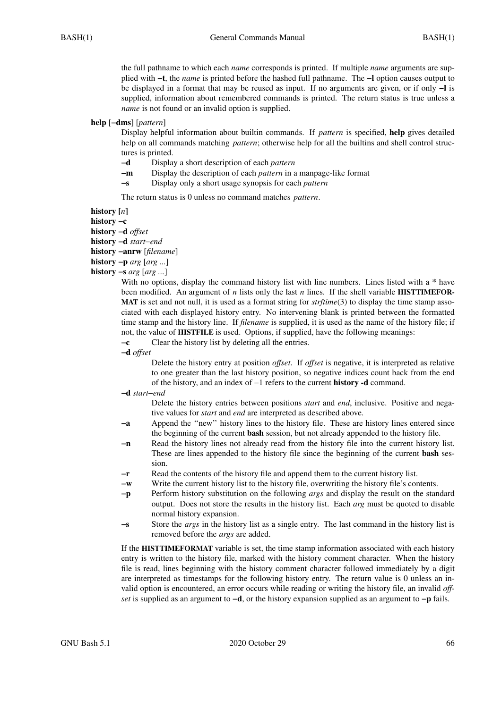the full pathname to which each *name* corresponds is printed. If multiple *name* arguments are supplied with **−t**, the *name* is printed before the hashed full pathname. The **−l** option causes output to be displayed in a format that may be reused as input. If no arguments are given, or if only **−l** is supplied, information about remembered commands is printed. The return status is true unless a *name* is not found or an invalid option is supplied.

# **help** [**−dms**] [*pattern*]

Display helpful information about builtin commands. If *pattern* is specified, **help** gives detailed help on all commands matching *pattern*; otherwise help for all the builtins and shell control structures is printed.

- **−d** Display a short description of each *pattern*
- **−m** Display the description of each *pattern* in a manpage-like format
- **−s** Display only a short usage synopsis for each *pattern*

The return status is 0 unless no command matches *pattern*.

- **history [***n***]**
- **history −c**
- **history −d** *offset*
- **history −d** *start*−*end*
- **history −anrw** [*filename*]
- **history −p** *arg* [*arg ...*]
- **history −s** *arg* [*arg ...*]

With no options, display the command history list with line numbers. Lines listed with a **\*** have been modified. An argument of *n* lists only the last *n* lines. If the shell variable **HISTTIMEFOR-MAT** is set and not null, it is used as a format string for *strftime*(3) to display the time stamp associated with each displayed history entry. No intervening blank is printed between the formatted time stamp and the history line. If *filename* is supplied, it is used as the name of the history file; if not, the value of **HISTFILE** is used. Options, if supplied, have the following meanings:

**−c** Clear the history list by deleting all the entries.

**−d** *offset*

Delete the history entry at position *offset*. If *offset* is negative, it is interpreted as relative to one greater than the last history position, so negative indices count back from the end of the history, and an index of −1 refers to the current **history -d** command.

# **−d** *start*−*end*

Delete the history entries between positions *start* and *end*, inclusive. Positive and negative values for *start* and *end* are interpreted as described above.

- **−a** Append the ''new'' history lines to the history file. These are history lines entered since the beginning of the current **bash** session, but not already appended to the history file.
- **−n** Read the history lines not already read from the history file into the current history list. These are lines appended to the history file since the beginning of the current **bash** session.
- **−r** Read the contents of the history file and append them to the current history list.
- **−w** Write the current history list to the history file, overwriting the history file's contents.
- **−p** Perform history substitution on the following *args* and display the result on the standard output. Does not store the results in the history list. Each *arg* must be quoted to disable normal history expansion.
- **−s** Store the *args* in the history list as a single entry. The last command in the history list is removed before the *args* are added.

If the **HISTTIMEFORMAT** variable is set, the time stamp information associated with each history entry is written to the history file, marked with the history comment character. When the history file is read, lines beginning with the history comment character followed immediately by a digit are interpreted as timestamps for the following history entry. The return value is 0 unless an invalid option is encountered, an error occurs while reading or writing the history file, an invalid *offset* is supplied as an argument to **−d**, or the history expansion supplied as an argument to **−p** fails.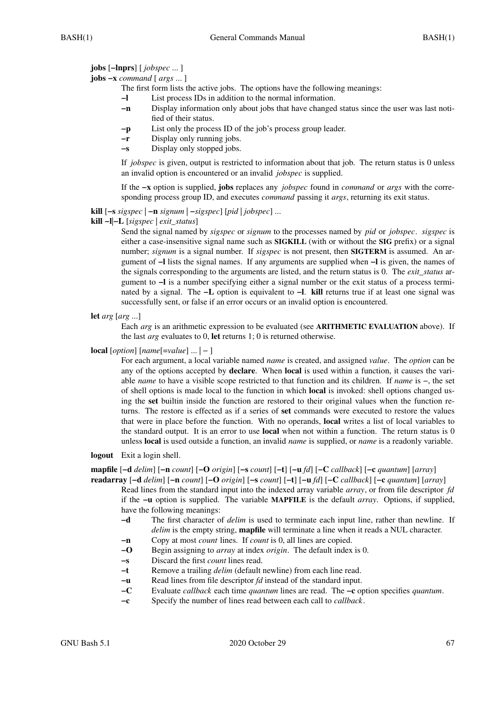# **jobs** [**−lnprs**] [ *jobspec* ... ]

**jobs −x** *command* [ *args* ... ]

The first form lists the active jobs. The options have the following meanings:

- **−l** List process IDs in addition to the normal information.
- **−n** Display information only about jobs that have changed status since the user was last notified of their status.
- **−p** List only the process ID of the job's process group leader.
- **−r** Display only running jobs.
- **−s** Display only stopped jobs.

If *jobspec* is given, output is restricted to information about that job. The return status is 0 unless an invalid option is encountered or an invalid *jobspec* is supplied.

If the **−x** option is supplied, **jobs** replaces any *jobspec* found in *command* or *args* with the corresponding process group ID, and executes *command* passing it *args*, returning its exit status.

**kill** [**−s** *sigspec* | **−n** *signum* | **−***sigspec*] [*pid* | *jobspec*] ...

**kill −l**|**−L** [*sigspec* | *exit\_status*]

Send the signal named by *sigspec* or *signum* to the processes named by *pid* or *jobspec*. *sigspec* is either a case-insensitive signal name such as **SIGKILL** (with or without the **SIG** prefix) or a signal number; *signum* is a signal number. If *sigspec* is not present, then **SIGTERM** is assumed. An argument of **−l** lists the signal names. If any arguments are supplied when **−l** is given, the names of the signals corresponding to the arguments are listed, and the return status is 0. The *exit\_status* argument to **−l** is a number specifying either a signal number or the exit status of a process terminated by a signal. The **−L** option is equivalent to **−l**. **kill** returns true if at least one signal was successfully sent, or false if an error occurs or an invalid option is encountered.

```
let arg [arg ...]
```
Each *arg* is an arithmetic expression to be evaluated (see **ARITHMETIC EVALUATION** above). If the last *arg* evaluates to 0, **let** returns 1; 0 is returned otherwise.

**local** [*option*] [*name*[=*value*] ... | − ]

For each argument, a local variable named *name* is created, and assigned *value*. The *option* can be any of the options accepted by **declare**. When **local** is used within a function, it causes the variable *name* to have a visible scope restricted to that function and its children. If *name* is −, the set of shell options is made local to the function in which **local** is invoked: shell options changed using the **set** builtin inside the function are restored to their original values when the function returns. The restore is effected as if a series of **set** commands were executed to restore the values that were in place before the function. With no operands, **local** writes a list of local variables to the standard output. It is an error to use **local** when not within a function. The return status is 0 unless **local** is used outside a function, an invalid *name* is supplied, or *name* is a readonly variable.

**logout** Exit a login shell.

**mapfile** [**−d** *delim*] [**−n** *count*] [**−O** *origin*] [**−s** *count*] [**−t**] [**−u** *fd*] [**−C** *callback*] [**−c** *quantum*] [*array*]

**readarray** [**−d** *delim*] [**−n** *count*] [**−O** *origin*] [**−s** *count*] [**−t**] [**−u** *fd*] [**−C** *callback*] [**−c** *quantum*] [*array*]

Read lines from the standard input into the indexed array variable *array*, or from file descriptor *fd* if the **−u** option is supplied. The variable **MAPFILE** is the default *array*. Options, if supplied, have the following meanings:

- **−d** The first character of *delim* is used to terminate each input line, rather than newline. If *delim* is the empty string, **mapfile** will terminate a line when it reads a NUL character. **−n** Copy at most *count* lines. If *count* is 0, all lines are copied.
- **−O** Begin assigning to *array* at index *origin*. The default index is 0.
- **−s** Discard the first *count* lines read.
- **−t** Remove a trailing *delim* (default newline) from each line read.
- **−u** Read lines from file descriptor *fd* instead of the standard input.
- **−C** Evaluate *callback* each time *quantum* lines are read. The **−c** option specifies *quantum*.
- **−c** Specify the number of lines read between each call to *callback*.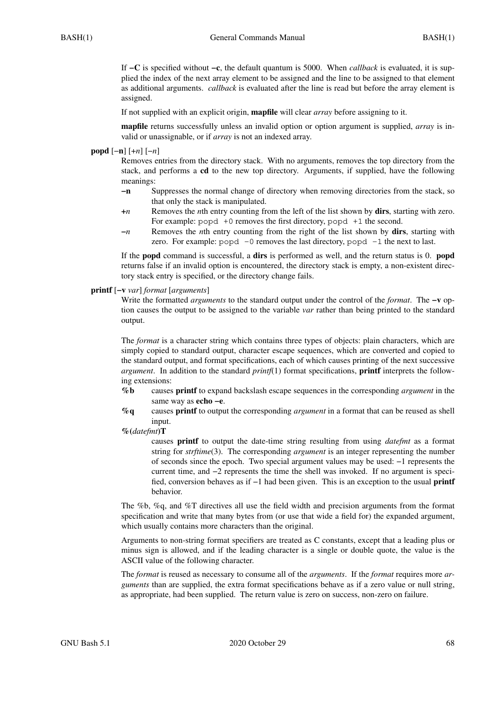If **−C** is specified without **−c**, the default quantum is 5000. When *callback* is evaluated, it is supplied the index of the next array element to be assigned and the line to be assigned to that element as additional arguments. *callback* is evaluated after the line is read but before the array element is assigned.

If not supplied with an explicit origin, **mapfile** will clear *array* before assigning to it.

**mapfile** returns successfully unless an invalid option or option argument is supplied, *array* is invalid or unassignable, or if *array* is not an indexed array.

**popd** [−**n**] [+*n*] [−*n*]

Removes entries from the directory stack. With no arguments, removes the top directory from the stack, and performs a **cd** to the new top directory. Arguments, if supplied, have the following meanings:

- **−n** Suppresses the normal change of directory when removing directories from the stack, so that only the stack is manipulated.
- **+***n* Removes the *n*th entry counting from the left of the list shown by **dirs**, starting with zero. For example: popd  $+0$  removes the first directory, popd  $+1$  the second.
- **−***n* Removes the *n*th entry counting from the right of the list shown by **dirs**, starting with zero. For example:  $p \circ pd -0$  removes the last directory,  $p \circ pd -1$  the next to last.

If the **popd** command is successful, a **dirs** is performed as well, and the return status is 0. **popd** returns false if an invalid option is encountered, the directory stack is empty, a non-existent directory stack entry is specified, or the directory change fails.

**printf** [**−v** *var*] *format* [*arguments*]

Write the formatted *arguments* to the standard output under the control of the *format*. The **−v** option causes the output to be assigned to the variable *var* rather than being printed to the standard output.

The *format* is a character string which contains three types of objects: plain characters, which are simply copied to standard output, character escape sequences, which are converted and copied to the standard output, and format specifications, each of which causes printing of the next successive *argument*. In addition to the standard *printf*(1) format specifications, **printf** interprets the following extensions:

- **%b** causes **printf** to expand backslash escape sequences in the corresponding *argument* in the same way as **echo −e**.
- **%q** causes **printf** to output the corresponding *argument* in a format that can be reused as shell input.

# **%(***datefmt***)T**

causes **printf** to output the date-time string resulting from using *datefmt* as a format string for *strftime*(3). The corresponding *argument* is an integer representing the number of seconds since the epoch. Two special argument values may be used: −1 represents the current time, and −2 represents the time the shell was invoked. If no argument is specified, conversion behaves as if −1 had been given. This is an exception to the usual **printf** behavior.

The %b, %q, and %T directives all use the field width and precision arguments from the format specification and write that many bytes from (or use that wide a field for) the expanded argument, which usually contains more characters than the original.

Arguments to non-string format specifiers are treated as C constants, except that a leading plus or minus sign is allowed, and if the leading character is a single or double quote, the value is the ASCII value of the following character.

The *format* is reused as necessary to consume all of the *arguments*. If the *format* requires more *arguments* than are supplied, the extra format specifications behave as if a zero value or null string, as appropriate, had been supplied. The return value is zero on success, non-zero on failure.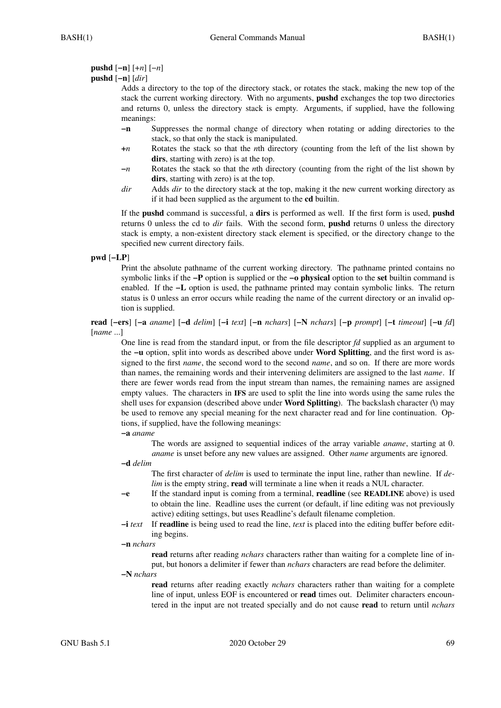# **pushd** [**−n**] [+*n*] [−*n*]

**pushd** [**−n**] [*dir*]

Adds a directory to the top of the directory stack, or rotates the stack, making the new top of the stack the current working directory. With no arguments, **pushd** exchanges the top two directories and returns 0, unless the directory stack is empty. Arguments, if supplied, have the following meanings:

- **−n** Suppresses the normal change of directory when rotating or adding directories to the stack, so that only the stack is manipulated.
- **+***n* Rotates the stack so that the *n*th directory (counting from the left of the list shown by **dirs**, starting with zero) is at the top.
- **−***n* Rotates the stack so that the *n*th directory (counting from the right of the list shown by **dirs**, starting with zero) is at the top.
- *dir* Adds *dir* to the directory stack at the top, making it the new current working directory as if it had been supplied as the argument to the **cd** builtin.

If the **pushd** command is successful, a **dirs** is performed as well. If the first form is used, **pushd** returns 0 unless the cd to *dir* fails. With the second form, **pushd** returns 0 unless the directory stack is empty, a non-existent directory stack element is specified, or the directory change to the specified new current directory fails.

# **pwd** [**−LP**]

Print the absolute pathname of the current working directory. The pathname printed contains no symbolic links if the **−P** option is supplied or the **−o physical** option to the **set** builtin command is enabled. If the **−L** option is used, the pathname printed may contain symbolic links. The return status is 0 unless an error occurs while reading the name of the current directory or an invalid option is supplied.

read  $[-ers]$   $[-a \text{ } \text{aname}]$   $[-d \text{ } \text{delim}]$   $[-i \text{ } \text{ext}]$   $[-n \text{ } \text{n} \text{char}]$   $[-N \text{ } \text{n} \text{char}]$   $[-p \text{ } \text{prompt}]$   $[-t \text{ } \text{timeout}]$   $[-u \text{ } \text{fd}]$ [*name* ...]

One line is read from the standard input, or from the file descriptor *fd* supplied as an argument to the **−u** option, split into words as described above under **Word Splitting**, and the first word is assigned to the first *name*, the second word to the second *name*, and so on. If there are more words than names, the remaining words and their intervening delimiters are assigned to the last *name*. If there are fewer words read from the input stream than names, the remaining names are assigned empty values. The characters in **IFS** are used to split the line into words using the same rules the shell uses for expansion (described above under **Word Splitting**). The backslash character (**\**) may be used to remove any special meaning for the next character read and for line continuation. Options, if supplied, have the following meanings:

**−a** *aname*

The words are assigned to sequential indices of the array variable *aname*, starting at 0. *aname* is unset before any new values are assigned. Other *name* arguments are ignored.

#### **−d** *delim*

The first character of *delim* is used to terminate the input line, rather than newline. If *delim* is the empty string, **read** will terminate a line when it reads a NUL character.

- **−e** If the standard input is coming from a terminal, **readline** (see **READLINE** above) is used to obtain the line. Readline uses the current (or default, if line editing was not previously active) editing settings, but uses Readline's default filename completion.
- **−i** *text* If **readline** is being used to read the line, *text* is placed into the editing buffer before editing begins.
- **−n** *nchars*

**read** returns after reading *nchars* characters rather than waiting for a complete line of input, but honors a delimiter if fewer than *nchars* characters are read before the delimiter.

**−N** *nchars*

**read** returns after reading exactly *nchars* characters rather than waiting for a complete line of input, unless EOF is encountered or **read** times out. Delimiter characters encountered in the input are not treated specially and do not cause **read** to return until *nchars*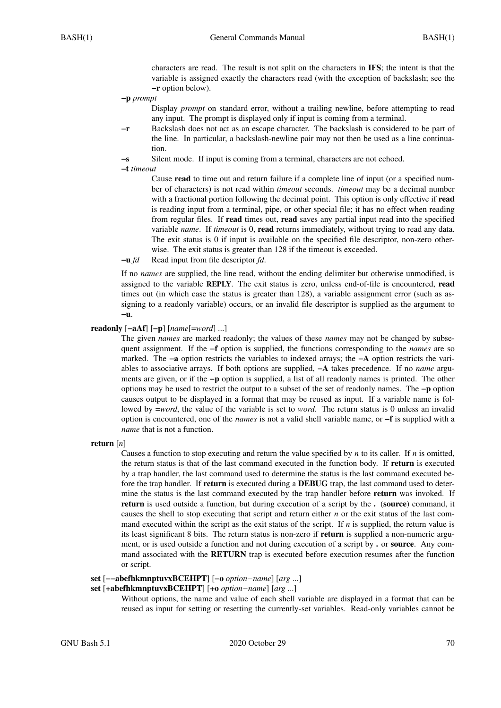characters are read. The result is not split on the characters in **IFS**; the intent is that the variable is assigned exactly the characters read (with the exception of backslash; see the **−r** option below).

- **−p** *prompt*
	- Display *prompt* on standard error, without a trailing newline, before attempting to read any input. The prompt is displayed only if input is coming from a terminal.
- **−r** Backslash does not act as an escape character. The backslash is considered to be part of the line. In particular, a backslash-newline pair may not then be used as a line continuation.
- **−s** Silent mode. If input is coming from a terminal, characters are not echoed.

**−t** *timeout*

Cause **read** to time out and return failure if a complete line of input (or a specified number of characters) is not read within *timeout* seconds. *timeout* may be a decimal number with a fractional portion following the decimal point. This option is only effective if **read** is reading input from a terminal, pipe, or other special file; it has no effect when reading from regular files. If **read** times out, **read** saves any partial input read into the specified variable *name*. If *timeout* is 0, **read** returns immediately, without trying to read any data. The exit status is 0 if input is available on the specified file descriptor, non-zero otherwise. The exit status is greater than 128 if the timeout is exceeded.

**−u** *fd* Read input from file descriptor *fd*.

If no *names* are supplied, the line read, without the ending delimiter but otherwise unmodified, is assigned to the variable **REPLY**. The exit status is zero, unless end-of-file is encountered, **read** times out (in which case the status is greater than 128), a variable assignment error (such as assigning to a readonly variable) occurs, or an invalid file descriptor is supplied as the argument to **−u**.

# **readonly** [**−aAf**] [**−p**] [*name*[=*word*] ...]

The given *names* are marked readonly; the values of these *names* may not be changed by subsequent assignment. If the **−f** option is supplied, the functions corresponding to the *names* are so marked. The **−a** option restricts the variables to indexed arrays; the **−A** option restricts the variables to associative arrays. If both options are supplied, **−A** takes precedence. If no *name* arguments are given, or if the **−p** option is supplied, a list of all readonly names is printed. The other options may be used to restrict the output to a subset of the set of readonly names. The **−p** option causes output to be displayed in a format that may be reused as input. If a variable name is followed by =*word*, the value of the variable is set to *word*. The return status is 0 unless an invalid option is encountered, one of the *names* is not a valid shell variable name, or **−f** is supplied with a *name* that is not a function.

**return** [*n*]

Causes a function to stop executing and return the value specified by *n* to its caller. If *n* is omitted, the return status is that of the last command executed in the function body. If **return** is executed by a trap handler, the last command used to determine the status is the last command executed before the trap handler. If **return** is executed during a **DEBUG** trap, the last command used to determine the status is the last command executed by the trap handler before **return** was invoked. If **return** is used outside a function, but during execution of a script by the **.** (**source**) command, it causes the shell to stop executing that script and return either *n* or the exit status of the last command executed within the script as the exit status of the script. If  $n$  is supplied, the return value is its least significant 8 bits. The return status is non-zero if **return** is supplied a non-numeric argument, or is used outside a function and not during execution of a script by **.** or **source**. Any command associated with the **RETURN** trap is executed before execution resumes after the function or script.

# **set** [**−−abefhkmnptuvxBCEHPT**] [**−o** *option−name*] [*arg* ...]

# **set** [**+abefhkmnptuvxBCEHPT**] [**+o** *option−name*] [*arg* ...]

Without options, the name and value of each shell variable are displayed in a format that can be reused as input for setting or resetting the currently-set variables. Read-only variables cannot be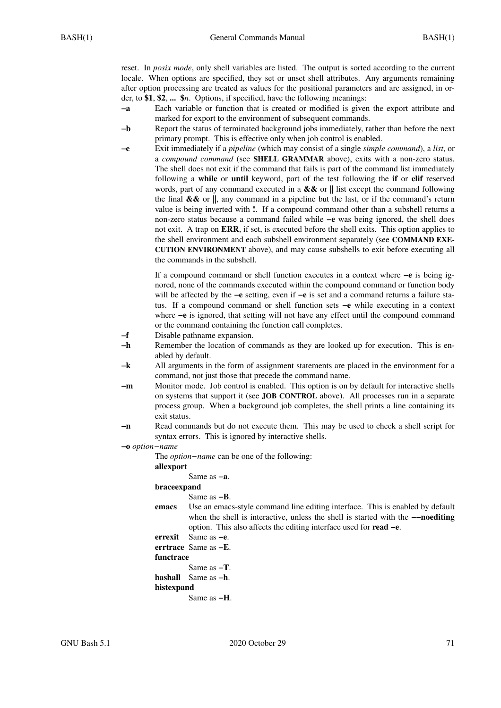reset. In *posix mode*, only shell variables are listed. The output is sorted according to the current locale. When options are specified, they set or unset shell attributes. Any arguments remaining after option processing are treated as values for the positional parameters and are assigned, in order, to **\$1**, **\$2**, **... \$***n*. Options, if specified, have the following meanings:

- **−a** Each variable or function that is created or modified is given the export attribute and marked for export to the environment of subsequent commands.
- **−b** Report the status of terminated background jobs immediately, rather than before the next primary prompt. This is effective only when job control is enabled.
- **−e** Exit immediately if a *pipeline* (which may consist of a single *simple command*), a *list*, or a *compound command* (see **SHELL GRAMMAR** above), exits with a non-zero status. The shell does not exit if the command that fails is part of the command list immediately following a **while** or **until** keyword, part of the test following the **if** or **elif** reserved words, part of any command executed in a **&&** or **||** list except the command following the final **&&** or **||**, any command in a pipeline but the last, or if the command's return value is being inverted with **!**. If a compound command other than a subshell returns a non-zero status because a command failed while **−e** was being ignored, the shell does not exit. A trap on **ERR**, if set, is executed before the shell exits. This option applies to the shell environment and each subshell environment separately (see **COMMAND EXE-CUTION ENVIRONMENT** above), and may cause subshells to exit before executing all the commands in the subshell.

If a compound command or shell function executes in a context where **−e** is being ignored, none of the commands executed within the compound command or function body will be affected by the **−e** setting, even if **−e** is set and a command returns a failure status. If a compound command or shell function sets **−e** while executing in a context where **−e** is ignored, that setting will not have any effect until the compound command or the command containing the function call completes.

- **−f** Disable pathname expansion.
- **−h** Remember the location of commands as they are looked up for execution. This is enabled by default.
- **−k** All arguments in the form of assignment statements are placed in the environment for a command, not just those that precede the command name.
- **−m** Monitor mode. Job control is enabled. This option is on by default for interactive shells on systems that support it (see **JOB CONTROL** above). All processes run in a separate process group. When a background job completes, the shell prints a line containing its exit status.
- **−n** Read commands but do not execute them. This may be used to check a shell script for syntax errors. This is ignored by interactive shells.

**−o** *option−name*

The *option−name* can be one of the following:

**allexport**

Same as **−a**.

**braceexpand**

Same as **−B**.

**emacs** Use an emacs-style command line editing interface. This is enabled by default when the shell is interactive, unless the shell is started with the **−−noediting** option. This also affects the editing interface used for **read −e**.

**errexit** Same as **−e**.

**errtrace** Same as **−E**.

**functrace**

Same as **−T**. **hashall** Same as **−h**.

```
histexpand
```
Same as **−H**.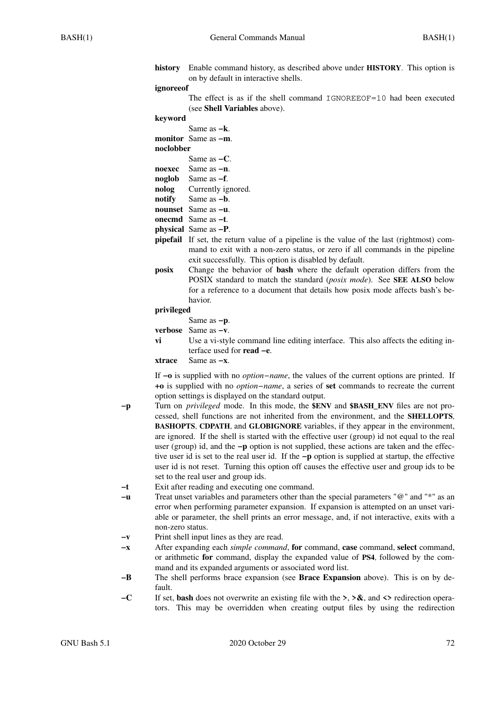**history** Enable command history, as described above under **HISTORY**. This option is on by default in interactive shells.

**ignoreeof**

The effect is as if the shell command IGNOREEOF=10 had been executed (see **Shell Variables** above).

**keyword** Same as **−k**. **monitor** Same as **−m**. **noclobber** Same as **−C**. **noexec** Same as **−n**. **noglob** Same as **−f**. **nolog** Currently ignored. **notify** Same as **−b**. **nounset** Same as **−u**. **onecmd** Same as **−t**. **physical** Same as **−P**.

- **pipefail** If set, the return value of a pipeline is the value of the last (rightmost) command to exit with a non-zero status, or zero if all commands in the pipeline exit successfully. This option is disabled by default.
- **posix** Change the behavior of **bash** where the default operation differs from the POSIX standard to match the standard (*posix mode*). See **SEE ALSO** below for a reference to a document that details how posix mode affects bash's behavior.
- **privileged**

Same as **−p**.

**verbose** Same as **−v**.

**vi** Use a vi-style command line editing interface. This also affects the editing interface used for **read −e**.

**xtrace** Same as **−x**.

If **−o** is supplied with no *option−name*, the values of the current options are printed. If **+o** is supplied with no *option−name*,aseries of **set** commands to recreate the current option settings is displayed on the standard output.

- **−p** Turn on *privileged* mode. In this mode, the **\$ENV** and **\$BASH\_ENV** files are not processed, shell functions are not inherited from the environment, and the **SHELLOPTS**, **BASHOPTS**, **CDPATH**, and **GLOBIGNORE** variables, if they appear in the environment, are ignored. If the shell is started with the effective user (group) id not equal to the real user (group) id, and the **−p** option is not supplied, these actions are taken and the effective user id is set to the real user id. If the **−p** option is supplied at startup, the effective user id is not reset. Turning this option off causes the effective user and group ids to be set to the real user and group ids.
- **−t** Exit after reading and executing one command.
- **−u** Treat unset variables and parameters other than the special parameters "@" and "\*" as an error when performing parameter expansion. If expansion is attempted on an unset variable or parameter, the shell prints an error message, and, if not interactive, exits with a non-zero status.
- **−v** Print shell input lines as they are read.
- **−x** After expanding each *simple command*, **for** command, **case** command, **select** command, or arithmetic **for** command, display the expanded value of **PS4**, followed by the command and its expanded arguments or associated word list.
- **−B** The shell performs brace expansion (see **Brace Expansion** above). This is on by default.
- **−C** If set, **bash** does not overwrite an existing file with the **>**, **>&**, and **<>** redirection operators. This may be overridden when creating output files by using the redirection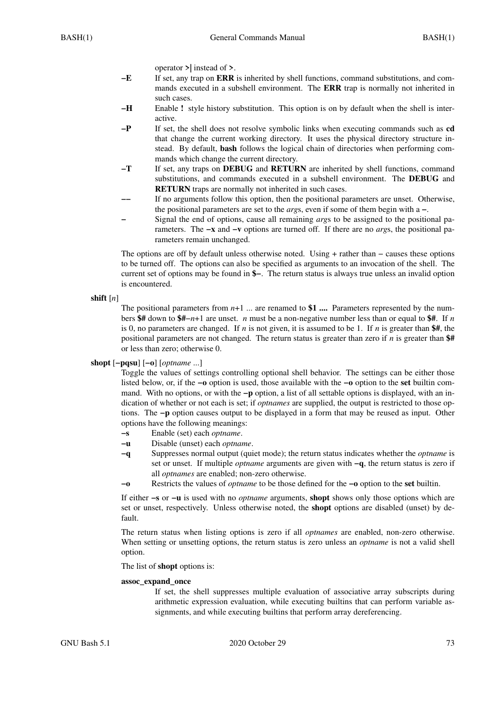operator **>|** instead of **>**.

- **−E** If set, any trap on **ERR** is inherited by shell functions, command substitutions, and commands executed in a subshell environment. The **ERR** trap is normally not inherited in such cases.
- **−H** Enable **!** style history substitution. This option is on by default when the shell is interactive.
- **−P** If set, the shell does not resolve symbolic links when executing commands such as **cd** that change the current working directory. It uses the physical directory structure instead. By default, **bash** follows the logical chain of directories when performing commands which change the current directory.
- **−T** If set, any traps on **DEBUG** and **RETURN** are inherited by shell functions, command substitutions, and commands executed in a subshell environment. The **DEBUG** and **RETURN** traps are normally not inherited in such cases.
- If no arguments follow this option, then the positional parameters are unset. Otherwise, the positional parameters are set to the *arg*s, even if some of them begin with a **−**.
- **−** Signal the end of options, cause all remaining *arg*s to be assigned to the positional parameters. The **−x** and **−v** options are turned off. If there are no *arg*s, the positional parameters remain unchanged.

The options are off by default unless otherwise noted. Using + rather than − causes these options to be turned off. The options can also be specified as arguments to an invocation of the shell. The current set of options may be found in **\$−**. The return status is always true unless an invalid option is encountered.

**shift** [*n*]

The positional parameters from  $n+1$  ... are renamed to \$1 .... Parameters represented by the numbers **\$#** down to **\$#**−*n*+1 are unset. *n* must be a non-negative number less than or equal to **\$#**. If *n* is 0, no parameters are changed. If *n* is not given, it is assumed to be 1. If *n* is greater than **\$#**, the positional parameters are not changed. The return status is greater than zero if *n* is greater than **\$#** or less than zero; otherwise 0.

## **shopt** [**−pqsu**] [**−o**] [*optname* ...]

Toggle the values of settings controlling optional shell behavior. The settings can be either those listed below, or, if the **−o** option is used, those available with the **−o** option to the **set** builtin command. With no options, or with the **−p** option, a list of all settable options is displayed, with an indication of whether or not each is set; if *optnames* are supplied, the output is restricted to those options. The **−p** option causes output to be displayed in a form that may be reused as input. Other options have the following meanings:

- **−s** Enable (set) each *optname*.
- **−u** Disable (unset) each *optname*.
- **−q** Suppresses normal output (quiet mode); the return status indicates whether the *optname* is set or unset. If multiple *optname* arguments are given with **−q**, the return status is zero if all *optnames* are enabled; non-zero otherwise.
- **−o** Restricts the values of *optname* to be those defined for the **−o** option to the **set** builtin.

If either **−s** or **−u** is used with no *optname* arguments, **shopt** shows only those options which are set or unset, respectively. Unless otherwise noted, the **shopt** options are disabled (unset) by default.

The return status when listing options is zero if all *optnames* are enabled, non-zero otherwise. When setting or unsetting options, the return status is zero unless an *optname* is not a valid shell option.

The list of **shopt** options is:

## **assoc\_expand\_once**

If set, the shell suppresses multiple evaluation of associative array subscripts during arithmetic expression evaluation, while executing builtins that can perform variable assignments, and while executing builtins that perform array dereferencing.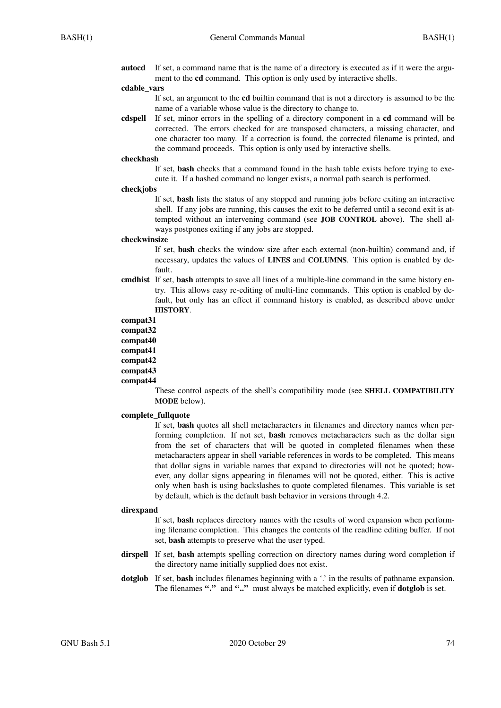**autocd** If set, a command name that is the name of a directory is executed as if it were the argument to the **cd** command. This option is only used by interactive shells.

# **cdable\_vars**

If set, an argument to the **cd** builtin command that is not a directory is assumed to be the name of a variable whose value is the directory to change to.

**cdspell** If set, minor errors in the spelling of a directory component in a **cd** command will be corrected. The errors checked for are transposed characters, a missing character, and one character too many. If a correction is found, the corrected filename is printed, and the command proceeds. This option is only used by interactive shells.

### **checkhash**

If set, **bash** checks that a command found in the hash table exists before trying to execute it. If a hashed command no longer exists, a normal path search is performed.

### **checkjobs**

If set, **bash** lists the status of any stopped and running jobs before exiting an interactive shell. If any jobs are running, this causes the exit to be deferred until a second exit is attempted without an intervening command (see **JOB CONTROL** above). The shell always postpones exiting if any jobs are stopped.

### **checkwinsize**

If set, **bash** checks the window size after each external (non-builtin) command and, if necessary, updates the values of **LINES** and **COLUMNS**. This option is enabled by default.

- **cmdhist** If set, **bash** attempts to save all lines of a multiple-line command in the same history entry. This allows easy re-editing of multi-line commands. This option is enabled by default, but only has an effect if command history is enabled, as described above under **HISTORY**.
- **compat31**
- **compat32**
- **compat40**
- **compat41**
- **compat42**
- **compat43**

## **compat44**

These control aspects of the shell's compatibility mode (see **SHELL COMPATIBILITY MODE** below).

## **complete\_fullquote**

If set, **bash** quotes all shell metacharacters in filenames and directory names when performing completion. If not set, **bash** removes metacharacters such as the dollar sign from the set of characters that will be quoted in completed filenames when these metacharacters appear in shell variable references in words to be completed. This means that dollar signs in variable names that expand to directories will not be quoted; however, any dollar signs appearing in filenames will not be quoted, either. This is active only when bash is using backslashes to quote completed filenames. This variable is set by default, which is the default bash behavior in versions through 4.2.

#### **direxpand**

If set, **bash** replaces directory names with the results of word expansion when performing filename completion. This changes the contents of the readline editing buffer. If not set, **bash** attempts to preserve what the user typed.

- **dirspell** If set, **bash** attempts spelling correction on directory names during word completion if the directory name initially supplied does not exist.
- **dotglob** If set, **bash** includes filenames beginning with a '.' in the results of pathname expansion. The filenames "." and ".." must always be matched explicitly, even if **dotglob** is set.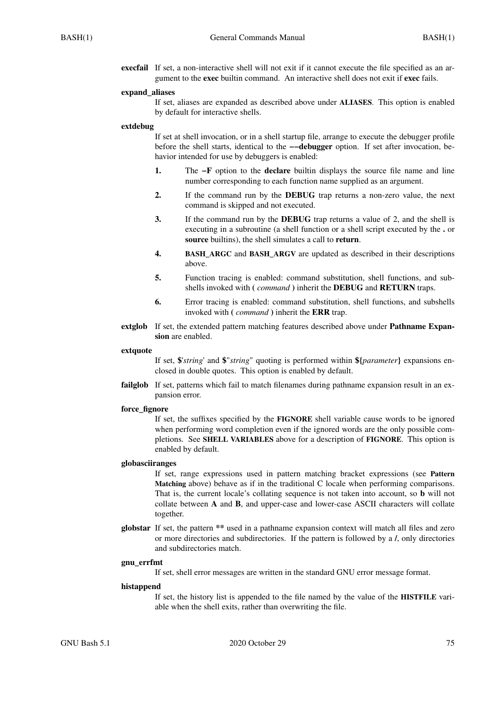**execfail** If set, a non-interactive shell will not exit if it cannot execute the file specified as an argument to the **exec** builtin command. An interactive shell does not exit if **exec** fails.

## **expand\_aliases**

If set, aliases are expanded as described above under **ALIASES**. This option is enabled by default for interactive shells.

#### **extdebug**

If set at shell invocation, or in a shell startup file, arrange to execute the debugger profile before the shell starts, identical to the **−−debugger** option. If set after invocation, behavior intended for use by debuggers is enabled:

- **1.** The **−F** option to the **declare** builtin displays the source file name and line number corresponding to each function name supplied as an argument.
- **2.** If the command run by the **DEBUG** trap returns a non-zero value, the next command is skipped and not executed.
- **3.** If the command run by the **DEBUG** trap returns a value of 2, and the shell is executing in a subroutine (a shell function or a shell script executed by the **.** or **source** builtins), the shell simulates a call to **return**.
- **4. BASH\_ARGC** and **BASH\_ARGV** are updated as described in their descriptions above.
- **5.** Function tracing is enabled: command substitution, shell functions, and subshells invoked with **(** *command* **)** inherit the **DEBUG** and **RETURN** traps.
- **6.** Error tracing is enabled: command substitution, shell functions, and subshells invoked with **(** *command* **)** inherit the **ERR** trap.
- **extglob** If set, the extended pattern matching features described above under **Pathname Expansion** are enabled.

#### **extquote**

If set, **\$**'*string*' and **\$**"*string*" quoting is performed within **\${***parameter***}** expansions enclosed in double quotes. This option is enabled by default.

**failglob** If set, patterns which fail to match filenames during pathname expansion result in an expansion error.

## **force\_fignore**

If set, the suffixes specified by the **FIGNORE** shell variable cause words to be ignored when performing word completion even if the ignored words are the only possible completions. See **SHELL VARIABLES** above for a description of **FIGNORE**. This option is enabled by default.

## **globasciiranges**

If set, range expressions used in pattern matching bracket expressions (see **Pattern Matching** above) behave as if in the traditional C locale when performing comparisons. That is, the current locale's collating sequence is not taken into account, so **b** will not collate between **A** and **B**, and upper-case and lower-case ASCII characters will collate together.

**globstar** If set, the pattern **\*\*** used in a pathname expansion context will match all files and zero or more directories and subdirectories. If the pattern is followed by a **/**, only directories and subdirectories match.

# **gnu\_errfmt**

If set, shell error messages are written in the standard GNU error message format.

## **histappend**

If set, the history list is appended to the file named by the value of the **HISTFILE** variable when the shell exits, rather than overwriting the file.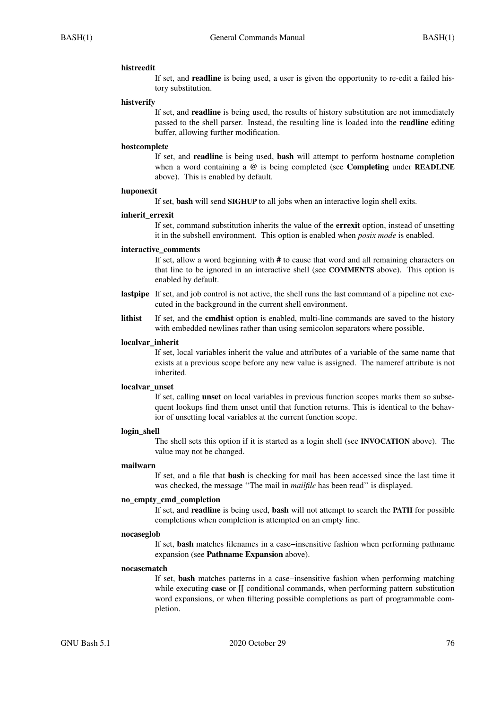## **histreedit**

If set, and **readline** is being used, a user is given the opportunity to re-edit a failed history substitution.

#### **histverify**

If set, and **readline** is being used, the results of history substitution are not immediately passed to the shell parser. Instead, the resulting line is loaded into the **readline** editing buffer, allowing further modification.

## **hostcomplete**

If set, and **readline** is being used, **bash** will attempt to perform hostname completion when a word containing a **@** is being completed (see **Completing** under **READLINE** above). This is enabled by default.

#### **huponexit**

If set, **bash** will send **SIGHUP** to all jobs when an interactive login shell exits.

## **inherit\_errexit**

If set, command substitution inherits the value of the **errexit** option, instead of unsetting it in the subshell environment. This option is enabled when *posix mode* is enabled.

### **interactive\_comments**

If set, allow a word beginning with # to cause that word and all remaining characters on that line to be ignored in an interactive shell (see **COMMENTS** above). This option is enabled by default.

- **lastpipe** If set, and job control is not active, the shell runs the last command of a pipeline not executed in the background in the current shell environment.
- **lithist** If set, and the **cmdhist** option is enabled, multi-line commands are saved to the history with embedded newlines rather than using semicolon separators where possible.

## **localvar\_inherit**

If set, local variables inherit the value and attributes of a variable of the same name that exists at a previous scope before any new value is assigned. The nameref attribute is not inherited.

## **localvar\_unset**

If set, calling **unset** on local variables in previous function scopes marks them so subsequent lookups find them unset until that function returns. This is identical to the behavior of unsetting local variables at the current function scope.

#### **login\_shell**

The shell sets this option if it is started as a login shell (see **INVOCATION** above). The value may not be changed.

### **mailwarn**

If set, and a file that **bash** is checking for mail has been accessed since the last time it was checked, the message ''The mail in *mailfile* has been read'' is displayed.

## **no\_empty\_cmd\_completion**

If set, and **readline** is being used, **bash** will not attempt to search the **PATH** for possible completions when completion is attempted on an empty line.

#### **nocaseglob**

If set, **bash** matches filenames in a case−insensitive fashion when performing pathname expansion (see **Pathname Expansion** above).

## **nocasematch**

If set, **bash** matches patterns in a case−insensitive fashion when performing matching while executing **case** or **[**] conditional commands, when performing pattern substitution word expansions, or when filtering possible completions as part of programmable completion.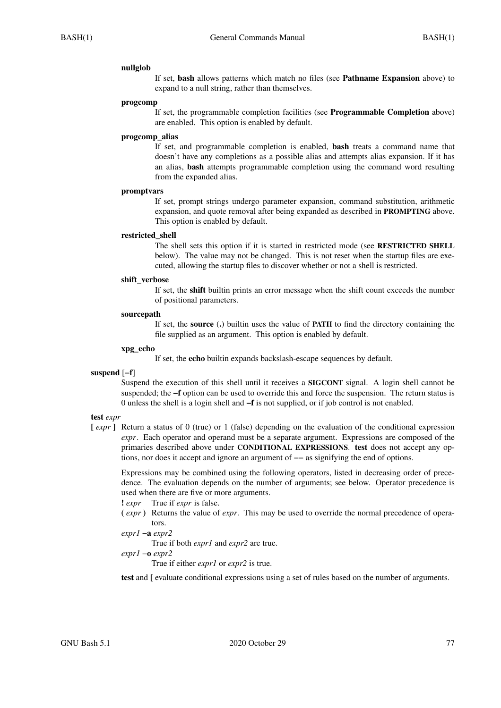#### **nullglob**

If set, **bash** allows patterns which match no files (see **Pathname Expansion** above) to expand to a null string, rather than themselves.

#### **progcomp**

If set, the programmable completion facilities (see **Programmable Completion** above) are enabled. This option is enabled by default.

## **progcomp\_alias**

If set, and programmable completion is enabled, **bash** treats a command name that doesn't have any completions as a possible alias and attempts alias expansion. If it has an alias, **bash** attempts programmable completion using the command word resulting from the expanded alias.

## **promptvars**

If set, prompt strings undergo parameter expansion, command substitution, arithmetic expansion, and quote removal after being expanded as described in **PROMPTING** above. This option is enabled by default.

## **restricted\_shell**

The shell sets this option if it is started in restricted mode (see **RESTRICTED SHELL** below). The value may not be changed. This is not reset when the startup files are executed, allowing the startup files to discover whether or not a shell is restricted.

## **shift\_verbose**

If set, the **shift** builtin prints an error message when the shift count exceeds the number of positional parameters.

#### **sourcepath**

If set, the **source** (**.**) builtin uses the value of **PATH** to find the directory containing the file supplied as an argument. This option is enabled by default.

#### **xpg\_echo**

If set, the **echo** builtin expands backslash-escape sequences by default.

## **suspend** [**−f**]

Suspend the execution of this shell until it receives a **SIGCONT** signal. A login shell cannot be suspended; the **−f** option can be used to override this and force the suspension. The return status is 0 unless the shell is a login shell and **−f** is not supplied, or if job control is not enabled.

# **test** *expr*

**[** *expr* **]** Return a status of 0 (true) or 1 (false) depending on the evaluation of the conditional expression *expr*. Each operator and operand must be a separate argument. Expressions are composed of the primaries described above under **CONDITIONAL EXPRESSIONS**. **test** does not accept any options, nor does it accept and ignore an argument of **−−** as signifying the end of options.

Expressions may be combined using the following operators, listed in decreasing order of precedence. The evaluation depends on the number of arguments; see below. Operator precedence is used when there are five or more arguments.

- **!** *expr* True if *expr* is false.
- **(** *expr* **)** Returns the value of *expr*. This may be used to override the normal precedence of operators.

# *expr1* −**a** *expr2*

True if both *expr1* and *expr2* are true.

*expr1* −**o** *expr2*

True if either *expr1* or *expr2* is true.

**test** and **[** evaluate conditional expressions using a set of rules based on the number of arguments.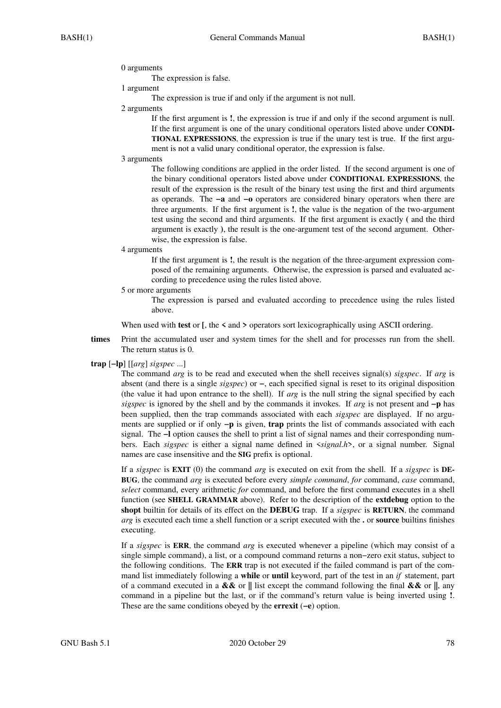### 0 arguments

The expression is false.

1 argument

The expression is true if and only if the argument is not null.

2 arguments

If the first argument is **!**, the expression is true if and only if the second argument is null. If the first argument is one of the unary conditional operators listed above under **CONDI-TIONAL EXPRESSIONS**, the expression is true if the unary test is true. If the first argument is not a valid unary conditional operator, the expression is false.

3 arguments

The following conditions are applied in the order listed. If the second argument is one of the binary conditional operators listed above under **CONDITIONAL EXPRESSIONS**, the result of the expression is the result of the binary test using the first and third arguments as operands. The **−a** and **−o** operators are considered binary operators when there are three arguments. If the first argument is **!**, the value is the negation of the two-argument test using the second and third arguments. If the first argument is exactly **(** and the third argument is exactly **)**, the result is the one-argument test of the second argument. Otherwise, the expression is false.

### 4 arguments

If the first argument is **!**, the result is the negation of the three-argument expression composed of the remaining arguments. Otherwise, the expression is parsed and evaluated according to precedence using the rules listed above.

5 or more arguments

The expression is parsed and evaluated according to precedence using the rules listed above.

When used with **test** or **[**, the **<** and **>** operators sort lexicographically using ASCII ordering.

**times** Print the accumulated user and system times for the shell and for processes run from the shell. The return status is 0.

## **trap** [**−lp**] [[*arg*] *sigspec* ...]

The command *arg* is to be read and executed when the shell receives signal(s) *sigspec*. If *arg* is absent (and there is a single *sigspec*) or **−**, each specified signal is reset to its original disposition (the value it had upon entrance to the shell). If *arg* is the null string the signal specified by each *sigspec* is ignored by the shell and by the commands it invokes. If *arg* is not present and **−p** has been supplied, then the trap commands associated with each *sigspec* are displayed. If no arguments are supplied or if only **−p** is given, **trap** prints the list of commands associated with each signal. The **−l** option causes the shell to print a list of signal names and their corresponding numbers. Each *sigspec* is either a signal name defined in <*signal.h*>, or a signal number. Signal names are case insensitive and the **SIG** prefix is optional.

If a *sigspec* is **EXIT** (0) the command *arg* is executed on exit from the shell. If a *sigspec* is **DE-BUG**, the command *arg* is executed before every *simple command*, *for* command, *case* command, *select* command, every arithmetic *for* command, and before the first command executes in a shell function (see **SHELL GRAMMAR** above). Refer to the description of the **extdebug** option to the **shopt** builtin for details of its effect on the **DEBUG** trap. If a *sigspec* is **RETURN**, the command *arg* is executed each time a shell function or a script executed with the **.** or **source** builtins finishes executing.

If a *sigspec* is **ERR**, the command *arg* is executed whenever a pipeline (which may consist of a single simple command), a list, or a compound command returns a non−zero exit status, subject to the following conditions. The **ERR** trap is not executed if the failed command is part of the command list immediately following a **while** or **until** keyword, part of the test in an *if* statement, part of a command executed in a **&&** or **||** list except the command following the final **&&** or **||**, any command in a pipeline but the last, or if the command's return value is being inverted using **!**. These are the same conditions obeyed by the **errexit** (**−e**) option.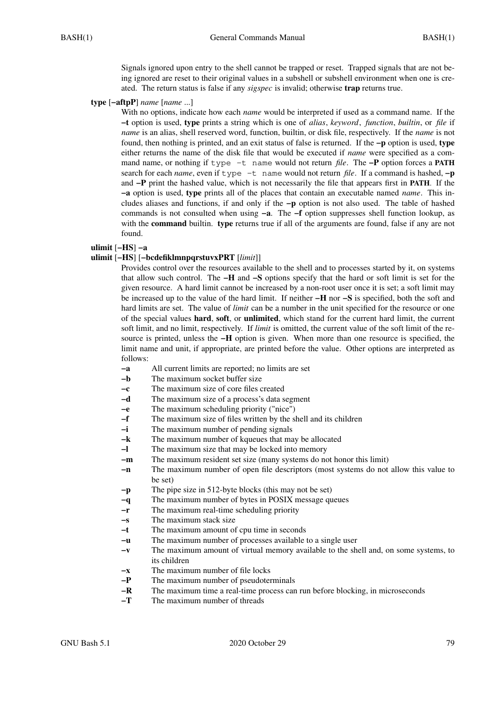Signals ignored upon entry to the shell cannot be trapped or reset. Trapped signals that are not being ignored are reset to their original values in a subshell or subshell environment when one is created. The return status is false if any *sigspec* is invalid; otherwise **trap** returns true.

**type** [**−aftpP**] *name* [*name* ...]

With no options, indicate how each *name* would be interpreted if used as a command name. If the **−t** option is used, **type** prints a string which is one of *alias*, *keyword*, *function*, *builtin*, or *file* if *name* is an alias, shell reserved word, function, builtin, or disk file, respectively. If the *name* is not found, then nothing is printed, and an exit status of false is returned. If the **−p** option is used, **type** either returns the name of the disk file that would be executed if *name* were specified as a command name, or nothing if type -t name would not return *file*. The **−P** option forces a **PATH** search for each *name*, even if type -t name would not return *file*. If a command is hashed, -**p** and **−P** print the hashed value, which is not necessarily the file that appears first in **PATH**. If the **−a** option is used, **type** prints all of the places that contain an executable named *name*. This includes aliases and functions, if and only if the **−p** option is not also used. The table of hashed commands is not consulted when using **−a**. The **−f** option suppresses shell function lookup, as with the **command** builtin. **type** returns true if all of the arguments are found, false if any are not found.

# **ulimit** [**−HS**] **−a**

# **ulimit** [**−HS**] [**−bcdefiklmnpqrstuvxPRT** [*limit*]]

Provides control over the resources available to the shell and to processes started by it, on systems that allow such control. The **−H** and **−S** options specify that the hard or soft limit is set for the given resource. A hard limit cannot be increased by a non-root user once it is set; a soft limit may be increased up to the value of the hard limit. If neither **−H** nor **−S** is specified, both the soft and hard limits are set. The value of *limit* can be a number in the unit specified for the resource or one of the special values **hard**, **soft**, or **unlimited**, which stand for the current hard limit, the current soft limit, and no limit, respectively. If *limit* is omitted, the current value of the soft limit of the resource is printed, unless the **−H** option is given. When more than one resource is specified, the limit name and unit, if appropriate, are printed before the value. Other options are interpreted as follows:

- **−a** All current limits are reported; no limits are set
- **−b** The maximum socket buffer size
- **−c** The maximum size of core files created
- **−d** The maximum size of a process's data segment
- **−e** The maximum scheduling priority ("nice")
- **−f** The maximum size of files written by the shell and its children
- **−i** The maximum number of pending signals
- **−k** The maximum number of kqueues that may be allocated
- **−l** The maximum size that may be locked into memory
- **−m** The maximum resident set size (many systems do not honor this limit)
- **−n** The maximum number of open file descriptors (most systems do not allow this value to be set)
- **−p** The pipe size in 512-byte blocks (this may not be set)
- **−q** The maximum number of bytes in POSIX message queues
- **−r** The maximum real-time scheduling priority
- **−s** The maximum stack size
- **−t** The maximum amount of cpu time in seconds
- **−u** The maximum number of processes available to a single user
- **−v** The maximum amount of virtual memory available to the shell and, on some systems, to its children
- **−x** The maximum number of file locks
- **−P** The maximum number of pseudoterminals
- **−R** The maximum time a real-time process can run before blocking, in microseconds
- **−T** The maximum number of threads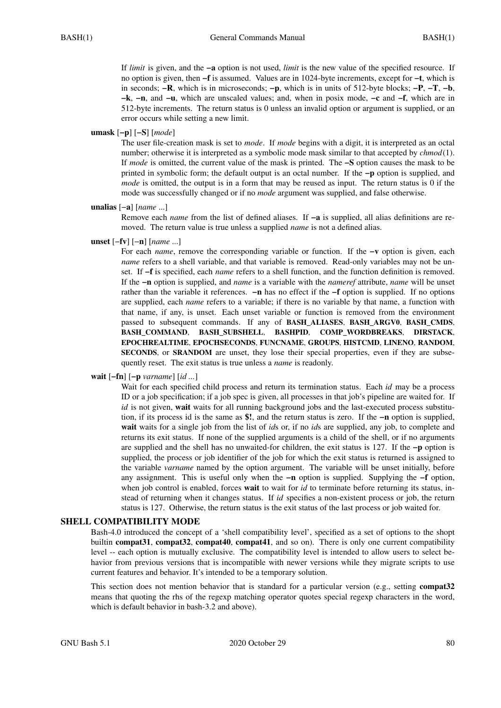If *limit* is given, and the **−a** option is not used, *limit* is the new value of the specified resource. If no option is given, then **−f** is assumed. Values are in 1024-byte increments, except for **−t**, which is in seconds; **−R**, which is in microseconds; **−p**, which is in units of 512-byte blocks; **−P**, **−T**, **−b**, **−k**, **−n**, and **−u**, which are unscaled values; and, when in posix mode, **−c** and **−f**, which are in 512-byte increments. The return status is 0 unless an invalid option or argument is supplied, or an error occurs while setting a new limit.

**umask** [**−p**] [**−S**] [*mode*]

The user file-creation mask is set to *mode*. If *mode* begins with a digit, it is interpreted as an octal number; otherwise it is interpreted as a symbolic mode mask similar to that accepted by *chmod*(1). If *mode* is omitted, the current value of the mask is printed. The **−S** option causes the mask to be printed in symbolic form; the default output is an octal number. If the **−p** option is supplied, and *mode* is omitted, the output is in a form that may be reused as input. The return status is 0 if the mode was successfully changed or if no *mode* argument was supplied, and false otherwise.

**unalias** [−**a**] [*name* ...]

Remove each *name* from the list of defined aliases. If **−a** is supplied, all alias definitions are removed. The return value is true unless a supplied *name* is not a defined alias.

**unset** [−**fv**] [−**n**] [*name* ...]

For each *name*, remove the corresponding variable or function. If the **−v** option is given, each *name* refers to a shell variable, and that variable is removed. Read-only variables may not be unset. If **−f** is specified, each *name* refers to a shell function, and the function definition is removed. If the **−n** option is supplied, and *name* is a variable with the *nameref* attribute, *name* will be unset rather than the variable it references. **−n** has no effect if the **−f** option is supplied. If no options are supplied, each *name* refers to a variable; if there is no variable by that name, a function with that name, if any, is unset. Each unset variable or function is removed from the environment passed to subsequent commands. If any of **BASH\_ALIASES**, **BASH\_ARGV0**, **BASH\_CMDS**, **BASH\_COMMAND**, **BASH\_SUBSHELL**, **BASHPID**, **COMP\_WORDBREAKS**, **DIRSTACK**, **EPOCHREALTIME**, **EPOCHSECONDS**, **FUNCNAME**, **GROUPS**, **HISTCMD**, **LINENO**, **RANDOM**, **SECONDS**, or **SRANDOM** are unset, they lose their special properties, even if they are subsequently reset. The exit status is true unless a *name* is readonly.

**wait** [**−fn**] [**−p** *varname*] [*id ...*]

Wait for each specified child process and return its termination status. Each *id* may be a process ID or a job specification; if a job spec is given, all processes in that job's pipeline are waited for. If *id* is not given, **wait** waits for all running background jobs and the last-executed process substitution, if its process id is the same as **\$!**, and the return status is zero. If the **−n** option is supplied, **wait** waits for a single job from the list of *id*s or, if no *id*s are supplied, any job, to complete and returns its exit status. If none of the supplied arguments is a child of the shell, or if no arguments are supplied and the shell has no unwaited-for children, the exit status is 127. If the **−p** option is supplied, the process or job identifier of the job for which the exit status is returned is assigned to the variable *varname* named by the option argument. The variable will be unset initially, before any assignment. This is useful only when the **−n** option is supplied. Supplying the **−f** option, when job control is enabled, forces **wait** to wait for *id* to terminate before returning its status, instead of returning when it changes status. If *id* specifies a non-existent process or job, the return status is 127. Otherwise, the return status is the exit status of the last process or job waited for.

## **SHELL COMPATIBILITY MODE**

Bash-4.0 introduced the concept of a 'shell compatibility level', specified as a set of options to the shopt builtin **compat31**, **compat32**, **compat40**, **compat41**, and so on). There is only one current compatibility level -- each option is mutually exclusive. The compatibility level is intended to allow users to select behavior from previous versions that is incompatible with newer versions while they migrate scripts to use current features and behavior. It's intended to be a temporary solution.

This section does not mention behavior that is standard for a particular version (e.g., setting **compat32** means that quoting the rhs of the regexp matching operator quotes special regexp characters in the word, which is default behavior in bash-3.2 and above).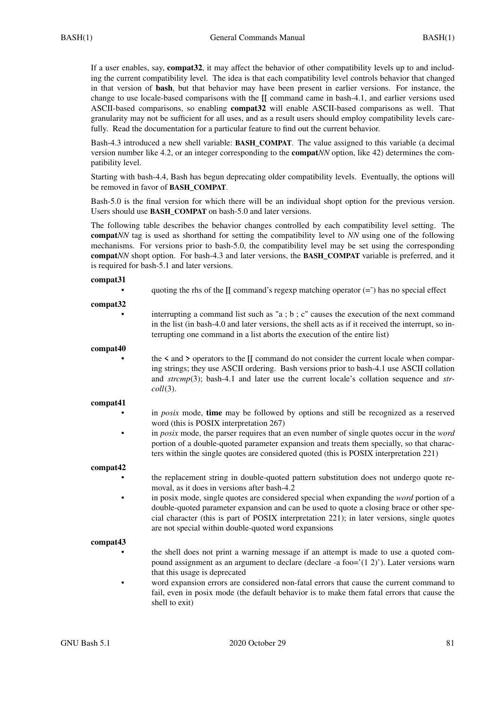If a user enables, say, **compat32**, it may affect the behavior of other compatibility levels up to and including the current compatibility level. The idea is that each compatibility level controls behavior that changed in that version of **bash**, but that behavior may have been present in earlier versions. For instance, the change to use locale-based comparisons with the **[[** command came in bash-4.1, and earlier versions used ASCII-based comparisons, so enabling **compat32** will enable ASCII-based comparisons as well. That granularity may not be sufficient for all uses, and as a result users should employ compatibility levels carefully. Read the documentation for a particular feature to find out the current behavior.

Bash-4.3 introduced a new shell variable: **BASH\_COMPAT**. The value assigned to this variable (a decimal version number like 4.2, or an integer corresponding to the **compat***NN* option, like 42) determines the compatibility level.

Starting with bash-4.4, Bash has begun deprecating older compatibility levels. Eventually, the options will be removed in favor of **BASH\_COMPAT**.

Bash-5.0 is the final version for which there will be an individual shopt option for the previous version. Users should use **BASH\_COMPAT** on bash-5.0 and later versions.

The following table describes the behavior changes controlled by each compatibility level setting. The **compat***NN* tag is used as shorthand for setting the compatibility level to *NN* using one of the following mechanisms. For versions prior to bash-5.0, the compatibility level may be set using the corresponding **compat***NN* shopt option. For bash-4.3 and later versions, the **BASH\_COMPAT** variable is preferred, and it is required for bash-5.1 and later versions.

#### **compat31**

| quoting the rhs of the $\left[\right]$ command's regexp matching operator $(=\tilde{\ })$ has no special effect                                                                                                                                                                                                                                                                                                               |
|-------------------------------------------------------------------------------------------------------------------------------------------------------------------------------------------------------------------------------------------------------------------------------------------------------------------------------------------------------------------------------------------------------------------------------|
|                                                                                                                                                                                                                                                                                                                                                                                                                               |
| interrupting a command list such as " $a$ ; $b$ ; $c$ " causes the execution of the next command<br>in the list (in bash-4.0 and later versions, the shell acts as if it received the interrupt, so in-<br>terrupting one command in a list aborts the execution of the entire list)                                                                                                                                          |
|                                                                                                                                                                                                                                                                                                                                                                                                                               |
| the $\le$ and $\ge$ operators to the [[ command do not consider the current locale when compar-<br>ing strings; they use ASCII ordering. Bash versions prior to bash-4.1 use ASCII collation<br>and $stremp(3)$ ; bash-4.1 and later use the current locale's collation sequence and $str$ -<br>$coll(3)$ .                                                                                                                   |
|                                                                                                                                                                                                                                                                                                                                                                                                                               |
| in posix mode, time may be followed by options and still be recognized as a reserved<br>word (this is POSIX interpretation 267)                                                                                                                                                                                                                                                                                               |
| in <i>posix</i> mode, the parser requires that an even number of single quotes occur in the <i>word</i><br>portion of a double-quoted parameter expansion and treats them specially, so that charac-<br>ters within the single quotes are considered quoted (this is POSIX interpretation 221)                                                                                                                                |
|                                                                                                                                                                                                                                                                                                                                                                                                                               |
| the replacement string in double-quoted pattern substitution does not undergo quote re-<br>moval, as it does in versions after bash-4.2                                                                                                                                                                                                                                                                                       |
| in posix mode, single quotes are considered special when expanding the <i>word</i> portion of a<br>double-quoted parameter expansion and can be used to quote a closing brace or other spe-<br>cial character (this is part of POSIX interpretation 221); in later versions, single quotes<br>are not special within double-quoted word expansions                                                                            |
|                                                                                                                                                                                                                                                                                                                                                                                                                               |
| the shell does not print a warning message if an attempt is made to use a quoted com-<br>pound assignment as an argument to declare (declare -a foo='(1 2)'). Later versions warn<br>that this usage is deprecated<br>word expansion errors are considered non-fatal errors that cause the current command to<br>fail, even in posix mode (the default behavior is to make them fatal errors that cause the<br>shell to exit) |
|                                                                                                                                                                                                                                                                                                                                                                                                                               |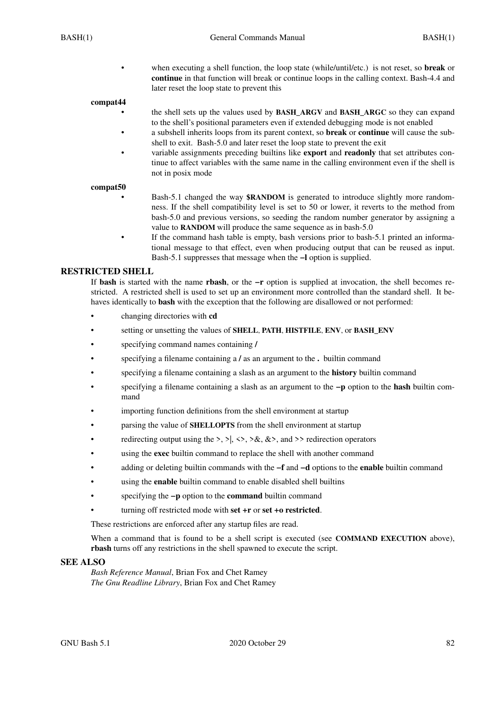• when executing a shell function, the loop state (while/until/etc.) is not reset, so **break** or **continue** in that function will break or continue loops in the calling context. Bash-4.4 and later reset the loop state to prevent this

# **compat44**

- the shell sets up the values used by **BASH\_ARGV** and **BASH\_ARGC** so they can expand to the shell's positional parameters even if extended debugging mode is not enabled
- a subshell inherits loops from its parent context, so **break** or **continue** will cause the subshell to exit. Bash-5.0 and later reset the loop state to prevent the exit
- variable assignments preceding builtins like **export** and **readonly** that set attributes continue to affect variables with the same name in the calling environment even if the shell is not in posix mode

## **compat50**

- Bash-5.1 changed the way **\$RANDOM** is generated to introduce slightly more randomness. If the shell compatibility level is set to 50 or lower, it reverts to the method from bash-5.0 and previous versions, so seeding the random number generator by assigning a value to **RANDOM** will produce the same sequence as in bash-5.0
- If the command hash table is empty, bash versions prior to bash-5.1 printed an informational message to that effect, even when producing output that can be reused as input. Bash-5.1 suppresses that message when the **−l** option is supplied.

# **RESTRICTED SHELL**

If **bash** is started with the name **rbash**, or the **−r** option is supplied at invocation, the shell becomes restricted. A restricted shell is used to set up an environment more controlled than the standard shell. It behaves identically to **bash** with the exception that the following are disallowed or not performed:

- changing directories with **cd**
- setting or unsetting the values of **SHELL**, **PATH**, **HISTFILE**, **ENV**, or **BASH\_ENV**
- specifying command names containing **/**
- specifying a filename containing a **/** as an argument to the **.** builtin command
- specifying a filename containing a slash as an argument to the **history** builtin command
- specifying a filename containing a slash as an argument to the **−p** option to the **hash** builtin command
- importing function definitions from the shell environment at startup
- parsing the value of **SHELLOPTS** from the shell environment at startup
- redirecting output using the  $\geq$ ,  $\geq$ ,  $\lt \geq$ ,  $\lt \&$ ,  $\&$ , and  $\gt \gt$  redirection operators
- using the **exec** builtin command to replace the shell with another command
- adding or deleting builtin commands with the **−f** and **−d** options to the **enable** builtin command
- using the **enable** builtin command to enable disabled shell builtins
- specifying the **−p** option to the **command** builtin command
- turning off restricted mode with **set +r** or **set +o restricted**.

These restrictions are enforced after any startup files are read.

When a command that is found to be a shell script is executed (see **COMMAND EXECUTION** above), **rbash** turns off any restrictions in the shell spawned to execute the script.

## **SEE ALSO**

*Bash Reference Manual*, Brian Fox and Chet Ramey *The Gnu Readline Library*, Brian Fox and Chet Ramey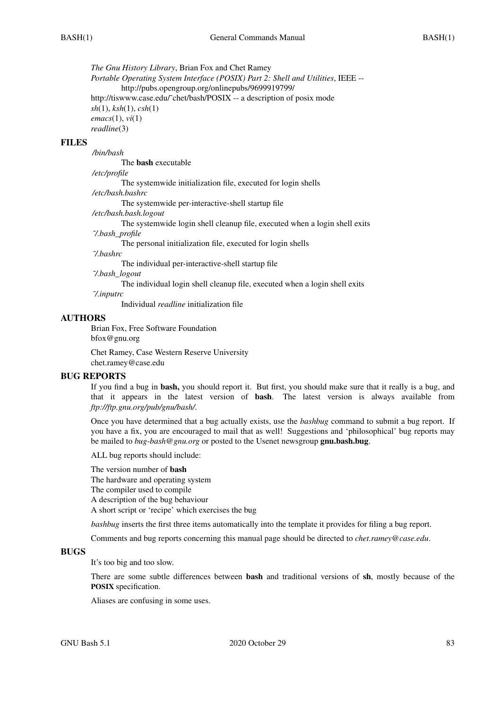*The Gnu History Library*, Brian Fox and Chet Ramey *Portable Operating System Interface (POSIX) Part 2: Shell and Utilities*, IEEE - http://pubs.opengroup.org/onlinepubs/9699919799/ http://tiswww.case.edu/˜chet/bash/POSIX -- a description of posix mode *sh*(1), *ksh*(1), *csh*(1) *emacs*(1), *vi*(1) *readline*(3)

# **FILES**

*/bin/bash* The **bash** executable

*/etc/profile*

The systemwide initialization file, executed for login shells

*/etc/bash.bashrc*

The systemwide per-interactive-shell startup file

*/etc/bash.bash.logout*

The systemwide login shell cleanup file, executed when a login shell exits *˜/.bash\_profile*

The personal initialization file, executed for login shells

*˜/.bashrc*

*˜/.inputrc*

The individual per-interactive-shell startup file

*˜/.bash\_logout*

The individual login shell cleanup file, executed when a login shell exits

Individual *readline* initialization file

# **AUTHORS**

Brian Fox, Free Software Foundation bfox@gnu.org

Chet Ramey, Case Western Reserve University chet.ramey@case.edu

## **BUG REPORTS**

If you find a bug in **bash,** you should report it. But first, you should make sure that it really is a bug, and that it appears in the latest version of **bash**. The latest version is always available from *ftp://ftp.gnu.org/pub/gnu/bash/*.

Once you have determined that a bug actually exists, use the *bashbug* command to submit a bug report. If you have a fix, you are encouraged to mail that as well! Suggestions and 'philosophical' bug reports may be mailed to *bug-bash@gnu.org* or posted to the Usenet newsgroup **gnu.bash.bug**.

ALL bug reports should include:

The version number of **bash** The hardware and operating system The compiler used to compile

A description of the bug behaviour A short script or 'recipe' which exercises the bug

*bashbug* inserts the first three items automatically into the template it provides for filing a bug report.

Comments and bug reports concerning this manual page should be directed to *chet.ramey@case.edu*.

## **BUGS**

It's too big and too slow.

There are some subtle differences between **bash** and traditional versions of **sh**, mostly because of the **POSIX** specification.

Aliases are confusing in some uses.